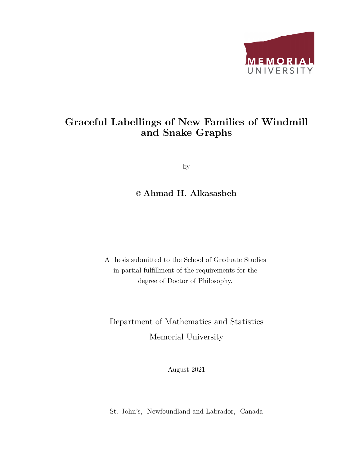

#### <span id="page-0-0"></span>**Graceful Labellings of New Families of Windmill and Snake Graphs**

by

© **Ahmad H. Alkasasbeh**

A thesis submitted to the School of Graduate Studies in partial fulfillment of the requirements for the degree of Doctor of Philosophy.

Department of Mathematics and Statistics Memorial University

August 2021

St. John's, Newfoundland and Labrador, Canada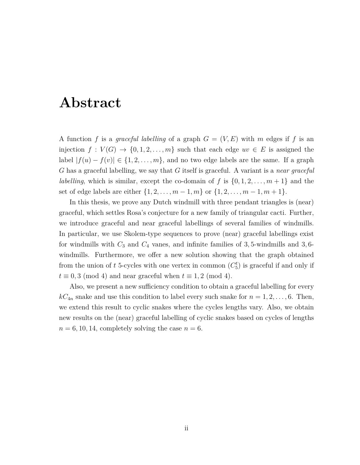#### <span id="page-1-0"></span>**Abstract**

A function f is a *graceful labelling* of a graph  $G = (V, E)$  with m edges if f is an injection  $f: V(G) \to \{0, 1, 2, \ldots, m\}$  such that each edge  $uv \in E$  is assigned the label  $|f(u) - f(v)|$  ∈ {1, 2, . . . , m}, and no two edge labels are the same. If a graph *G* has a graceful labelling, we say that *G* itself is graceful. A variant is a *near graceful labelling*, which is similar, except the co-domain of *f* is  $\{0, 1, 2, \ldots, m+1\}$  and the set of edge labels are either  $\{1, 2, \ldots, m-1, m\}$  or  $\{1, 2, \ldots, m-1, m+1\}$ .

In this thesis, we prove any Dutch windmill with three pendant triangles is (near) graceful, which settles Rosa's conjecture for a new family of triangular cacti. Further, we introduce graceful and near graceful labellings of several families of windmills. In particular, we use Skolem-type sequences to prove (near) graceful labellings exist for windmills with *C*<sup>3</sup> and *C*<sup>4</sup> vanes, and infinite families of 3*,* 5-windmills and 3*,* 6 windmills. Furthermore, we offer a new solution showing that the graph obtained from the union of  $t$  5-cycles with one vertex in common  $(C_5^t)$  is graceful if and only if  $t \equiv 0, 3 \pmod{4}$  and near graceful when  $t \equiv 1, 2 \pmod{4}$ .

Also, we present a new sufficiency condition to obtain a graceful labelling for every  $kC_{4n}$  snake and use this condition to label every such snake for  $n = 1, 2, \ldots, 6$ . Then, we extend this result to cyclic snakes where the cycles lengths vary. Also, we obtain new results on the (near) graceful labelling of cyclic snakes based on cycles of lengths  $n = 6, 10, 14$ , completely solving the case  $n = 6$ .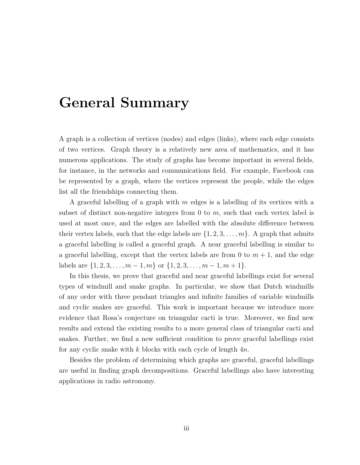### <span id="page-2-0"></span>**General Summary**

A graph is a collection of vertices (nodes) and edges (links), where each edge consists of two vertices. Graph theory is a relatively new area of mathematics, and it has numerous applications. The study of graphs has become important in several fields, for instance, in the networks and communications field. For example, Facebook can be represented by a graph, where the vertices represent the people, while the edges list all the friendships connecting them.

A graceful labelling of a graph with *m* edges is a labelling of its vertices with a subset of distinct non-negative integers from 0 to *m*, such that each vertex label is used at most once, and the edges are labelled with the absolute difference between their vertex labels, such that the edge labels are  $\{1, 2, 3, \ldots, m\}$ . A graph that admits a graceful labelling is called a graceful graph. A near graceful labelling is similar to a graceful labelling, except that the vertex labels are from 0 to  $m + 1$ , and the edge labels are  $\{1, 2, 3, \ldots, m-1, m\}$  or  $\{1, 2, 3, \ldots, m-1, m+1\}$ .

In this thesis, we prove that graceful and near graceful labellings exist for several types of windmill and snake graphs. In particular, we show that Dutch windmills of any order with three pendant triangles and infinite families of variable windmills and cyclic snakes are graceful. This work is important because we introduce more evidence that Rosa's conjecture on triangular cacti is true. Moreover, we find new results and extend the existing results to a more general class of triangular cacti and snakes. Further, we find a new sufficient condition to prove graceful labellings exist for any cyclic snake with *k* blocks with each cycle of length 4*n*.

Besides the problem of determining which graphs are graceful, graceful labellings are useful in finding graph decompositions. Graceful labellings also have interesting applications in radio astronomy.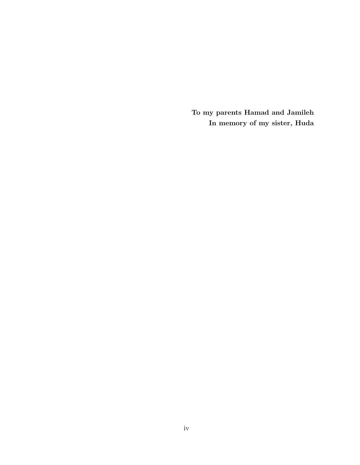**To my parents Hamad and Jamileh In memory of my sister, Huda**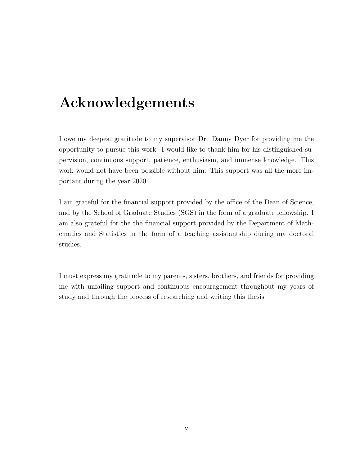## <span id="page-4-0"></span>**Acknowledgements**

I owe my deepest gratitude to my supervisor Dr. Danny Dyer for providing me the opportunity to pursue this work. I would like to thank him for his distinguished supervision, continuous support, patience, enthusiasm, and immense knowledge. This work would not have been possible without him. This support was all the more important during the year 2020.

I am grateful for the financial support provided by the office of the Dean of Science, and by the School of Graduate Studies (SGS) in the form of a graduate fellowship. I am also grateful for the the financial support provided by the Department of Mathematics and Statistics in the form of a teaching assistantship during my doctoral studies.

I must express my gratitude to my parents, sisters, brothers, and friends for providing me with unfailing support and continuous encouragement throughout my years of study and through the process of researching and writing this thesis.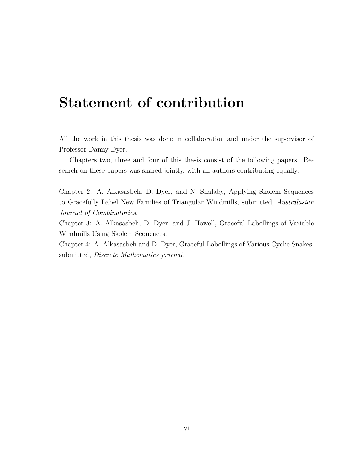## <span id="page-5-0"></span>**Statement of contribution**

All the work in this thesis was done in collaboration and under the supervisor of Professor Danny Dyer.

Chapters two, three and four of this thesis consist of the following papers. Research on these papers was shared jointly, with all authors contributing equally.

Chapter 2: A. Alkasasbeh, D. Dyer, and N. Shalaby, Applying Skolem Sequences to Gracefully Label New Families of Triangular Windmills, submitted, *Australasian Journal of Combinatorics*.

Chapter 3: A. Alkasasbeh, D. Dyer, and J. Howell, Graceful Labellings of Variable Windmills Using Skolem Sequences.

Chapter 4: A. Alkasasbeh and D. Dyer, Graceful Labellings of Various Cyclic Snakes, submitted, *Discrete Mathematics journal*.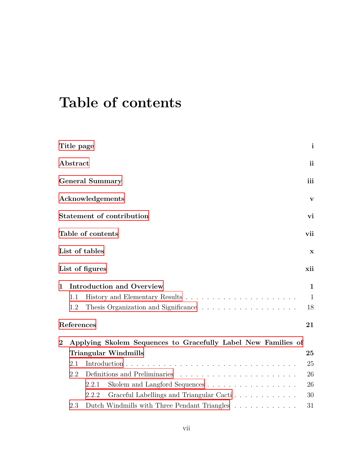# <span id="page-6-0"></span>**Table of contents**

|                | Title page |                                                               | $\mathbf{i}$ |
|----------------|------------|---------------------------------------------------------------|--------------|
|                | Abstract   |                                                               | <i>ii</i>    |
|                |            | <b>General Summary</b>                                        | iii          |
|                |            | Acknowledgements                                              | $\mathbf{v}$ |
|                |            | <b>Statement of contribution</b>                              | vi           |
|                |            | Table of contents                                             | vii          |
|                |            | List of tables                                                | $\mathbf x$  |
|                |            | List of figures                                               | xii          |
| $\mathbf 1$    |            | <b>Introduction and Overview</b>                              | $\mathbf{1}$ |
|                | 1.1        |                                                               | -1           |
|                | 1.2        |                                                               | 18           |
|                | References |                                                               | 21           |
| $\overline{2}$ |            | Applying Skolem Sequences to Gracefully Label New Families of |              |
|                |            | <b>Triangular Windmills</b>                                   | 25           |
|                | 2.1        |                                                               | 25           |
|                | 2.2        |                                                               | 26           |
|                |            | Skolem and Langford Sequences<br>2.2.1                        | 26           |
|                |            | Graceful Labellings and Triangular Cacti<br>2.2.2             | 30           |
|                | 2.3        | Dutch Windmills with Three Pendant Triangles                  | 31           |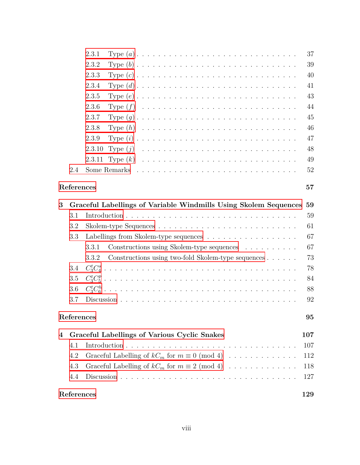|                         |            | 2.3.1                                                                               | 37     |
|-------------------------|------------|-------------------------------------------------------------------------------------|--------|
|                         |            | 2.3.2                                                                               | 39     |
|                         |            | 2.3.3                                                                               | 40     |
|                         |            | 2.3.4                                                                               | 41     |
|                         |            | 2.3.5                                                                               | 43     |
|                         |            | 2.3.6                                                                               | 44     |
|                         |            | 2.3.7                                                                               | 45     |
|                         |            | 2.3.8                                                                               | 46     |
|                         |            | 2.3.9                                                                               | 47     |
|                         |            | 2.3.10                                                                              | 48     |
|                         |            | 2.3.11                                                                              | 49     |
|                         | 2.4        |                                                                                     | 52     |
|                         | References |                                                                                     | 57     |
| $\overline{\mathbf{3}}$ |            | Graceful Labellings of Variable Windmills Using Skolem Sequences                    | 59     |
|                         | 3.1        |                                                                                     | 59     |
|                         | 3.2        |                                                                                     | 61     |
|                         | 3.3        | Labellings from Skolem-type sequences                                               | 67     |
|                         |            | Constructions using Skolem-type sequences $\hfill\ldots\ldots\ldots\ldots$<br>3.3.1 | $67\,$ |
|                         |            | Constructions using two-fold Skolem-type sequences<br>3.3.2                         | 73     |
|                         | $3.4\,$    |                                                                                     | 78     |
|                         | 3.5        |                                                                                     | 84     |
|                         | 3.6        |                                                                                     | 88     |
|                         | 3.7        |                                                                                     | 92     |
|                         | References |                                                                                     | 95     |
| 4                       |            | <b>Graceful Labellings of Various Cyclic Snakes</b>                                 | 107    |
|                         | 4.1        |                                                                                     | 107    |
|                         | 4.2        | Graceful Labelling of $kC_m$ for $m \equiv 0 \pmod{4}$                              | 112    |
|                         | 4.3        | Graceful Labelling of $kC_m$ for $m \equiv 2 \pmod{4}$                              | 118    |
|                         | 4.4        |                                                                                     | 127    |
|                         | References |                                                                                     | 129    |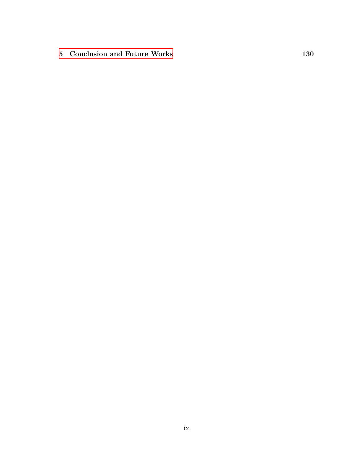**[5 Conclusion and Future Works](#page-142-0) 130**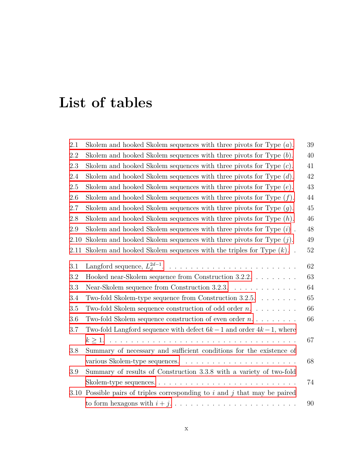# <span id="page-9-0"></span>**List of tables**

| 2.1  | Skolem and hooked Skolem sequences with three pivots for Type $(a)$ .     | 39     |
|------|---------------------------------------------------------------------------|--------|
| 2.2  | Skolem and hooked Skolem sequences with three pivots for Type $(b)$ .     | 40     |
| 2.3  | Skolem and hooked Skolem sequences with three pivots for Type $(c)$ .     | $41\,$ |
| 2.4  | Skolem and hooked Skolem sequences with three pivots for Type $(d)$ .     | 42     |
| 2.5  | Skolem and hooked Skolem sequences with three pivots for Type $(e)$ .     | $43\,$ |
| 2.6  | Skolem and hooked Skolem sequences with three pivots for Type $(f)$ .     | 44     |
| 2.7  | Skolem and hooked Skolem sequences with three pivots for Type $(q)$ .     | $45\,$ |
| 2.8  | Skolem and hooked Skolem sequences with three pivots for Type $(h)$ .     | 46     |
| 2.9  | Skolem and hooked Skolem sequences with three pivots for Type $(i)$ .     | $48\,$ |
| 2.10 | Skolem and hooked Skolem sequences with three pivots for Type $(j)$ .     | 49     |
| 2.11 | Skolem and hooked Skolem sequences with the triples for Type $(k)$ .      | $52\,$ |
|      |                                                                           |        |
| 3.1  |                                                                           | 62     |
| 3.2  | Hooked near-Skolem sequence from Construction 3.2.2. $\ldots$             | 63     |
| 3.3  | Near-Skolem sequence from Construction 3.2.3.                             | 64     |
| 3.4  | Two-fold Skolem-type sequence from Construction $3.2.5. \ldots \ldots$    | 65     |
| 3.5  | Two-fold Skolem sequence construction of odd order $n$                    | 66     |
| 3.6  | Two-fold Skolem sequence construction of even order $n \ldots \ldots$     | 66     |
| 3.7  | Two-fold Langford sequence with defect $6k-1$ and order $4k-1$ , where    |        |
|      |                                                                           | 67     |
| 3.8  | Summary of necessary and sufficient conditions for the existence of       |        |
|      |                                                                           | 68     |
| 3.9  | Summary of results of Construction 3.3.8 with a variety of two-fold       |        |
|      |                                                                           | 74     |
| 3.10 | Possible pairs of triples corresponding to $i$ and $j$ that may be paired |        |
|      |                                                                           | 90     |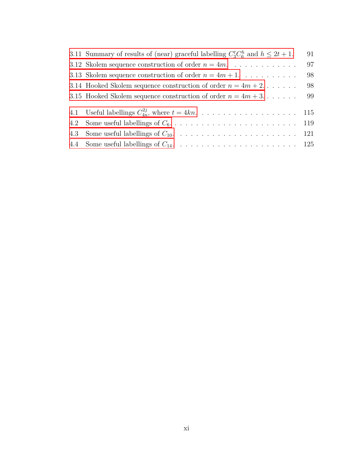| 3.11 Summary of results of (near) graceful labelling $C_3^t C_6^h$ and $h \leq 2t + 1$ . | 91 |
|------------------------------------------------------------------------------------------|----|
| 3.12 Skolem sequence construction of order $n = 4m$ .                                    | 97 |
| 3.13 Skolem sequence construction of order $n = 4m + 1$                                  | 98 |
| 3.14 Hooked Skolem sequence construction of order $n = 4m + 2$                           | 98 |
| 3.15 Hooked Skolem sequence construction of order $n = 4m + 3$                           | 99 |
|                                                                                          |    |
| 4.1 Useful labellings $C_{4n}^{2j}$ , where $t = 4kn$ . 115                              |    |
|                                                                                          |    |
|                                                                                          |    |
|                                                                                          |    |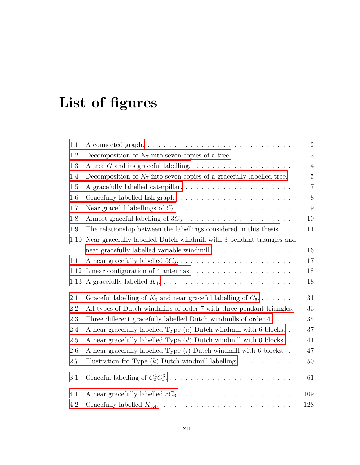# <span id="page-11-0"></span>**List of figures**

| 1.1     |                                                                                                                    | $\overline{2}$   |
|---------|--------------------------------------------------------------------------------------------------------------------|------------------|
| 1.2     | Decomposition of $K_7$ into seven copies of a tree                                                                 | $\sqrt{2}$       |
| $1.3\,$ |                                                                                                                    | $\overline{4}$   |
| 1.4     | Decomposition of $K_7$ into seven copies of a gracefully labelled tree                                             | $\overline{5}$   |
| 1.5     |                                                                                                                    | $\overline{7}$   |
| 1.6     |                                                                                                                    | $8\,$            |
| $1.7\,$ |                                                                                                                    | $\boldsymbol{9}$ |
| 1.8     |                                                                                                                    | 10               |
| 1.9     | The relationship between the labellings considered in this thesis. $\ldots$ .                                      | 11               |
| 1.10    | Near gracefully labelled Dutch windmill with 3 pendant triangles and                                               |                  |
|         | near gracefully labelled variable wind<br>mill. $\hfill\ldots$ $\ldots$ $\ldots$ $\ldots$ .<br>$\ldots$ $\ldots$ . | $16\,$           |
|         |                                                                                                                    | 17               |
|         |                                                                                                                    | 18               |
|         |                                                                                                                    | 18               |
| 2.1     | Graceful labelling of $K_3$ and near graceful labelling of $C_5$                                                   | 31               |
| 2.2     | All types of Dutch windmills of order 7 with three pendant triangles.                                              | 33               |
| 2.3     | Three different gracefully labelled Dutch windmills of order 4.                                                    | 35               |
| 2.4     | A near gracefully labelled Type $(a)$ Dutch windmill with 6 blocks                                                 | 37               |
| $2.5\,$ | A near gracefully labelled Type $(d)$ Dutch windmill with 6 blocks                                                 | 41               |
| 2.6     | A near gracefully labelled Type $(i)$ Dutch windmill with 6 blocks                                                 | 47               |
| $2.7\,$ | Illustration for Type $(k)$ Dutch windmill labelling                                                               | 50               |
| 3.1     |                                                                                                                    | 61               |
| 4.1     |                                                                                                                    | 109              |
| 4.2     |                                                                                                                    | 128              |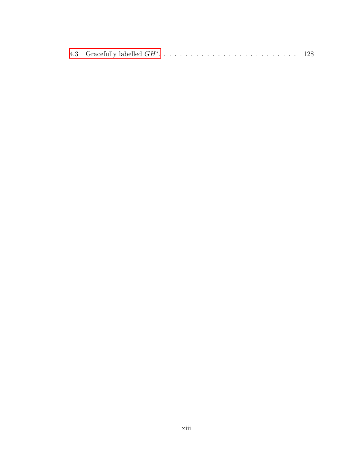|--|--|--|--|--|--|--|--|--|--|--|--|--|--|--|--|--|--|--|--|--|--|--|--|--|--|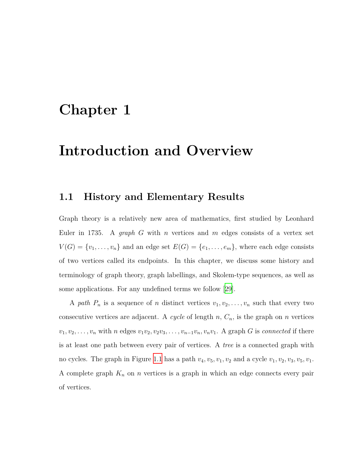### <span id="page-13-0"></span>**Chapter 1**

### **Introduction and Overview**

#### <span id="page-13-1"></span>**1.1 History and Elementary Results**

Graph theory is a relatively new area of mathematics, first studied by Leonhard Euler in 1735. A *graph G* with *n* vertices and *m* edges consists of a vertex set  $V(G) = \{v_1, \ldots, v_n\}$  and an edge set  $E(G) = \{e_1, \ldots, e_m\}$ , where each edge consists of two vertices called its endpoints. In this chapter, we discuss some history and terminology of graph theory, graph labellings, and Skolem-type sequences, as well as some applications. For any undefined terms we follow [[29](#page-35-0)].

A *path*  $P_n$  is a sequence of *n* distinct vertices  $v_1, v_2, \ldots, v_n$  such that every two consecutive vertices are adjacent. A *cycle* of length  $n$ ,  $C_n$ , is the graph on  $n$  vertices  $v_1, v_2, \ldots, v_n$  with *n* edges  $v_1v_2, v_2v_3, \ldots, v_{n-1}v_n, v_nv_1$ . A graph *G* is *connected* if there is at least one path between every pair of vertices. A *tree* is a connected graph with no cycles. The graph in Figure [1.1](#page-14-0) has a path  $v_4$ ,  $v_5$ ,  $v_1$ ,  $v_2$  and a cycle  $v_1$ ,  $v_2$ ,  $v_3$ ,  $v_5$ ,  $v_1$ . A complete graph  $K_n$  on  $n$  vertices is a graph in which an edge connects every pair of vertices.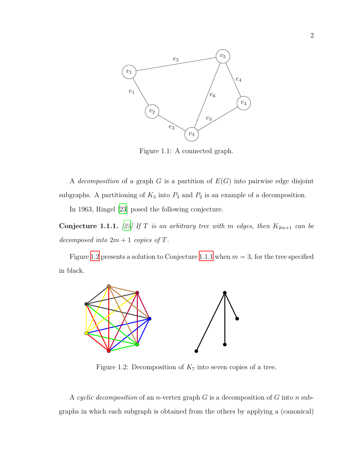<span id="page-14-0"></span>

Figure 1.1: A connected graph.

A *decomposition* of a graph *G* is a partition of *E*(*G*) into pairwise edge disjoint subgraphs. A partitioning of  $K_3$  into  $P_3$  and  $P_2$  is an example of a decomposition.

In 1963, Ringel [\[23](#page-35-1)] posed the following conjecture.

<span id="page-14-2"></span>**Conjecture 1.1.1.** [\[23](#page-35-1)] If  $T$  is an arbitrary tree with  $m$  edges, then  $K_{2m+1}$  can be *decomposed into*  $2m + 1$  *copies of*  $T$ *.* 

<span id="page-14-1"></span>Figure [1.2](#page-14-1) presents a solution to Conjecture [1.1.1](#page-14-2) when  $m = 3$ , for the tree specified in black.



Figure 1.2: Decomposition of  $K_7$  into seven copies of a tree.

A *cyclic decomposition* of an *n*-vertex graph *G* is a decomposition of *G* into *n* subgraphs in which each subgraph is obtained from the others by applying a (canonical)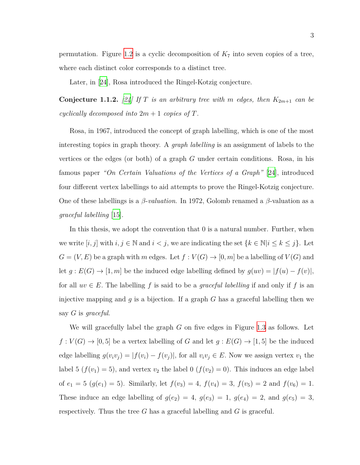permutation. Figure [1.2](#page-14-1) is a cyclic decomposition of  $K_7$  into seven copies of a tree, where each distinct color corresponds to a distinct tree.

Later, in [[24\]](#page-35-2), Rosa introduced the Ringel-Kotzig conjecture.

**Conjecture 1.1.2.** [\[24](#page-35-2)] If T is an arbitrary tree with m edges, then  $K_{2m+1}$  can be *cyclically decomposed into*  $2m + 1$  *copies of*  $T$ *.* 

Rosa, in 1967, introduced the concept of graph labelling, which is one of the most interesting topics in graph theory. A *graph labelling* is an assignment of labels to the vertices or the edges (or both) of a graph *G* under certain conditions. Rosa, in his famous paper *"On Certain Valuations of the Vertices of a Graph"* [\[24\]](#page-35-2), introduced four different vertex labellings to aid attempts to prove the Ringel-Kotzig conjecture. One of these labellings is a *β*-*valuation*. In 1972, Golomb renamed a *β*-valuation as a *graceful labelling* [[15\]](#page-34-0).

In this thesis, we adopt the convention that 0 is a natural number. Further, when we write  $[i, j]$  with  $i, j \in \mathbb{N}$  and  $i < j$ , we are indicating the set  $\{k \in \mathbb{N} | i \leq k \leq j\}$ . Let *G* = (*V, E*) be a graph with *m* edges. Let  $f: V(G) \to [0, m]$  be a labelling of  $V(G)$  and let  $g: E(G) \to [1, m]$  be the induced edge labelling defined by  $g(uv) = |f(u) - f(v)|$ , for all  $uv \in E$ . The labelling f is said to be a *graceful labelling* if and only if f is an injective mapping and *g* is a bijection. If a graph *G* has a graceful labelling then we say *G* is *graceful*.

We will gracefully label the graph *G* on five edges in Figure [1.3](#page-16-0) as follows. Let  $f: V(G) \to [0, 5]$  be a vertex labelling of *G* and let  $g: E(G) \to [1, 5]$  be the induced edge labelling  $g(v_i v_j) = |f(v_i) - f(v_j)|$ , for all  $v_i v_j \in E$ . Now we assign vertex  $v_1$  the label 5 ( $f(v_1) = 5$ ), and vertex  $v_2$  the label 0 ( $f(v_2) = 0$ ). This induces an edge label of  $e_1 = 5$  ( $g(e_1) = 5$ ). Similarly, let  $f(v_3) = 4$ ,  $f(v_4) = 3$ ,  $f(v_5) = 2$  and  $f(v_6) = 1$ . These induce an edge labelling of  $g(e_2) = 4$ ,  $g(e_3) = 1$ ,  $g(e_4) = 2$ , and  $g(e_5) = 3$ , respectively. Thus the tree *G* has a graceful labelling and *G* is graceful.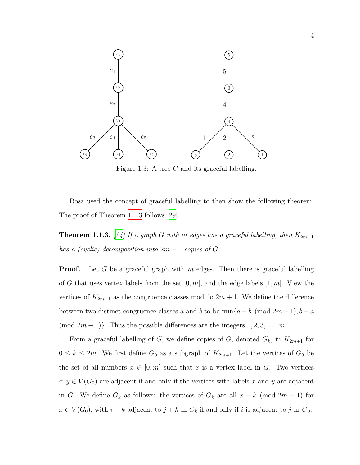<span id="page-16-0"></span>

Figure 1.3: A tree *G* and its graceful labelling.

Rosa used the concept of graceful labelling to then show the following theorem. The proof of Theorem [1.1.3](#page-16-1) follows [\[29](#page-35-0)].

<span id="page-16-1"></span>**Theorem 1.1.3.** [[24\]](#page-35-2) If a graph G with m edges has a graceful labelling, then  $K_{2m+1}$ *has a (cyclic) decomposition into*  $2m + 1$  *copies of G*.

**Proof.** Let G be a graceful graph with m edges. Then there is graceful labelling of G that uses vertex labels from the set  $[0, m]$ , and the edge labels  $[1, m]$ . View the vertices of  $K_{2m+1}$  as the congruence classes modulo  $2m+1$ . We define the difference between two distinct congruence classes *a* and *b* to be  $\min\{a - b \pmod{2m + 1}, b - a\}$  $p(\text{mod } 2m + 1)$ . Thus the possible differences are the integers  $1, 2, 3, \ldots, m$ .

From a graceful labelling of *G*, we define copies of *G*, denoted  $G_k$ , in  $K_{2m+1}$  for  $0 \leq k \leq 2m$ . We first define  $G_0$  as a subgraph of  $K_{2m+1}$ . Let the vertices of  $G_0$  be the set of all numbers  $x \in [0, m]$  such that  $x$  is a vertex label in  $G$ . Two vertices  $x, y \in V(G_0)$  are adjacent if and only if the vertices with labels *x* and *y* are adjacent in *G*. We define  $G_k$  as follows: the vertices of  $G_k$  are all  $x + k \pmod{2m+1}$  for  $x \in V(G_0)$ , with  $i + k$  adjacent to  $j + k$  in  $G_k$  if and only if *i* is adjacent to *j* in  $G_0$ .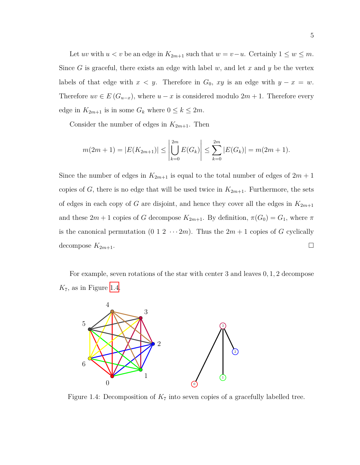Let *uv* with  $u < v$  be an edge in  $K_{2m+1}$  such that  $w = v - u$ . Certainly  $1 \leq w \leq m$ . Since *G* is graceful, there exists an edge with label *w*, and let *x* and *y* be the vertex labels of that edge with  $x < y$ . Therefore in  $G_0$ ,  $xy$  is an edge with  $y - x = w$ . Therefore  $uv \in E(G_{u-x})$ , where  $u-x$  is considered modulo  $2m+1$ . Therefore every edge in  $K_{2m+1}$  is in some  $G_k$  where  $0 \leq k \leq 2m$ .

Consider the number of edges in  $K_{2m+1}$ . Then

$$
m(2m+1) = |E(K_{2m+1})| \le \left| \bigcup_{k=0}^{2m} E(G_k) \right| \le \sum_{k=0}^{2m} |E(G_k)| = m(2m+1).
$$

Since the number of edges in  $K_{2m+1}$  is equal to the total number of edges of  $2m+1$ copies of *G*, there is no edge that will be used twice in  $K_{2m+1}$ . Furthermore, the sets of edges in each copy of *G* are disjoint, and hence they cover all the edges in  $K_{2m+1}$ and these  $2m + 1$  copies of *G* decompose  $K_{2m+1}$ . By definition,  $\pi(G_0) = G_1$ , where  $\pi$ is the canonical permutation  $(0 \ 1 \ 2 \ \cdots 2m)$ . Thus the  $2m + 1$  copies of *G* cyclically decompose  $K_{2m+1}$ .

For example, seven rotations of the star with center 3 and leaves 0*,* 1*,* 2 decompose *K*7, as in Figure [1.4](#page-17-0).

<span id="page-17-0"></span>

Figure 1.4: Decomposition of  $K_7$  into seven copies of a gracefully labelled tree.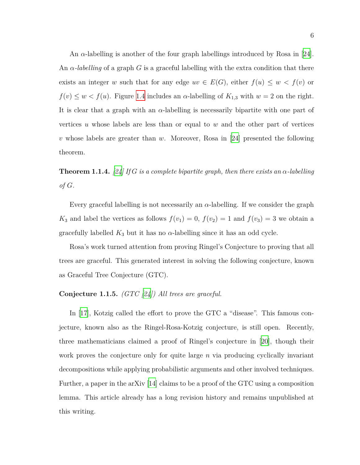An *α*-labelling is another of the four graph labellings introduced by Rosa in [[24\]](#page-35-2). An  $\alpha$ -*labelling* of a graph *G* is a graceful labelling with the extra condition that there exists an integer *w* such that for any edge  $uv \in E(G)$ , either  $f(u) \leq w < f(v)$  or  $f(v) \leq w < f(u)$ . Figure [1.4](#page-17-0) includes an *α*-labelling of  $K_{1,3}$  with  $w = 2$  on the right. It is clear that a graph with an *α*-labelling is necessarily bipartite with one part of vertices *u* whose labels are less than or equal to *w* and the other part of vertices *v* whose labels are greater than *w*. Moreover, Rosa in [\[24\]](#page-35-2) presented the following theorem.

**Theorem 1.1.4.** [[24\]](#page-35-2) If  $G$  is a complete bipartite graph, then there exists an  $\alpha$ -labelling *of G.*

Every graceful labelling is not necessarily an  $\alpha$ -labelling. If we consider the graph  $K_3$  and label the vertices as follows  $f(v_1) = 0$ ,  $f(v_2) = 1$  and  $f(v_3) = 3$  we obtain a gracefully labelled  $K_3$  but it has no  $\alpha$ -labelling since it has an odd cycle.

Rosa's work turned attention from proving Ringel's Conjecture to proving that all trees are graceful. This generated interest in solving the following conjecture, known as Graceful Tree Conjecture (GTC).

#### **Conjecture 1.1.5.** *(GTC [\[24](#page-35-2)]) All trees are graceful.*

In [[17](#page-34-1)], Kotzig called the effort to prove the GTC a "disease". This famous conjecture, known also as the Ringel-Rosa-Kotzig conjecture, is still open. Recently, three mathematicians claimed a proof of Ringel's conjecture in [\[20](#page-35-3)], though their work proves the conjecture only for quite large *n* via producing cyclically invariant decompositions while applying probabilistic arguments and other involved techniques. Further, a paper in the arXiv [\[14\]](#page-34-2) claims to be a proof of the GTC using a composition lemma. This article already has a long revision history and remains unpublished at this writing.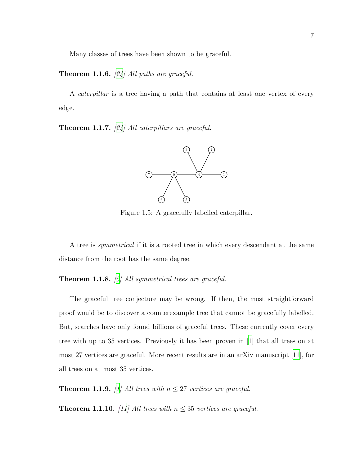Many classes of trees have been shown to be graceful.

#### **Theorem 1.1.6.** *[\[24](#page-35-2)] All paths are graceful.*

A *caterpillar* is a tree having a path that contains at least one vertex of every edge.

<span id="page-19-0"></span>**Theorem 1.1.7.** *[\[24](#page-35-2)] All caterpillars are graceful.*



Figure 1.5: A gracefully labelled caterpillar.

A tree is *symmetrical* if it is a rooted tree in which every descendant at the same distance from the root has the same degree.

#### **Theorem 1.1.8.** *[\[5](#page-33-1)] All symmetrical trees are graceful.*

The graceful tree conjecture may be wrong. If then, the most straightforward proof would be to discover a counterexample tree that cannot be gracefully labelled. But, searches have only found billions of graceful trees. These currently cover every tree with up to 35 vertices. Previously it has been proven in [[1](#page-33-2)] that all trees on at most 27 vertices are graceful. More recent results are in an arXiv manuscript [\[11\]](#page-34-3), for all trees on at most 35 vertices.

**Theorem 1.1.9.** *[\[1](#page-33-2)] All trees with*  $n \leq 27$  *vertices are graceful.* 

**Theorem 1.1.10.** *[\[11](#page-34-3)] All trees with*  $n \leq 35$  *vertices are graceful.*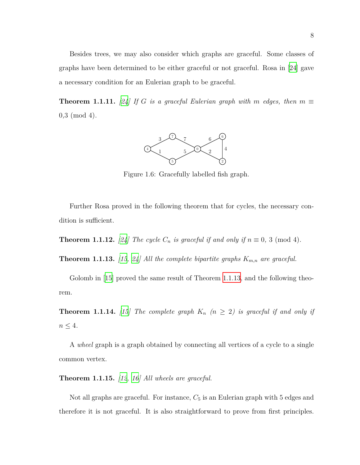Besides trees, we may also consider which graphs are graceful. Some classes of graphs have been determined to be either graceful or not graceful. Rosa in [[24](#page-35-2)] gave a necessary condition for an Eulerian graph to be graceful.

<span id="page-20-0"></span>**Theorem 1.1.11.** [[24\]](#page-35-2) If G is a graceful Eulerian graph with m edges, then  $m \equiv$ 0*,*3 (mod 4)*.*



Figure 1.6: Gracefully labelled fish graph.

Further Rosa proved in the following theorem that for cycles, the necessary condition is sufficient.

**Theorem 1.1.12.** [\[24](#page-35-2)] The cycle  $C_n$  is graceful if and only if  $n \equiv 0, 3 \pmod{4}$ .

<span id="page-20-1"></span>**Theorem 1.1.13.** [\[15](#page-34-0)*, [24\]](#page-35-2)* All the complete bipartite graphs  $K_{m,n}$  are graceful.

Golomb in [[15\]](#page-34-0) proved the same result of Theorem [1.1.13](#page-20-1), and the following theorem.

<span id="page-20-2"></span>**Theorem 1.1.14.** [\[15](#page-34-0)] The complete graph  $K_n$  ( $n \geq 2$ ) is graceful if and only if  $n \leq 4$ *.* 

A *wheel* graph is a graph obtained by connecting all vertices of a cycle to a single common vertex.

**Theorem 1.1.15.** *[\[12](#page-34-4), [16\]](#page-34-5) All wheels are graceful.*

Not all graphs are graceful. For instance, *C*<sup>5</sup> is an Eulerian graph with 5 edges and therefore it is not graceful. It is also straightforward to prove from first principles.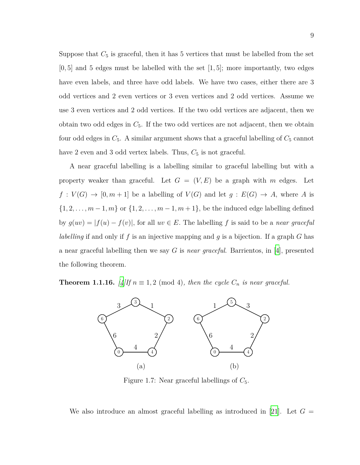Suppose that  $C_5$  is graceful, then it has 5 vertices that must be labelled from the set [0*,* 5] and 5 edges must be labelled with the set [1*,* 5]; more importantly, two edges have even labels, and three have odd labels. We have two cases, either there are 3 odd vertices and 2 even vertices or 3 even vertices and 2 odd vertices. Assume we use 3 even vertices and 2 odd vertices. If the two odd vertices are adjacent, then we obtain two odd edges in  $C_5$ . If the two odd vertices are not adjacent, then we obtain four odd edges in  $C_5$ . A similar argument shows that a graceful labelling of  $C_5$  cannot have 2 even and 3 odd vertex labels. Thus,  $C_5$  is not graceful.

A near graceful labelling is a labelling similar to graceful labelling but with a property weaker than graceful. Let  $G = (V, E)$  be a graph with  $m$  edges. Let  $f: V(G) \to [0, m+1]$  be a labelling of  $V(G)$  and let  $g: E(G) \to A$ , where *A* is  ${1, 2, ..., m - 1, m}$  or  ${1, 2, ..., m - 1, m + 1}$ , be the induced edge labelling defined by  $g(uv) = |f(u) - f(v)|$ , for all  $uv \in E$ . The labelling *f* is said to be a *near graceful labelling* if and only if *f* is an injective mapping and *g* is a bijection. If a graph *G* has a near graceful labelling then we say *G* is *near graceful*. Barrientos, in [\[4\]](#page-33-3), presented the following theorem.

<span id="page-21-0"></span>**Theorem 1.1.16.**  $[4]$  $[4]$ If  $n \equiv 1, 2 \pmod{4}$ , then the cycle  $C_n$  is near graceful.



Figure 1.7: Near graceful labellings of  $C_5$ .

We also introduce an almost graceful labelling as introduced in [\[21\]](#page-35-4). Let  $G =$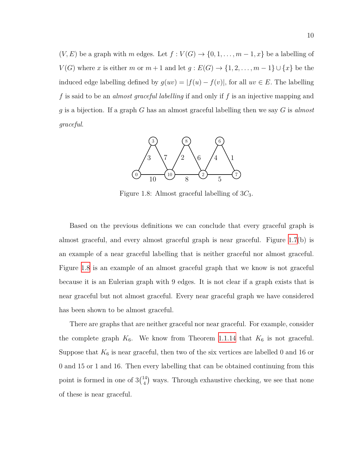$(V, E)$  be a graph with *m* edges. Let  $f: V(G) \to \{0, 1, \ldots, m-1, x\}$  be a labelling of *V*(*G*) where *x* is either *m* or  $m + 1$  and let  $g : E(G) \to \{1, 2, \ldots, m - 1\} \cup \{x\}$  be the induced edge labelling defined by  $g(uv) = |f(u) - f(v)|$ , for all  $uv \in E$ . The labelling *f* is said to be an *almost graceful labelling* if and only if *f* is an injective mapping and *g* is a bijection. If a graph *G* has an almost graceful labelling then we say *G* is *almost graceful*.

<span id="page-22-0"></span>

Figure 1.8: Almost graceful labelling of 3*C*3.

Based on the previous definitions we can conclude that every graceful graph is almost graceful, and every almost graceful graph is near graceful. Figure [1.7\(](#page-21-0)b) is an example of a near graceful labelling that is neither graceful nor almost graceful. Figure [1.8](#page-22-0) is an example of an almost graceful graph that we know is not graceful because it is an Eulerian graph with 9 edges. It is not clear if a graph exists that is near graceful but not almost graceful. Every near graceful graph we have considered has been shown to be almost graceful.

There are graphs that are neither graceful nor near graceful. For example, consider the complete graph  $K_6$ . We know from Theorem [1.1.14](#page-20-2) that  $K_6$  is not graceful. Suppose that  $K_6$  is near graceful, then two of the six vertices are labelled 0 and 16 or 0 and 15 or 1 and 16. Then every labelling that can be obtained continuing from this point is formed in one of  $3\binom{14}{4}$  $\binom{4}{4}$  ways. Through exhaustive checking, we see that none of these is near graceful.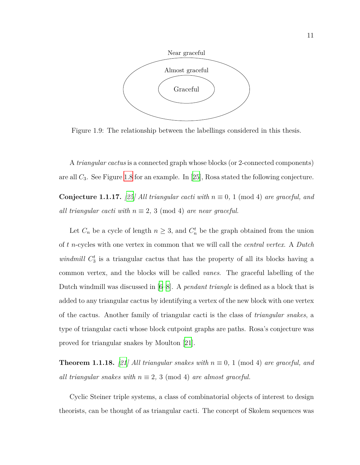<span id="page-23-0"></span>

Figure 1.9: The relationship between the labellings considered in this thesis.

A *triangular cactus* is a connected graph whose blocks (or 2-connected components) are all *C*3. See Figure [1.8](#page-22-0) for an example. In [[25](#page-35-5)], Rosa stated the following conjecture.

<span id="page-23-1"></span>**Conjecture 1.1.17.** [\[25](#page-35-5)] All triangular cacti with  $n \equiv 0$ , 1 (mod 4) are graceful, and *all triangular cacti with*  $n \equiv 2, 3 \pmod{4}$  *are near graceful.* 

Let  $C_n$  be a cycle of length  $n \geq 3$ , and  $C_n^t$  be the graph obtained from the union of *t n*-cycles with one vertex in common that we will call the *central vertex*. A *Dutch windmill*  $C_3^t$  is a triangular cactus that has the property of all its blocks having a common vertex, and the blocks will be called *vanes*. The graceful labelling of the Dutch windmill was discussed in[[6–](#page-33-4)[8\]](#page-34-6). A *pendant triangle* is defined as a block that is added to any triangular cactus by identifying a vertex of the new block with one vertex of the cactus. Another family of triangular cacti is the class of *triangular snakes*, a type of triangular cacti whose block cutpoint graphs are paths. Rosa's conjecture was proved for triangular snakes by Moulton [\[21\]](#page-35-4).

**Theorem 1.1.18.** [[21\]](#page-35-4) All triangular snakes with  $n \equiv 0$ , 1 (mod 4) are graceful, and *all triangular snakes with*  $n \equiv 2, 3 \pmod{4}$  *are almost graceful.* 

Cyclic Steiner triple systems, a class of combinatorial objects of interest to design theorists, can be thought of as triangular cacti. The concept of Skolem sequences was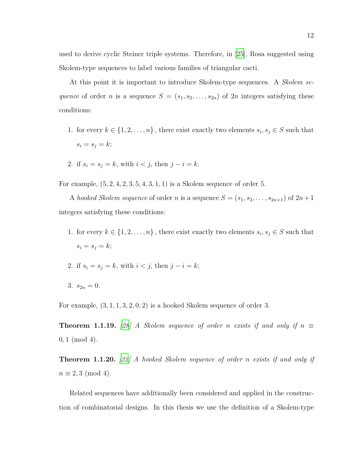used to derive cyclic Steiner triple systems. Therefore, in [[25](#page-35-5)], Rosa suggested using Skolem-type sequences to label various families of triangular cacti.

At this point it is important to introduce Skolem-type sequences. A *Skolem sequence* of order *n* is a sequence  $S = (s_1, s_2, \ldots, s_{2n})$  of 2*n* integers satisfying these conditions:

- 1. for every  $k \in \{1, 2, \ldots, n\}$ , there exist exactly two elements  $s_i, s_j \in S$  such that  $s_i = s_j = k;$
- 2. if  $s_i = s_j = k$ , with  $i < j$ , then  $j i = k$ .

For example, (5*,* 2*,* 4*,* 2*,* 3*,* 5*,* 4*,* 3*,* 1*,* 1) is a Skolem sequence of order 5.

A *hooked Skolem sequence* of order *n* is a sequence  $S = (s_1, s_2, \ldots, s_{2n+1})$  of  $2n+1$ integers satisfying these conditions:

- 1. for every  $k \in \{1, 2, \ldots, n\}$ , there exist exactly two elements  $s_i, s_j \in S$  such that  $s_i = s_j = k;$
- 2. if  $s_i = s_j = k$ , with  $i < j$ , then  $j i = k$ ;
- 3.  $s_{2n} = 0$ .

For example,  $(3, 1, 1, 3, 2, 0, 2)$  is a hooked Skolem sequence of order 3.

**Theorem 1.1.19.** [\[28](#page-35-6)] A Skolem sequence of order *n* exists if and only if  $n \equiv$ 0*,* 1 (mod 4)*.*

**Theorem 1.1.20.** *[\[22](#page-35-7)] A hooked Skolem sequence of order n exists if and only if*  $n \equiv 2,3 \pmod{4}$ .

Related sequences have additionally been considered and applied in the construction of combinatorial designs. In this thesis we use the definition of a Skolem-type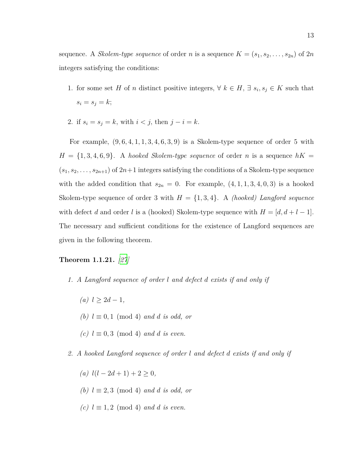sequence. A *Skolem-type sequence* of order *n* is a sequence  $K = (s_1, s_2, \ldots, s_{2n})$  of  $2n$ integers satisfying the conditions:

- 1. for some set *H* of *n* distinct positive integers,  $\forall k \in H$ ,  $\exists s_i, s_j \in K$  such that  $s_i = s_j = k;$
- 2. if  $s_i = s_j = k$ , with  $i < j$ , then  $j i = k$ .

For example,  $(9, 6, 4, 1, 1, 3, 4, 6, 3, 9)$  is a Skolem-type sequence of order 5 with  $H = \{1, 3, 4, 6, 9\}$ . A *hooked Skolem-type sequence* of order *n* is a sequence  $hK =$  $(s_1, s_2, \ldots, s_{2n+1})$  of  $2n+1$  integers satisfying the conditions of a Skolem-type sequence with the added condition that  $s_{2n} = 0$ . For example,  $(4, 1, 1, 3, 4, 0, 3)$  is a hooked Skolem-type sequence of order 3 with  $H = \{1, 3, 4\}$ . A *(hooked) Langford sequence* with defect *d* and order *l* is a (hooked) Skolem-type sequence with  $H = [d, d + l - 1]$ . The necessary and sufficient conditions for the existence of Langford sequences are given in the following theorem.

#### **Theorem 1.1.21.** *[\[27](#page-35-8)]*

- *1. A Langford sequence of order l and defect d exists if and only if*
	- *(a)*  $l \geq 2d 1$ *,*
	- $(b)$  *l* ≡ 0, 1 (mod 4) *and d is odd, or*
	- $(c)$  *l* ≡ 0,3 (mod 4) *and d is even.*
- *2. A hooked Langford sequence of order l and defect d exists if and only if*
	- *(a)*  $l(l − 2d + 1) + 2 > 0$ ,  $(b)$  *l* ≡ 2,3 (mod 4) *and d is odd, or*
	- $(c)$  *l* ≡ 1, 2 (mod 4) *and d is even.*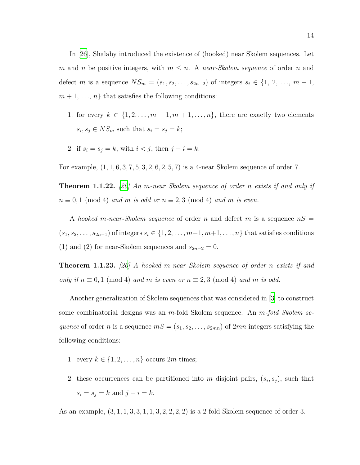In [\[26\]](#page-35-9), Shalaby introduced the existence of (hooked) near Skolem sequences. Let *m* and *n* be positive integers, with  $m \leq n$ . A *near-Skolem sequence* of order *n* and defect *m* is a sequence  $NS_m = (s_1, s_2, \ldots, s_{2n-2})$  of integers  $s_i \in \{1, 2, \ldots, m-1,$  $m+1, \ldots, n$  that satisfies the following conditions:

- 1. for every  $k \in \{1, 2, \ldots, m-1, m+1, \ldots, n\}$ , there are exactly two elements  $s_i, s_j \in NS_m$  such that  $s_i = s_j = k$ ;
- 2. if  $s_i = s_j = k$ , with  $i < j$ , then  $j i = k$ .

For example, (1*,* 1*,* 6*,* 3*,* 7*,* 5*,* 3*,* 2*,* 6*,* 2*,* 5*,* 7) is a 4-near Skolem sequence of order 7.

**Theorem 1.1.22.** *[\[26](#page-35-9)] An m-near Skolem sequence of order n exists if and only if*  $n \equiv 0, 1 \pmod{4}$  *and m is odd or*  $n \equiv 2, 3 \pmod{4}$  *and m is even.* 

A *hooked m-near-Skolem sequence* of order *n* and defect *m* is a sequence *nS* =  $(s_1, s_2, \ldots, s_{2n-1})$  of integers  $s_i \in \{1, 2, \ldots, m-1, m+1, \ldots, n\}$  that satisfies conditions (1) and (2) for near-Skolem sequences and  $s_{2n-2} = 0$ .

**Theorem 1.1.23.** *[[26\]](#page-35-9) A hooked m-near Skolem sequence of order n exists if and only if*  $n \equiv 0, 1 \pmod{4}$  *and*  $m$  *is even or*  $n \equiv 2, 3 \pmod{4}$  *and*  $m$  *is odd.* 

Another generalization of Skolem sequences that was considered in [[3\]](#page-33-5) to construct some combinatorial designs was an *m*-fold Skolem sequence. An *m-fold Skolem sequence* of order *n* is a sequence  $mS = (s_1, s_2, \ldots, s_{2mn})$  of 2*mn* integers satisfying the following conditions:

- 1. every  $k \in \{1, 2, \ldots, n\}$  occurs 2*m* times;
- 2. these occurrences can be partitioned into *m* disjoint pairs,  $(s_i, s_j)$ , such that  $s_i = s_j = k$  and  $j - i = k$ .

As an example, (3*,* 1*,* 1*,* 3*,* 3*,* 1*,* 1*,* 3*,* 2*,* 2*,* 2*,* 2) is a 2-fold Skolem sequence of order 3.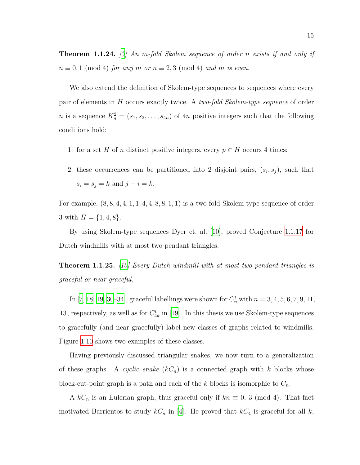**Theorem 1.1.24.** *[\[3](#page-33-5)] An m-fold Skolem sequence of order n exists if and only if*  $n \equiv 0, 1 \pmod{4}$  *for any*  $m \text{ or } n \equiv 2, 3 \pmod{4}$  *and*  $m \text{ is even.}$ 

We also extend the definition of Skolem-type sequences to sequences where every pair of elements in *H* occurs exactly twice. A *two-fold Skolem-type sequence* of order *n* is a sequence  $K_n^2 = (s_1, s_2, \ldots, s_{4n})$  of 4*n* positive integers such that the following conditions hold:

- 1. for a set *H* of *n* distinct positive integers, every  $p \in H$  occurs 4 times;
- 2. these occurrences can be partitioned into 2 disjoint pairs,  $(s_i, s_j)$ , such that  $s_i = s_j = k$  and  $j - i = k$ .

For example,  $(8, 8, 4, 4, 1, 1, 4, 4, 8, 8, 1, 1)$  is a two-fold Skolem-type sequence of order 3 with  $H = \{1, 4, 8\}.$ 

By using Skolem-type sequences Dyer et. al. [\[10\]](#page-34-7), proved Conjecture [1.1.17](#page-23-1) for Dutch windmills with at most two pendant triangles.

**Theorem 1.1.25.** *[[10\]](#page-34-7) Every Dutch windmill with at most two pendant triangles is graceful or near graceful.*

In [[7,](#page-33-6) [18](#page-34-8), [19,](#page-35-10) [30](#page-36-0)[–34\]](#page-36-1), graceful labellings were shown for  $C_n^t$  with  $n = 3, 4, 5, 6, 7, 9, 11$ , 13, respectively, as well as for  $C_{4k}^t$  in [\[19](#page-35-10)]. In this thesis we use Skolem-type sequences to gracefully (and near gracefully) label new classes of graphs related to windmills. Figure [1.10](#page-28-0) shows two examples of these classes.

Having previously discussed triangular snakes, we now turn to a generalization of these graphs. A *cyclic snake*  $(kC_n)$  is a connected graph with *k* blocks whose block-cut-point graph is a path and each of the  $k$  blocks is isomorphic to  $C_n$ .

A  $kC_n$  is an Eulerian graph, thus graceful only if  $kn \equiv 0, 3 \pmod{4}$ . That fact motivated Barrientos to study  $kC_n$  in [\[4](#page-33-3)]. He proved that  $kC_4$  is graceful for all  $k$ ,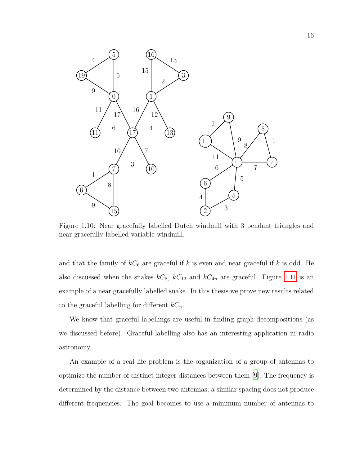<span id="page-28-0"></span>

Figure 1.10: Near gracefully labelled Dutch windmill with 3 pendant triangles and near gracefully labelled variable windmill.

and that the family of  $kC_6$  are graceful if k is even and near graceful if k is odd. He also discussed when the snakes  $kC_8$ ,  $kC_{12}$  and  $kC_{4n}$  are graceful. Figure [1.11](#page-29-0) is an example of a near gracefully labelled snake. In this thesis we prove new results related to the graceful labelling for different  $k_n$ .

We know that graceful labellings are useful in finding graph decompositions (as we discussed before). Graceful labelling also has an interesting application in radio astronomy.

An example of a real life problem is the organization of a group of antennas to optimize the number of distinct integer distances between them[[9\]](#page-34-9). The frequency is determined by the distance between two antennas; a similar spacing does not produce different frequencies. The goal becomes to use a minimum number of antennas to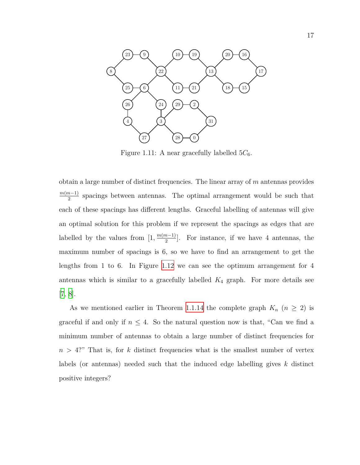<span id="page-29-0"></span>

Figure 1.11: A near gracefully labelled  $5C_6$ .

obtain a large number of distinct frequencies. The linear array of *m* antennas provides *m*(*m*<sup>−1</sup>)</sub> spacings between antennas. The optimal arrangement would be such that each of these spacings has different lengths. Graceful labelling of antennas will give an optimal solution for this problem if we represent the spacings as edges that are labelled by the values from  $\left[1, \frac{m(m-1)}{2}\right]$ . For instance, if we have 4 antennas, the maximum number of spacings is 6, so we have to find an arrangement to get the lengths from 1 to 6. In Figure [1.12](#page-30-1) we can see the optimum arrangement for 4 antennas which is similar to a gracefully labelled *K*<sup>4</sup> graph. For more details see [[7](#page-33-6), [8](#page-34-6)].

As we mentioned earlier in Theorem [1.1.14](#page-20-2) the complete graph  $K_n$  ( $n \geq 2$ ) is graceful if and only if  $n \leq 4$ . So the natural question now is that, "Can we find a minimum number of antennas to obtain a large number of distinct frequencies for  $n > 4$ ?" That is, for *k* distinct frequencies what is the smallest number of vertex labels (or antennas) needed such that the induced edge labelling gives *k* distinct positive integers?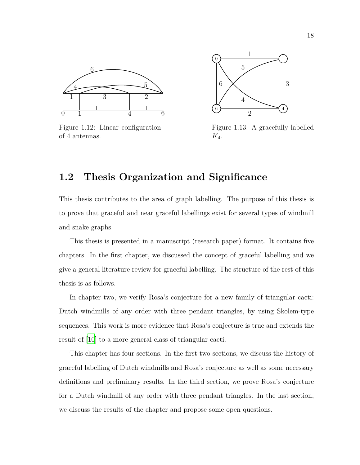<span id="page-30-1"></span>

Figure 1.12: Linear configuration of 4 antennas.



Figure 1.13: A gracefully labelled *K*4.

#### <span id="page-30-0"></span>**1.2 Thesis Organization and Significance**

This thesis contributes to the area of graph labelling. The purpose of this thesis is to prove that graceful and near graceful labellings exist for several types of windmill and snake graphs.

This thesis is presented in a manuscript (research paper) format. It contains five chapters. In the first chapter, we discussed the concept of graceful labelling and we give a general literature review for graceful labelling. The structure of the rest of this thesis is as follows.

In chapter two, we verify Rosa's conjecture for a new family of triangular cacti: Dutch windmills of any order with three pendant triangles, by using Skolem-type sequences. This work is more evidence that Rosa's conjecture is true and extends the result of [[10](#page-34-7)] to a more general class of triangular cacti.

This chapter has four sections. In the first two sections, we discuss the history of graceful labelling of Dutch windmills and Rosa's conjecture as well as some necessary definitions and preliminary results. In the third section, we prove Rosa's conjecture for a Dutch windmill of any order with three pendant triangles. In the last section, we discuss the results of the chapter and propose some open questions.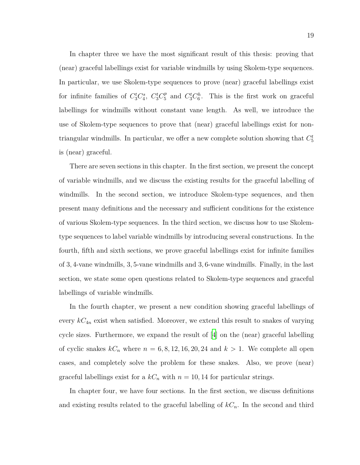In chapter three we have the most significant result of this thesis: proving that (near) graceful labellings exist for variable windmills by using Skolem-type sequences. In particular, we use Skolem-type sequences to prove (near) graceful labellings exist for infinite families of  $C_3^t C_4^s$ ,  $C_3^t C_5^p$  $L_5^p$  and  $C_3^t C_6^h$ . This is the first work on graceful labellings for windmills without constant vane length. As well, we introduce the use of Skolem-type sequences to prove that (near) graceful labellings exist for nontriangular windmills. In particular, we offer a new complete solution showing that  $C_5^t$ is (near) graceful.

There are seven sections in this chapter. In the first section, we present the concept of variable windmills, and we discuss the existing results for the graceful labelling of windmills. In the second section, we introduce Skolem-type sequences, and then present many definitions and the necessary and sufficient conditions for the existence of various Skolem-type sequences. In the third section, we discuss how to use Skolemtype sequences to label variable windmills by introducing several constructions. In the fourth, fifth and sixth sections, we prove graceful labellings exist for infinite families of 3*,* 4-vane windmills, 3*,* 5-vane windmills and 3*,* 6-vane windmills. Finally, in the last section, we state some open questions related to Skolem-type sequences and graceful labellings of variable windmills.

In the fourth chapter, we present a new condition showing graceful labellings of every  $kC_{4n}$  exist when satisfied. Moreover, we extend this result to snakes of varying cycle sizes. Furthermore, we expand the result of [\[4](#page-33-3)] on the (near) graceful labelling of cyclic snakes  $k_n$  where  $n = 6, 8, 12, 16, 20, 24$  and  $k > 1$ . We complete all open cases, and completely solve the problem for these snakes. Also, we prove (near) graceful labellings exist for a  $kC_n$  with  $n = 10, 14$  for particular strings.

In chapter four, we have four sections. In the first section, we discuss definitions and existing results related to the graceful labelling of  $k_n$ . In the second and third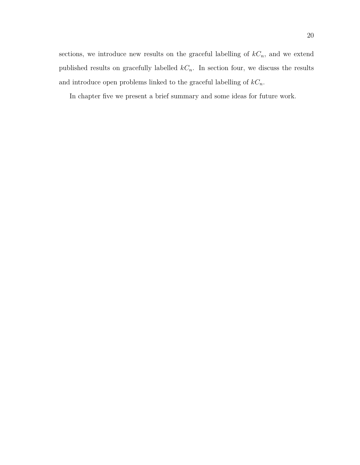sections, we introduce new results on the graceful labelling of  $kC_n$ , and we extend published results on gracefully labelled *kCn*. In section four, we discuss the results and introduce open problems linked to the graceful labelling of  $kC_n$ .

In chapter five we present a brief summary and some ideas for future work.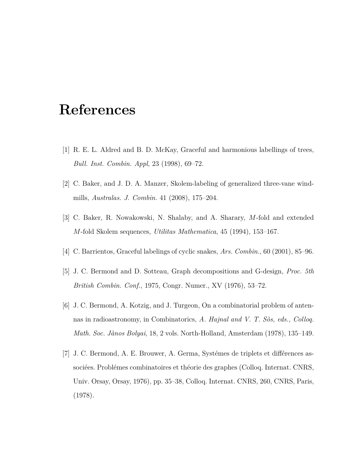### <span id="page-33-0"></span>**References**

- <span id="page-33-2"></span>[1] R. E. L. Aldred and B. D. McKay, Graceful and harmonious labellings of trees, *Bull. Inst. Combin. Appl*, 23 (1998), 69–72.
- [2] C. Baker, and J. D. A. Manzer, Skolem-labeling of generalized three-vane windmills, *Australas. J. Combin.* 41 (2008), 175–204.
- <span id="page-33-5"></span>[3] C. Baker, R. Nowakowski, N. Shalaby, and A. Sharary, *M*-fold and extended *M*-fold Skolem sequences, *Utilitas Mathematica*, 45 (1994), 153–167.
- <span id="page-33-3"></span>[4] C. Barrientos, Graceful labelings of cyclic snakes, *Ars. Combin.*, 60 (2001), 85–96.
- <span id="page-33-1"></span>[5] J. C. Bermond and D. Sotteau, Graph decompositions and G-design, *Proc. 5th British Combin. Conf.*, 1975, Congr. Numer., XV (1976), 53–72.
- <span id="page-33-4"></span>[6] J. C. Bermond, A. Kotzig, and J. Turgeon, On a combinatorial problem of antennas in radioastronomy, in Combinatorics, *A. Hajnal and V. T. Sòs, eds., Colloq. Math. Soc. Jànos Bolyai*, 18, 2 vols. North-Holland, Amsterdam (1978), 135–149.
- <span id="page-33-6"></span>[7] J. C. Bermond, A. E. Brouwer, A. Germa, Systémes de triplets et différences associées. Problémes combinatoires et théorie des graphes (Colloq. Internat. CNRS, Univ. Orsay, Orsay, 1976), pp. 35–38, Colloq. Internat. CNRS, 260, CNRS, Paris, (1978).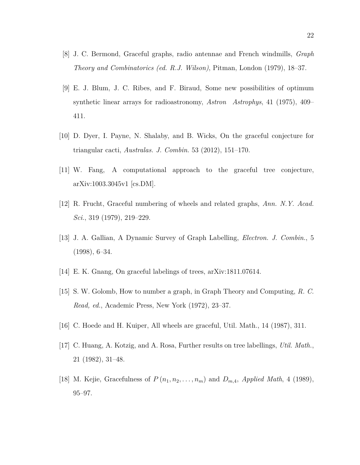- <span id="page-34-6"></span>[8] J. C. Bermond, Graceful graphs, radio antennae and French windmills, *Graph Theory and Combinatorics (ed. R.J. Wilson)*, Pitman, London (1979), 18–37.
- <span id="page-34-9"></span>[9] E. J. Blum, J. C. Ribes, and F. Biraud, Some new possibilities of optimum synthetic linear arrays for radioastronomy, *Astron Astrophys*, 41 (1975), 409– 411.
- <span id="page-34-7"></span>[10] D. Dyer, I. Payne, N. Shalaby, and B. Wicks, On the graceful conjecture for triangular cacti, *Australas. J. Combin.* 53 (2012), 151–170.
- <span id="page-34-3"></span>[11] W. Fang, A computational approach to the graceful tree conjecture, arXiv:1003.3045v1 [cs.DM].
- <span id="page-34-4"></span>[12] R. Frucht, Graceful numbering of wheels and related graphs, *Ann. N.Y. Acad. Sci.*, 319 (1979), 219–229.
- [13] J. A. Gallian, A Dynamic Survey of Graph Labelling, *Electron. J. Combin.*, 5 (1998), 6–34.
- <span id="page-34-2"></span>[14] E. K. Gnang, On graceful labelings of trees, arXiv:1811.07614.
- <span id="page-34-0"></span>[15] S. W. Golomb, How to number a graph, in Graph Theory and Computing, *R. C. Read, ed.*, Academic Press, New York (1972), 23–37.
- <span id="page-34-5"></span>[16] C. Hoede and H. Kuiper, All wheels are graceful, Util. Math., 14 (1987), 311.
- <span id="page-34-1"></span>[17] C. Huang, A. Kotzig, and A. Rosa, Further results on tree labellings, *Util. Math.*, 21 (1982), 31–48.
- <span id="page-34-8"></span>[18] M. Kejie, Gracefulness of  $P(n_1, n_2, \ldots, n_m)$  and  $D_{m,4}$ , *Applied Math*, 4 (1989), 95–97.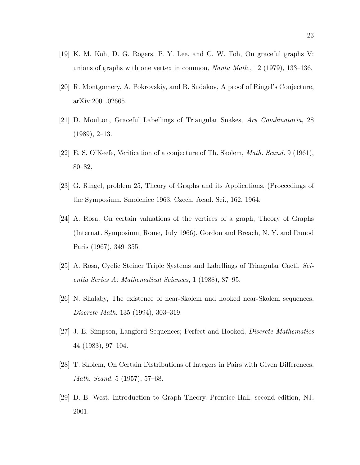- <span id="page-35-10"></span>[19] K. M. Koh, D. G. Rogers, P. Y. Lee, and C. W. Toh, On graceful graphs V: unions of graphs with one vertex in common, *Nanta Math.*, 12 (1979), 133–136.
- <span id="page-35-3"></span>[20] R. Montgomery, A. Pokrovskiy, and B. Sudakov, A proof of Ringel's Conjecture, arXiv:2001.02665.
- <span id="page-35-4"></span>[21] D. Moulton, Graceful Labellings of Triangular Snakes, *Ars Combinatoria*, 28 (1989), 2–13.
- <span id="page-35-7"></span>[22] E. S. O'Keefe, Verification of a conjecture of Th. Skolem, *Math. Scand.* 9 (1961), 80–82.
- <span id="page-35-1"></span>[23] G. Ringel, problem 25, Theory of Graphs and its Applications, (Proceedings of the Symposium, Smolenice 1963, Czech. Acad. Sci., 162, 1964.
- <span id="page-35-2"></span>[24] A. Rosa, On certain valuations of the vertices of a graph, Theory of Graphs (Internat. Symposium, Rome, July 1966), Gordon and Breach, N. Y. and Dunod Paris (1967), 349–355.
- <span id="page-35-5"></span>[25] A. Rosa, Cyclic Steiner Triple Systems and Labellings of Triangular Cacti, *Scientia Series A: Mathematical Sciences*, 1 (1988), 87–95.
- <span id="page-35-9"></span>[26] N. Shalaby, The existence of near-Skolem and hooked near-Skolem sequences, *Discrete Math.* 135 (1994), 303–319.
- <span id="page-35-8"></span>[27] J. E. Simpson, Langford Sequences; Perfect and Hooked, *Discrete Mathematics* 44 (1983), 97–104.
- <span id="page-35-6"></span>[28] T. Skolem, On Certain Distributions of Integers in Pairs with Given Differences, *Math. Scand.* 5 (1957), 57–68.
- <span id="page-35-0"></span>[29] D. B. West. Introduction to Graph Theory. Prentice Hall, second edition, NJ, 2001.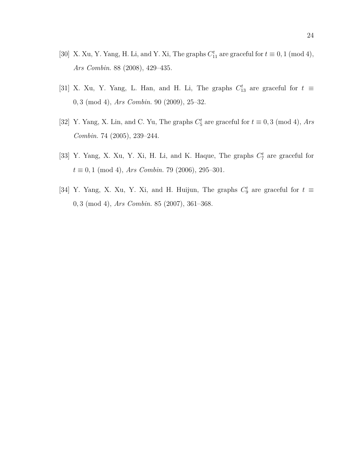- [30] X. Xu, Y. Yang, H. Li, and Y. Xi, The graphs  $C_{11}^t$  are graceful for  $t \equiv 0, 1 \pmod{4}$ , *Ars Combin.* 88 (2008), 429–435.
- [31] X. Xu, Y. Yang, L. Han, and H. Li, The graphs  $C_{13}^t$  are graceful for  $t \equiv$ 0*,* 3 (mod 4), *Ars Combin.* 90 (2009), 25–32.
- [32] Y. Yang, X. Lin, and C. Yu, The graphs  $C_5^t$  are graceful for  $t \equiv 0, 3 \pmod{4}$ , *Ars Combin.* 74 (2005), 239–244.
- [33] Y. Yang, X. Xu, Y. Xi, H. Li, and K. Haque, The graphs  $C_7^t$  are graceful for *t ≡* 0*,* 1 (mod 4), *Ars Combin.* 79 (2006), 295–301.
- [34] Y. Yang, X. Xu, Y. Xi, and H. Huijun, The graphs  $C_9^t$  are graceful for  $t \equiv$ 0*,* 3 (mod 4), *Ars Combin.* 85 (2007), 361–368.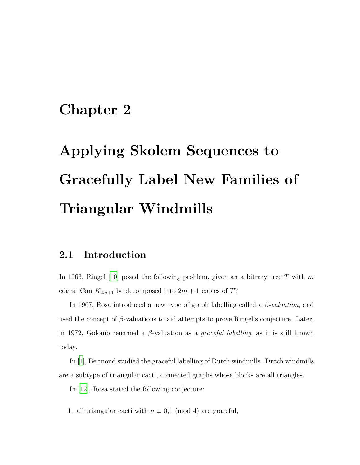### **Chapter 2**

# **Applying Skolem Sequences to Gracefully Label New Families of Triangular Windmills**

#### **2.1 Introduction**

In 1963, Ringel [\[10](#page-70-0)] posed the following problem, given an arbitrary tree *T* with *m* edges: Can  $K_{2m+1}$  be decomposed into  $2m+1$  copies of  $T$ ?

In 1967, Rosa introduced a new type of graph labelling called a *β*-*valuation*, and used the concept of *β*-valuations to aid attempts to prove Ringel's conjecture. Later, in 1972, Golomb renamed a *β*-valuation as a *graceful labelling*, as it is still known today.

In [\[1\]](#page-69-0), Bermond studied the graceful labelling of Dutch windmills. Dutch windmills are a subtype of triangular cacti, connected graphs whose blocks are all triangles.

In [\[12\]](#page-70-1), Rosa stated the following conjecture:

1. all triangular cacti with  $n \equiv 0,1 \pmod{4}$  are graceful,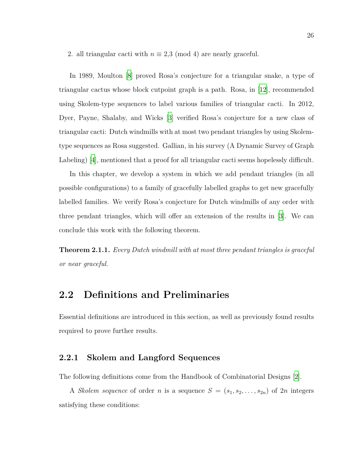2. all triangular cacti with  $n \equiv 2.3 \pmod{4}$  are nearly graceful.

In 1989, Moulton [\[8\]](#page-69-1) proved Rosa's conjecture for a triangular snake, a type of triangular cactus whose block cutpoint graph is a path. Rosa, in [\[12](#page-70-1)], recommended using Skolem-type sequences to label various families of triangular cacti. In 2012, Dyer, Payne, Shalaby, and Wicks [\[3](#page-69-2)] verified Rosa's conjecture for a new class of triangular cacti: Dutch windmills with at most two pendant triangles by using Skolemtype sequences as Rosa suggested. Gallian, in his survey (A Dynamic Survey of Graph Labeling) [\[4](#page-69-3)], mentioned that a proof for all triangular cacti seems hopelessly difficult.

In this chapter, we develop a system in which we add pendant triangles (in all possible configurations) to a family of gracefully labelled graphs to get new gracefully labelled families. We verify Rosa's conjecture for Dutch windmills of any order with three pendant triangles, which will offer an extension of the results in [\[3](#page-69-2)]. We can conclude this work with the following theorem.

**Theorem 2.1.1.** *Every Dutch windmill with at most three pendant triangles is graceful or near graceful.*

#### **2.2 Definitions and Preliminaries**

Essential definitions are introduced in this section, as well as previously found results required to prove further results.

#### <span id="page-38-0"></span>**2.2.1 Skolem and Langford Sequences**

The following definitions come from the Handbook of Combinatorial Designs [\[2](#page-69-4)].

A *Skolem sequence* of order *n* is a sequence  $S = (s_1, s_2, \ldots, s_{2n})$  of  $2n$  integers satisfying these conditions: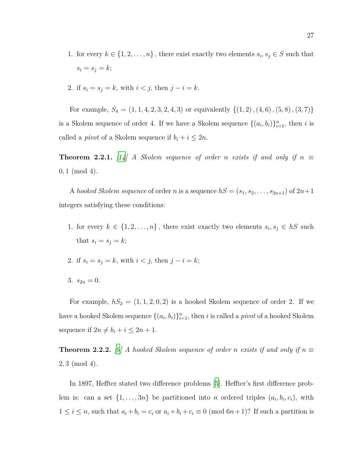- 1. for every  $k \in \{1, 2, \ldots, n\}$ , there exist exactly two elements  $s_i, s_j \in S$  such that  $s_i = s_j = k;$
- 2. if  $s_i = s_j = k$ , with  $i < j$ , then  $j i = k$ .

For example,  $S_4 = (1, 1, 4, 2, 3, 2, 4, 3)$  or equivalently  $\{(1, 2), (4, 6), (5, 8), (3, 7)\}$ is a Skolem sequence of order 4. If we have a Skolem sequence  $\{(a_i, b_i)\}_{i=1}^n$ , then *i* is called a *pivot* of a Skolem sequence if  $b_i + i \leq 2n$ .

**Theorem 2.2.1.** [\[14](#page-70-2)] A Skolem sequence of order *n* exists if and only if  $n \equiv$ 0*,* 1 (mod 4)*.*

A *hooked Skolem sequence* of order *n* is a sequence  $hS = (s_1, s_2, \ldots, s_{2n+1})$  of  $2n+1$ integers satisfying these conditions:

- 1. for every  $k \in \{1, 2, \ldots, n\}$ , there exist exactly two elements  $s_i, s_j \in hS$  such that  $s_i = s_j = k$ ;
- 2. if  $s_i = s_j = k$ , with  $i < j$ , then  $j i = k$ ;
- 3.  $s_{2n} = 0$ .

For example,  $hS_2 = (1, 1, 2, 0, 2)$  is a hooked Skolem sequence of order 2. If we have a hooked Skolem sequence  $\{(a_i, b_i)\}_{i=1}^n$ , then *i* is called a *pivot* of a hooked Skolem sequence if  $2n \neq b_i + i \leq 2n + 1$ .

**Theorem 2.2.2.** [[9\]](#page-70-3) A hooked Skolem sequence of order *n* exists if and only if  $n \equiv$ 2*,* 3 (mod 4)*.*

In 1897, Heffter stated two difference problems [[5\]](#page-69-5). Heffter's first difference problem is: can a set  $\{1, \ldots, 3n\}$  be partitioned into *n* ordered triples  $(a_i, b_i, c_i)$ , with  $1 \leq i \leq n$ , such that  $a_i + b_i = c_i$  or  $a_i + b_i + c_i \equiv 0 \pmod{6n+1}$ ? If such a partition is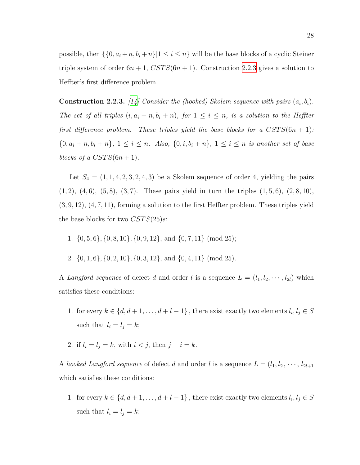possible, then  $\{\{0, a_i + n, b_i + n\} | 1 \le i \le n\}$  will be the base blocks of a cyclic Steiner triple system of order  $6n + 1$ ,  $CSTS(6n + 1)$ . Construction [2.2.3](#page-40-0) gives a solution to Heffter's first difference problem.

<span id="page-40-0"></span>**Construction 2.2.3.** [\[14](#page-70-2)] Consider the (hooked) Skolem sequence with pairs  $(a_i, b_i)$ . *The set of all triples*  $(i, a_i + n, b_i + n)$ *, for*  $1 \leq i \leq n$ *, is a solution to the Heffter first difference problem. These triples yield the base blocks for a*  $CSTS(6n + 1)$ *:*  $\{0,a_i+n,b_i+n\},\ 1\leq i\leq n.$  Also,  $\{0,i,b_i+n\},\ 1\leq i\leq n$  is another set of base *blocks of a*  $CSTS(6n+1)$ *.* 

Let  $S_4 = (1, 1, 4, 2, 3, 2, 4, 3)$  be a Skolem sequence of order 4, yielding the pairs (1*,* 2), (4*,* 6), (5*,* 8), (3*,* 7). These pairs yield in turn the triples (1*,* 5*,* 6), (2*,* 8*,* 10), (3*,* 9*,* 12), (4*,* 7*,* 11), forming a solution to the first Heffter problem. These triples yield the base blocks for two *CST S*(25)*s*:

- 1. *{*0*,* 5*,* 6*}, {*0*,* 8*,* 10*}, {*0*,* 9*,* 12*},* and *{*0*,* 7*,* 11*}* (mod 25);
- 2. *{*0*,* 1*,* 6*}, {*0*,* 2*,* 10*}, {*0*,* 3*,* 12*},* and *{*0*,* 4*,* 11*}* (mod 25).

A *Langford sequence* of defect *d* and order *l* is a sequence  $L = (l_1, l_2, \dots, l_{2l})$  which satisfies these conditions:

- 1. for every  $k \in \{d, d+1, \ldots, d+l-1\}$ , there exist exactly two elements  $l_i, l_j \in S$ such that  $l_i = l_j = k$ ;
- 2. if  $l_i = l_j = k$ , with  $i < j$ , then  $j i = k$ .

A *hooked Langford sequence* of defect *d* and order *l* is a sequence  $L = (l_1, l_2, \dots, l_{2l+1})$ which satisfies these conditions:

1. for every  $k \in \{d, d+1, \ldots, d+l-1\}$ , there exist exactly two elements  $l_i, l_j \in S$ such that  $l_i = l_j = k$ ;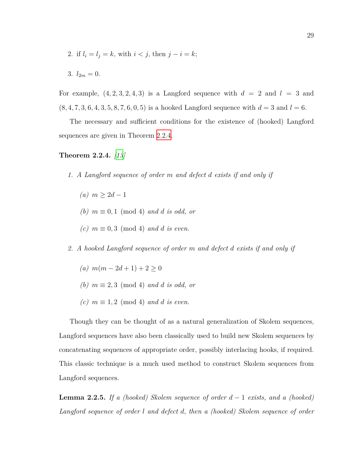- 2. if  $l_i = l_j = k$ , with  $i < j$ , then  $j i = k$ ;
- 3.  $l_{2m} = 0$ .

For example,  $(4, 2, 3, 2, 4, 3)$  is a Langford sequence with  $d = 2$  and  $l = 3$  and  $(8, 4, 7, 3, 6, 4, 3, 5, 8, 7, 6, 0, 5)$  is a hooked Langford sequence with  $d = 3$  and  $l = 6$ .

The necessary and sufficient conditions for the existence of (hooked) Langford sequences are given in Theorem [2.2.4.](#page-41-0)

#### <span id="page-41-0"></span>**Theorem 2.2.4.** *[\[13](#page-70-4)]*

- *1. A Langford sequence of order m and defect d exists if and only if*
	- $(a)$  *m*  $>$  2*d −* 1
	- $(b)$  *m* ≡ 0,1 (mod 4) *and d is odd, or*
	- $(c)$  *m* ≡ 0,3 (mod 4) *and d is even.*
- *2. A hooked Langford sequence of order m and defect d exists if and only if*
	- *(a)*  $m(m − 2d + 1) + 2 \geq 0$
	- *(b)*  $m \equiv 2, 3 \pmod{4}$  *and d is odd, or*
	- $(c)$  *m* ≡ 1, 2 (mod 4) *and d is even.*

Though they can be thought of as a natural generalization of Skolem sequences, Langford sequences have also been classically used to build new Skolem sequences by concatenating sequences of appropriate order, possibly interlacing hooks, if required. This classic technique is a much used method to construct Skolem sequences from Langford sequences.

<span id="page-41-1"></span>**Lemma 2.2.5.** *If a (hooked)* Skolem sequence of order  $d-1$  exists, and a (hooked) *Langford sequence of order l and defect d, then a (hooked) Skolem sequence of order*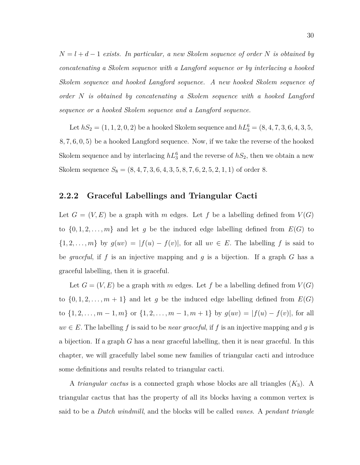*N* = *l* + *d −* 1 *exists. In particular, a new Skolem sequence of order N is obtained by concatenating a Skolem sequence with a Langford sequence or by interlacing a hooked Skolem sequence and hooked Langford sequence. A new hooked Skolem sequence of order N is obtained by concatenating a Skolem sequence with a hooked Langford sequence or a hooked Skolem sequence and a Langford sequence.*

Let  $hS_2 = (1, 1, 2, 0, 2)$  be a hooked Skolem sequence and  $hL_3^6 = (8, 4, 7, 3, 6, 4, 3, 5,$ 8*,* 7*,* 6*,* 0*,* 5) be a hooked Langford sequence. Now, if we take the reverse of the hooked Skolem sequence and by interlacing  $hL_3^6$  and the reverse of  $hS_2$ , then we obtain a new Skolem sequence  $S_8 = (8, 4, 7, 3, 6, 4, 3, 5, 8, 7, 6, 2, 5, 2, 1, 1)$  of order 8.

#### **2.2.2 Graceful Labellings and Triangular Cacti**

Let  $G = (V, E)$  be a graph with *m* edges. Let f be a labelling defined from  $V(G)$ to  $\{0, 1, 2, \ldots, m\}$  and let g be the induced edge labelling defined from  $E(G)$  to  $\{1, 2, \ldots, m\}$  by  $g(uv) = |f(u) - f(v)|$ , for all  $uv \in E$ . The labelling *f* is said to be *graceful*, if *f* is an injective mapping and *g* is a bijection. If a graph *G* has a graceful labelling, then it is graceful.

Let  $G = (V, E)$  be a graph with *m* edges. Let f be a labelling defined from  $V(G)$ to  $\{0, 1, 2, \ldots, m + 1\}$  and let *g* be the induced edge labelling defined from  $E(G)$ to  $\{1, 2, ..., m-1, m\}$  or  $\{1, 2, ..., m-1, m+1\}$  by  $g(uv) = |f(u) - f(v)|$ , for all  $uv \in E$ . The labelling f is said to be *near graceful*, if f is an injective mapping and q is a bijection. If a graph *G* has a near graceful labelling, then it is near graceful. In this chapter, we will gracefully label some new families of triangular cacti and introduce some definitions and results related to triangular cacti.

A *triangular cactus* is a connected graph whose blocks are all triangles (*K*3). A triangular cactus that has the property of all its blocks having a common vertex is said to be a *Dutch windmill*, and the blocks will be called *vanes*. A *pendant triangle*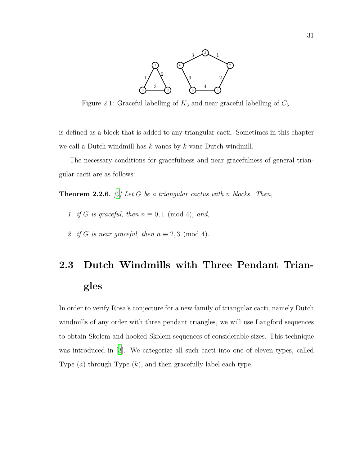

<span id="page-43-1"></span>Figure 2.1: Graceful labelling of  $K_3$  and near graceful labelling of  $C_5$ .

is defined as a block that is added to any triangular cacti. Sometimes in this chapter we call a Dutch windmill has *k* vanes by *k*-vane Dutch windmill.

The necessary conditions for gracefulness and near gracefulness of general triangular cacti are as follows:

<span id="page-43-0"></span>**Theorem 2.2.6.** *[\[3](#page-69-2)] Let G be a triangular cactus with n blocks. Then,*

- *1. if G is graceful, then*  $n \equiv 0, 1 \pmod{4}$ , and,
- 2. *if G is near graceful, then*  $n \equiv 2,3 \pmod{4}$ .

# **2.3 Dutch Windmills with Three Pendant Triangles**

In order to verify Rosa's conjecture for a new family of triangular cacti, namely Dutch windmills of any order with three pendant triangles, we will use Langford sequences to obtain Skolem and hooked Skolem sequences of considerable sizes. This technique was introduced in [\[3](#page-69-2)]. We categorize all such cacti into one of eleven types, called Type (*a*) through Type (*k*), and then gracefully label each type.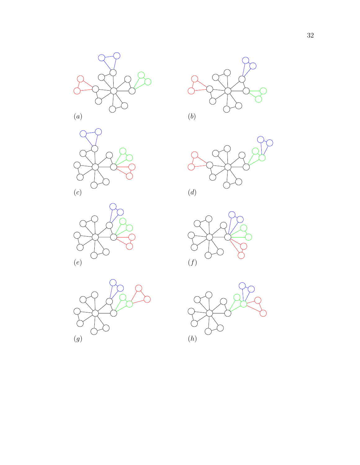









( *f* )



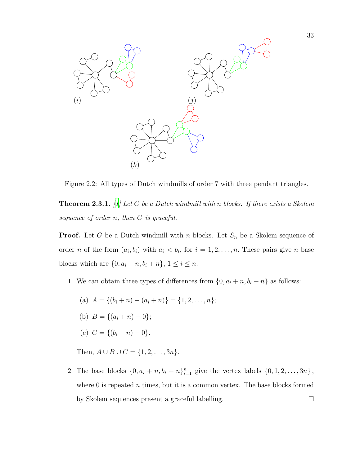<span id="page-45-0"></span>

Figure 2.2: All types of Dutch windmills of order 7 with three pendant triangles.

<span id="page-45-1"></span>**Theorem 2.3.1.** *[[1\]](#page-69-0) Let G be a Dutch windmill with n blocks. If there exists a Skolem sequence of order n, then G is graceful.*

**Proof.** Let *G* be a Dutch windmill with *n* blocks. Let *S<sup>n</sup>* be a Skolem sequence of order *n* of the form  $(a_i, b_i)$  with  $a_i < b_i$ , for  $i = 1, 2, \ldots, n$ . These pairs give *n* base blocks which are  $\{0, a_i + n, b_i + n\}, 1 \le i \le n$ .

- 1. We can obtain three types of differences from  $\{0, a_i + n, b_i + n\}$  as follows:
	- $(A) A = \{(b_i + n) (a_i + n)\} = \{1, 2, \ldots, n\};$
	- (b)  $B = \{(a_i + n) 0\};$
	- (c)  $C = \{(b_i + n) 0\}.$

Then,  $A ∪ B ∪ C = {1, 2, ..., 3n}.$ 

2. The base blocks  $\{0, a_i + n, b_i + n\}_{i=1}^n$  give the vertex labels  $\{0, 1, 2, ..., 3n\}$ , where  $0$  is repeated  $n$  times, but it is a common vertex. The base blocks formed by Skolem sequences present a graceful labelling.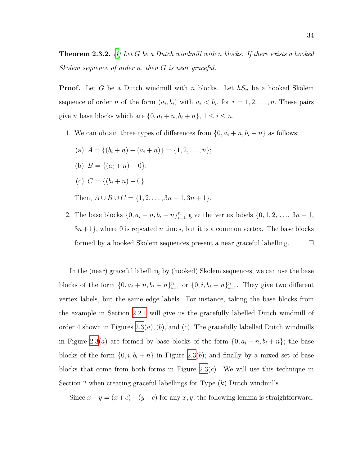<span id="page-46-0"></span>**Theorem 2.3.2.** *[\[1](#page-69-0)] Let G be a Dutch windmill with n blocks. If there exists a hooked Skolem sequence of order n, then G is near graceful.*

**Proof.** Let *G* be a Dutch windmill with *n* blocks. Let *hS<sup>n</sup>* be a hooked Skolem sequence of order *n* of the form  $(a_i, b_i)$  with  $a_i < b_i$ , for  $i = 1, 2, \ldots, n$ . These pairs give *n* base blocks which are  $\{0, a_i + n, b_i + n\}$ ,  $1 \le i \le n$ .

- 1. We can obtain three types of differences from  $\{0, a_i + n, b_i + n\}$  as follows:
	- $(A)$   $A = \{(b_i + n) (a_i + n)\} = \{1, 2, \ldots, n\};$
	- (b)  $B = \{(a_i + n) 0\};$
	- (c)  $C = \{(b_i + n) 0\}.$

Then,  $A \cup B \cup C = \{1, 2, \ldots, 3n - 1, 3n + 1\}.$ 

2. The base blocks  $\{0, a_i + n, b_i + n\}_{i=1}^n$  give the vertex labels  $\{0, 1, 2, ..., 3n - 1,$  $3n+1$ , where 0 is repeated *n* times, but it is a common vertex. The base blocks formed by a hooked Skolem sequences present a near graceful labelling.

In the (near) graceful labelling by (hooked) Skolem sequences, we can use the base blocks of the form  $\{0, a_i + n, b_i + n\}_{i=1}^n$  or  $\{0, i, b_i + n\}_{i=1}^n$ . They give two different vertex labels, but the same edge labels. For instance, taking the base blocks from the example in Section [2.2.1](#page-38-0) will give us the gracefully labelled Dutch windmill of order 4 shown in Figures [2.3](#page-47-0)(*a*)*,*(*b*)*,* and (*c*)*.* The gracefully labelled Dutch windmills in Figure [2.3](#page-47-0)(*a*) are formed by base blocks of the form  $\{0, a_i + n, b_i + n\}$ ; the base blocks of the form  $\{0, i, b_i + n\}$  in Figure [2.3](#page-47-0)(*b*); and finally by a mixed set of base blocks that come from both forms in Figure [2.3](#page-47-0)(*c*). We will use this technique in Section 2 when creating graceful labellings for Type (*k*) Dutch windmills.

Since  $x - y = (x + c) - (y + c)$  for any *x*, *y*, the following lemma is straightforward.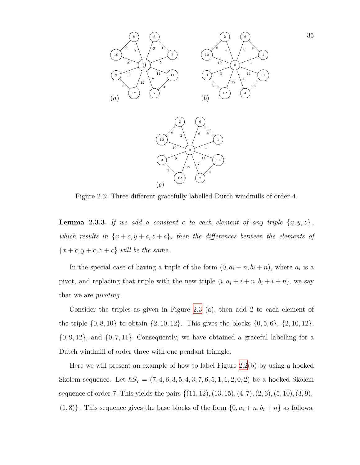<span id="page-47-0"></span>

Figure 2.3: Three different gracefully labelled Dutch windmills of order 4.

<span id="page-47-1"></span>**Lemma 2.3.3.** *If we add a constant c to each element of any triple*  $\{x, y, z\}$ , *which results in*  $\{x + c, y + c, z + c\}$ *, then the differences between the elements of*  ${x + c, y + c, z + c}$  *will be the same.* 

In the special case of having a triple of the form  $(0, a_i + n, b_i + n)$ , where  $a_i$  is a pivot, and replacing that triple with the new triple  $(i, a_i + i + n, b_i + i + n)$ , we say that we are *pivoting*.

Consider the triples as given in Figure [2.3](#page-47-0) (a), then add 2 to each element of the triple *{*0*,* 8*,* 10*}* to obtain *{*2*,* 10*,* 12*}*. This gives the blocks *{*0*,* 5*,* 6*}*, *{*2*,* 10*,* 12*}*, *{*0*,* 9*,* 12*}*, and *{*0*,* 7*,* 11*}.* Consequently, we have obtained a graceful labelling for a Dutch windmill of order three with one pendant triangle.

Here we will present an example of how to label Figure [2.2](#page-45-0)(b) by using a hooked Skolem sequence. Let  $hS_7 = (7, 4, 6, 3, 5, 4, 3, 7, 6, 5, 1, 1, 2, 0, 2)$  be a hooked Skolem sequence of order 7*.* This yields the pairs *{*(11*,* 12)*,*(13*,* 15)*,*(4*,* 7)*,*(2*,* 6)*,*(5*,* 10)*,*(3*,* 9)*,*  $(1, 8)$ *}*. This sequence gives the base blocks of the form  $\{0, a_i + n, b_i + n\}$  as follows: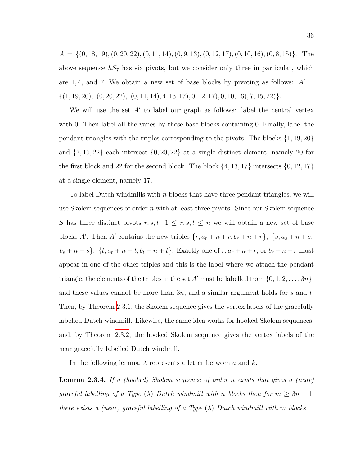$A = \{(0, 18, 19), (0, 20, 22), (0, 11, 14), (0, 9, 13), (0, 12, 17), (0, 10, 16), (0, 8, 15)\}.$  The above sequence  $hS_7$  has six pivots, but we consider only three in particular, which are 1, 4, and 7. We obtain a new set of base blocks by pivoting as follows:  $A' =$  $\{(1, 19, 20), (0, 20, 22), (0, 11, 14), (4, 13, 17), (0, 12, 17), (0, 10, 16), (7, 15, 22)\}.$ 

We will use the set *A′* to label our graph as follows: label the central vertex with 0. Then label all the vanes by these base blocks containing 0*.* Finally, label the pendant triangles with the triples corresponding to the pivots. The blocks *{*1*,* 19*,* 20*}* and *{*7*,* 15*,* 22*}* each intersect *{*0*,* 20*,* 22*}* at a single distinct element, namely 20 for the first block and 22 for the second block. The block *{*4*,* 13*,* 17*}* intersects *{*0*,* 12*,* 17*}* at a single element, namely 17*.*

To label Dutch windmills with *n* blocks that have three pendant triangles, we will use Skolem sequences of order *n* with at least three pivots. Since our Skolem sequence *S* has three distinct pivots  $r, s, t, 1 \le r, s, t \le n$  we will obtain a new set of base blocks *A'*. Then *A'* contains the new triples  $\{r, a_r + n + r, b_r + n + r\}$ ,  $\{s, a_s + n + s,$  $b_s + n + s$ ,  $\{t, a_t + n + t, b_t + n + t\}$ . Exactly one of  $r, a_r + n + r$ , or  $b_r + n + r$  must appear in one of the other triples and this is the label where we attach the pendant triangle; the elements of the triples in the set *A'* must be labelled from  $\{0, 1, 2, \ldots, 3n\}$ , and these values cannot be more than 3*n*, and a similar argument holds for *s* and *t*. Then, by Theorem [2.3.1,](#page-45-1) the Skolem sequence gives the vertex labels of the gracefully labelled Dutch windmill. Likewise, the same idea works for hooked Skolem sequences, and, by Theorem [2.3.2,](#page-46-0) the hooked Skolem sequence gives the vertex labels of the near gracefully labelled Dutch windmill.

In the following lemma, *λ* represents a letter between *a* and *k.*

<span id="page-48-0"></span>**Lemma 2.3.4.** *If a (hooked) Skolem sequence of order n exists that gives a (near) graceful labelling of a Type* ( $\lambda$ ) *Dutch windmill with n blocks then for*  $m \geq 3n + 1$ , *there exists a (near) graceful labelling of a Type* (*λ*) *Dutch windmill with m blocks.*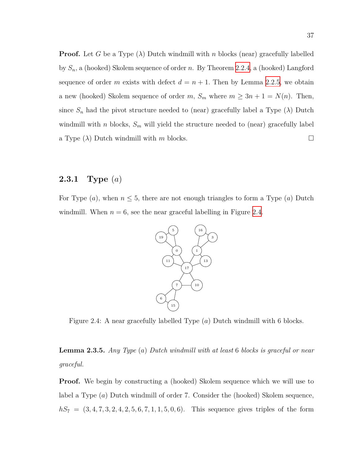**Proof.** Let *G* be a Type  $(\lambda)$  Dutch windmill with *n* blocks (near) gracefully labelled by *Sn,* a (hooked) Skolem sequence of order *n*. By Theorem [2.2.4,](#page-41-0) a (hooked) Langford sequence of order *m* exists with defect  $d = n + 1$ . Then by Lemma [2.2.5](#page-41-1), we obtain a new (hooked) Skolem sequence of order  $m$ ,  $S_m$  where  $m \geq 3n + 1 = N(n)$ . Then, since  $S_n$  had the pivot structure needed to (near) gracefully label a Type  $(\lambda)$  Dutch windmill with *n* blocks,  $S_m$  will yield the structure needed to (near) gracefully label a Type  $(\lambda)$  Dutch windmill with *m* blocks.

#### **2.3.1 Type** (*a*)

<span id="page-49-0"></span>For Type  $(a)$ , when  $n \leq 5$ , there are not enough triangles to form a Type  $(a)$  Dutch windmill. When  $n = 6$ , see the near graceful labelling in Figure [2.4.](#page-49-0)



Figure 2.4: A near gracefully labelled Type (*a*) Dutch windmill with 6 blocks.

<span id="page-49-1"></span>**Lemma 2.3.5.** *Any Type* (*a*) *Dutch windmill with at least* 6 *blocks is graceful or near graceful.*

**Proof.** We begin by constructing a (hooked) Skolem sequence which we will use to label a Type (*a*) Dutch windmill of order 7. Consider the (hooked) Skolem sequence,  $hS_7 = (3, 4, 7, 3, 2, 4, 2, 5, 6, 7, 1, 1, 5, 0, 6)$ . This sequence gives triples of the form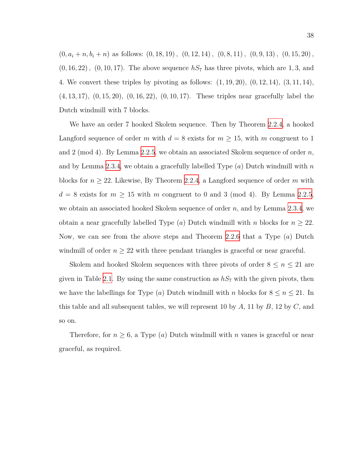$(0, a_i + n, b_i + n)$  as follows:  $(0, 18, 19)$ ,  $(0, 12, 14)$ ,  $(0, 8, 11)$ ,  $(0, 9, 13)$ ,  $(0, 15, 20)$ ,  $(0, 16, 22)$ ,  $(0, 10, 17)$ . The above sequence  $hS_7$  has three pivots, which are 1, 3, and 4*.* We convert these triples by pivoting as follows: (1*,* 19*,* 20), (0*,* 12*,* 14), (3*,* 11*,* 14), (4*,* 13*,* 17), (0*,* 15*,* 20), (0*,* 16*,* 22), (0*,* 10*,* 17). These triples near gracefully label the Dutch windmill with 7 blocks.

We have an order 7 hooked Skolem sequence. Then by Theorem [2.2.4](#page-41-0), a hooked Langford sequence of order *m* with  $d = 8$  exists for  $m \geq 15$ , with *m* congruent to 1 and 2 (mod 4). By Lemma [2.2.5,](#page-41-1) we obtain an associated Skolem sequence of order *n,* and by Lemma [2.3.4](#page-48-0), we obtain a gracefully labelled Type (*a*) Dutch windmill with *n* blocks for  $n \geq 22$ . Likewise, By Theorem [2.2.4,](#page-41-0) a Langford sequence of order *m* with  $d = 8$  exists for  $m \ge 15$  with  $m$  congruent to 0 and 3 (mod 4). By Lemma [2.2.5,](#page-41-1) we obtain an associated hooked Skolem sequence of order *n*, and by Lemma [2.3.4,](#page-48-0) we obtain a near gracefully labelled Type (*a*) Dutch windmill with *n* blocks for  $n \geq 22$ . Now, we can see from the above steps and Theorem [2.2.6](#page-43-0) that a Type (*a*) Dutch windmill of order  $n \geq 22$  with three pendant triangles is graceful or near graceful.

Skolem and hooked Skolem sequences with three pivots of order  $8 \le n \le 21$  are given in Table [2.1](#page-51-0). By using the same construction as  $hS_7$  with the given pivots, then we have the labellings for Type (*a*) Dutch windmill with *n* blocks for  $8 \le n \le 21$ . In this table and all subsequent tables, we will represent 10 by *A*, 11 by *B*, 12 by *C*, and so on.

Therefore, for  $n \geq 6$ , a Type (*a*) Dutch windmill with *n* vanes is graceful or near graceful, as required.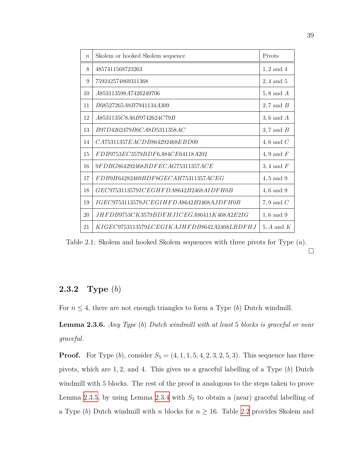<span id="page-51-0"></span>

| $\boldsymbol{n}$ | Skolem or hooked Skolem sequence                        | Pivots         |
|------------------|---------------------------------------------------------|----------------|
| 8                | 4857411568723263<br>$1, 2$ and $4$                      |                |
| 9                | 759242574869311368                                      | $2,4$ and 5    |
| 10               | A853113598A7426249706<br>$5, 8$ and $A$                 |                |
| 11               | B68527265A8B7941134A309<br>$2, 7$ and $B$               |                |
| 12               | A8531135C8A6B9742624C79B                                | $3, 6$ and $A$ |
| 13               | B97D4262479B6CA8D5311358AC<br>$3, 7$ and $B$            |                |
| 14               | C475311357EACDB864292468EBD09<br>4,6 and $C$            |                |
| 15               | FDB9753EC3579BDF6A84CE64118A202<br>4,9 and $F$          |                |
| 16               | 9FDBG864292468BDFECAG75311357ACE<br>$3,4$ and $F$       |                |
| 17               | FDB9H64282469BDF8GECAH75311357ACEG                      | $4,5$ and $9$  |
| 18               | $GEC$ 9753113579 $ICEGHFDA$ 8642 $B$ 2468 $AIDFH$ 0 $B$ | $4,6$ and $9$  |
| 19               | IGEC9753113579JCEGIHFDA8642B2468AJDFH0B                 | 7,9 and $C$    |
| 20               | $JHFDB9753CK3579BDFHJICEGA86411K468A2E2IG$              | $1,6$ and $9$  |
| 21               | KIGEC9753113579LCEGIKAJHFDB8642A2468LBDFHJ              | $5, A$ and $K$ |

Table 2.1: Skolem and hooked Skolem sequences with three pivots for Type (*a*).  $\Box$ 

#### **2.3.2 Type** (*b*)

For  $n \leq 4$ , there are not enough triangles to form a Type (*b*) Dutch windmill.

**Lemma 2.3.6.** *Any Type* (*b*) *Dutch windmill with at least* 5 *blocks is graceful or near graceful.*

**Proof.** For Type (*b*), consider  $S_5 = (4, 1, 1, 5, 4, 2, 3, 2, 5, 3)$ . This sequence has three pivots, which are 1*,* 2, and 4. This gives us a graceful labelling of a Type (*b*) Dutch windmill with 5 blocks. The rest of the proof is analogous to the steps taken to prove Lemma [2.3.5,](#page-49-1) by using Lemma [2.3.4](#page-48-0) with  $S_5$  to obtain a (near) graceful labelling of a Type (*b*) Dutch windmill with *n* blocks for  $n \geq 16$ . Table [2.2](#page-52-0) provides Skolem and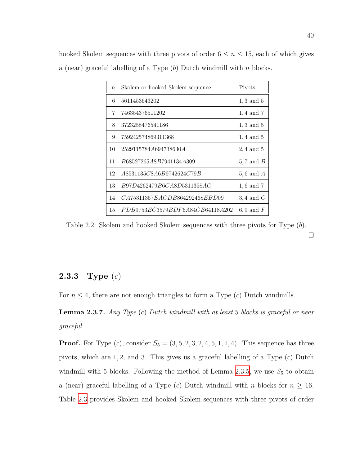<span id="page-52-0"></span>hooked Skolem sequences with three pivots of order  $6 \le n \le 15$ , each of which gives a (near) graceful labelling of a Type (*b*) Dutch windmill with *n* blocks.

| $\eta$ | Skolem or hooked Skolem sequence                        | Pivots         |
|--------|---------------------------------------------------------|----------------|
| 6      | 5611453643202                                           | $1, 3$ and $5$ |
| 7      | 746354376511202                                         | $1,4$ and $7$  |
| 8      | 3723258476541186                                        | $1, 3$ and $5$ |
| 9      | 759242574869311368                                      | $1, 4$ and $5$ |
| 10     | 2529115784 4694738630 A                                 | $2,4$ and 5    |
| 11     | <i>B</i> 68527265 <i>A</i> 8 <i>B7941134A309</i>        | $5, 7$ and $B$ |
| 12     | A8531135C8A6B9742624C79B                                | $5, 6$ and $A$ |
| 13     | B97D4262479B6CA8D5311358AC                              | $1, 6$ and $7$ |
| 14     | <i>CA</i> 75311357 <i>EACDB</i> 864292468 <i>EBD</i> 09 | $3,4$ and $C$  |
| 15     | FDB9753EC3579BDF6A84CE64118A202                         | $6, 9$ and $F$ |

Table 2.2: Skolem and hooked Skolem sequences with three pivots for Type (*b*).  $\Box$ 

#### **2.3.3 Type** (*c*)

For  $n \leq 4$ , there are not enough triangles to form a Type  $(c)$  Dutch windmills.

**Lemma 2.3.7.** *Any Type* (*c*) *Dutch windmill with at least* 5 *blocks is graceful or near graceful.*

**Proof.** For Type (*c*), consider  $S_5 = (3, 5, 2, 3, 2, 4, 5, 1, 1, 4)$ . This sequence has three pivots, which are 1*,* 2, and 3. This gives us a graceful labelling of a Type (*c*) Dutch windmill with 5 blocks. Following the method of Lemma [2.3.5](#page-49-1), we use  $S_5$  to obtain a (near) graceful labelling of a Type (*c*) Dutch windmill with *n* blocks for  $n \geq 16$ . Table [2.3](#page-53-0) provides Skolem and hooked Skolem sequences with three pivots of order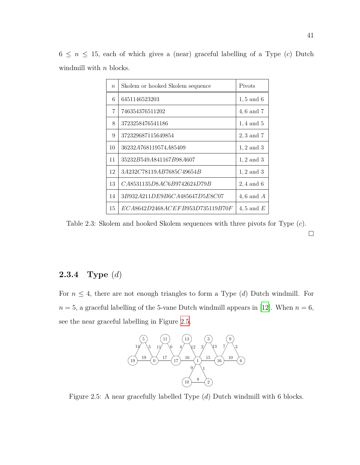| $\eta$ | Skolem or hooked Skolem sequence                            | Pivots         |
|--------|-------------------------------------------------------------|----------------|
|        |                                                             |                |
| 6      | 6451146523203                                               | $1, 5$ and $6$ |
| 7      | 746354376511202                                             | $4,6$ and $7$  |
| 8      | 3723258476541186                                            | $1,4$ and 5    |
| 9      | 372329687115649854                                          | $2,3$ and $7$  |
| 10     | 36232 4768119574 485409                                     | $1, 2$ and $3$ |
| 11     | 35232 <i>B</i> 549 <i>A</i> 841167 <i>B</i> 98 <i>A</i> 607 | $1, 2$ and $3$ |
| 12     | 3A232C78119AB7685C49654B                                    | $1, 2$ and $3$ |
| 13     | CA8531135D8AC6B9742624D79B                                  | $2,4$ and 6    |
| 14     | 3B932A211DE9B6CA485647D5E8C07                               | $4,6$ and $A$  |
| 15     | ECA8642D2468ACEFB953D735119B70F                             | 4,5 and $E$    |

<span id="page-53-0"></span> $6 \leq n \leq 15$ , each of which gives a (near) graceful labelling of a Type (*c*) Dutch windmill with *n* blocks.

Table 2.3: Skolem and hooked Skolem sequences with three pivots for Type (*c*).  $\Box$ 

#### **2.3.4 Type** (*d*)

<span id="page-53-1"></span>For  $n \leq 4$ , there are not enough triangles to form a Type (*d*) Dutch windmill. For  $n=5,$  a graceful labelling of the 5-vane Dutch windmill appears in [\[12](#page-70-1)]. When  $n=6,$ see the near graceful labelling in Figure [2.5](#page-53-1).



Figure 2.5: A near gracefully labelled Type (*d*) Dutch windmill with 6 blocks.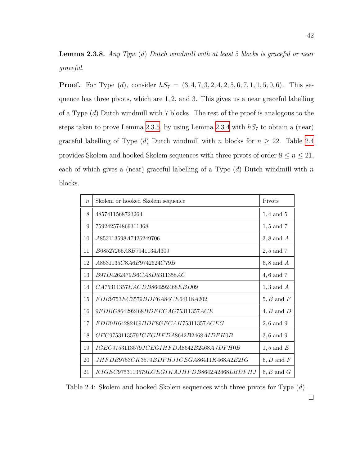**Lemma 2.3.8.** *Any Type* (*d*) *Dutch windmill with at least* 5 *blocks is graceful or near graceful.*

**Proof.** For Type (*d*), consider *hS*<sup>7</sup> = (3*,* 4*,* 7*,* 3*,* 2*,* 4*,* 2*,* 5*,* 6*,* 7*,* 1*,* 1*,* 5*,* 0*,* 6). This sequence has three pivots, which are 1*,* 2, and 3. This gives us a near graceful labelling of a Type (*d*) Dutch windmill with 7 blocks. The rest of the proof is analogous to the steps taken to prove Lemma [2.3.5,](#page-49-1) by using Lemma [2.3.4](#page-48-0) with *hS*<sup>7</sup> to obtain a (near) graceful labelling of Type (*d*) Dutch windmill with *n* blocks for  $n \geq 22$ . Table [2.4](#page-54-0) provides Skolem and hooked Skolem sequences with three pivots of order  $8 \le n \le 21$ , each of which gives a (near) graceful labelling of a Type (*d*) Dutch windmill with *n* blocks.

<span id="page-54-0"></span>

| $\boldsymbol{n}$ | Skolem or hooked Skolem sequence<br>Pivots         |                |
|------------------|----------------------------------------------------|----------------|
| 8                | 4857411568723263<br>$1,4$ and $5$                  |                |
| 9                | 759242574869311368                                 | $1, 5$ and $7$ |
| 10               | 4853113598.47426249706<br>$3, 8$ and $A$           |                |
| 11               | $2, 5$ and $7$<br>B68527265A8B7941134A309          |                |
| 12               | A8531135C8A6B9742624C79B                           | $6, 8$ and $A$ |
| 13               | B97D4262479B6CA8D5311358AC                         | $4,6$ and $7$  |
| 14               | C475311357EACDB864292468EBD09<br>$1,3$ and $A$     |                |
| 15               | $5, B$ and $F$<br>FDB9753EC3579BDF6A84CE64118A202  |                |
| 16               | 9FDBG864292468BDFECAG75311357ACE<br>$4, B$ and $D$ |                |
| 17               | FDB9H64282469BDF8GECAH75311357ACEG                 | $2, 6$ and $9$ |
| 18               | $GEC$ 9753113579 $ICEGHFD$ A8642B2468AIDFH0B       | $3,6$ and $9$  |
| 19               | IGEC9753113579.ICEGIHFDA8642B2468A.IDFH0B          | $1, 5$ and $E$ |
| 20               | $JHFDB9753CK3579BDFHJICEGA86411K468A2E2IG$         | $6, D$ and $F$ |
| 21               |                                                    | $6, E$ and $G$ |

Table 2.4: Skolem and hooked Skolem sequences with three pivots for Type (*d*).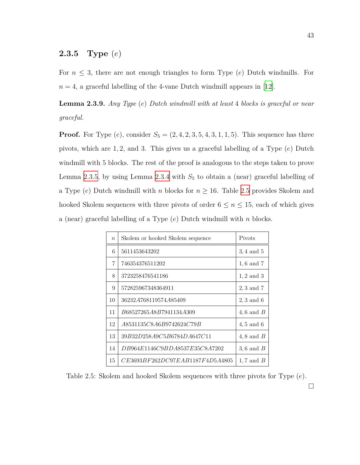#### **2.3.5 Type** (*e*)

For  $n \leq 3$ , there are not enough triangles to form Type  $(e)$  Dutch windmills. For  $n = 4$ , a graceful labelling of the 4-vane Dutch windmill appears in [[12](#page-70-1)].

**Lemma 2.3.9.** *Any Type* (*e*) *Dutch windmill with at least* 4 *blocks is graceful or near graceful.*

**Proof.** For Type (*e*), consider  $S_5 = (2, 4, 2, 3, 5, 4, 3, 1, 1, 5)$ . This sequence has three pivots, which are 1*,* 2, and 3. This gives us a graceful labelling of a Type (*e*) Dutch windmill with 5 blocks. The rest of the proof is analogous to the steps taken to prove Lemma [2.3.5,](#page-49-1) by using Lemma [2.3.4](#page-48-0) with  $S_5$  to obtain a (near) graceful labelling of a Type  $(e)$  Dutch windmill with *n* blocks for  $n \ge 16$ . Table [2.5](#page-55-0) provides Skolem and hooked Skolem sequences with three pivots of order  $6 \le n \le 15$ , each of which gives a (near) graceful labelling of a Type (*e*) Dutch windmill with *n* blocks.

<span id="page-55-0"></span>

| $\eta$ | Skolem or hooked Skolem sequence                                | Pivots         |
|--------|-----------------------------------------------------------------|----------------|
| 6      | 5611453643202                                                   | $3, 4$ and $5$ |
| 7      | 746354376511202                                                 | $1, 6$ and $7$ |
| 8      | 3723258476541186<br>$1, 2$ and $3$                              |                |
| 9      | 572825967348364911                                              | $2,3$ and $7$  |
| 10     | 36232 4768119574 485409<br>$2,3$ and 6                          |                |
| 11     | <i>B</i> 68527265 <i>A</i> 8 <i>B7941134A309</i><br>4,6 and $B$ |                |
| 12     | A8531135C8A6B9742624C79B                                        | 4.5 and 6      |
| 13     | 39B32D258A9C5B6784DA647C11                                      | 4,8 and $B$    |
| 14     | DB964E1146C9BDA8537E35C8A7202                                   | $3, 6$ and $B$ |
| 15     | CE3693BF262DC97EAB1187F4D5A4805                                 | 1.7 and $B$    |

Table 2.5: Skolem and hooked Skolem sequences with three pivots for Type (*e*).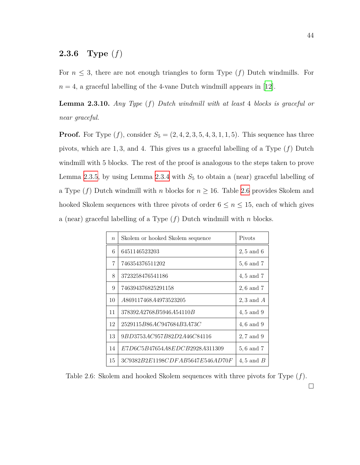#### **2.3.6 Type** (*f*)

For  $n \leq 3$ , there are not enough triangles to form Type  $(f)$  Dutch windmills. For  $n = 4$ , a graceful labelling of the 4-vane Dutch windmill appears in [[12](#page-70-1)].

**Lemma 2.3.10.** *Any Type* (*f*) *Dutch windmill with at least* 4 *blocks is graceful or near graceful.*

**Proof.** For Type  $(f)$ , consider  $S_5 = (2, 4, 2, 3, 5, 4, 3, 1, 1, 5)$ . This sequence has three pivots, which are 1*,* 3, and 4. This gives us a graceful labelling of a Type (*f*) Dutch windmill with 5 blocks. The rest of the proof is analogous to the steps taken to prove Lemma [2.3.5,](#page-49-1) by using Lemma [2.3.4](#page-48-0) with  $S_5$  to obtain a (near) graceful labelling of a Type (*f*) Dutch windmill with *n* blocks for  $n \ge 16$ . Table [2.6](#page-56-0) provides Skolem and hooked Skolem sequences with three pivots of order  $6 \le n \le 15$ , each of which gives a (near) graceful labelling of a Type (*f*) Dutch windmill with *n* blocks.

<span id="page-56-0"></span>

| $\boldsymbol{n}$ | Skolem or hooked Skolem sequence    | Pivots         |
|------------------|-------------------------------------|----------------|
| 6                | 6451146523203                       | $2, 5$ and $6$ |
| 7                | 746354376511202                     | $5, 6$ and $7$ |
| 8                | 3723258476541186                    | $4,5$ and $7$  |
| 9                | 746394376825291158                  | $2, 6$ and $7$ |
| 10               | 4869117468.44973523205              | $2,3$ and $A$  |
| 11               | 378392A2768B5946A54110B             | $4, 5$ and $9$ |
| 12               | 2529115 <i>B86AC947684B3A73C</i>    | $4, 6$ and $9$ |
| 13               | 9 <i>BD3753AC957B82D2A46C84</i> 116 | $2,7$ and $9$  |
| 14               | E7D6C5B47654A8EDCB2928A311309       | $5, 6$ and $7$ |
| 15               | 3C9382B2E1198CDFAB5647E546AD70F     | 4,5 and $B$    |

Table 2.6: Skolem and hooked Skolem sequences with three pivots for Type (*f*).  $\Box$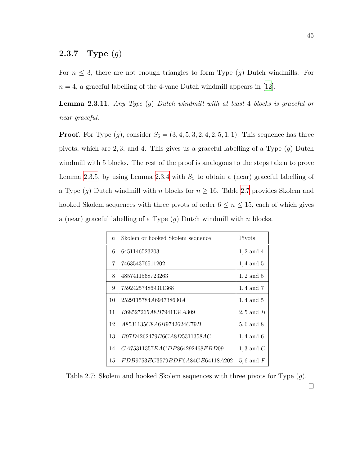#### **2.3.7 Type** (*g*)

For  $n \leq 3$ , there are not enough triangles to form Type  $(g)$  Dutch windmills. For  $n = 4$ , a graceful labelling of the 4-vane Dutch windmill appears in [[12](#page-70-1)].

**Lemma 2.3.11.** *Any Type* (*g*) *Dutch windmill with at least* 4 *blocks is graceful or near graceful.*

**Proof.** For Type  $(g)$ , consider  $S_5 = (3, 4, 5, 3, 2, 4, 2, 5, 1, 1)$ . This sequence has three pivots, which are 2*,* 3, and 4. This gives us a graceful labelling of a Type (*g*) Dutch windmill with 5 blocks. The rest of the proof is analogous to the steps taken to prove Lemma [2.3.5,](#page-49-1) by using Lemma [2.3.4](#page-48-0) with  $S_5$  to obtain a (near) graceful labelling of a Type  $(g)$  Dutch windmill with *n* blocks for  $n \geq 16$ . Table [2.7](#page-57-0) provides Skolem and hooked Skolem sequences with three pivots of order  $6 \le n \le 15$ , each of which gives a (near) graceful labelling of a Type (*g*) Dutch windmill with *n* blocks.

<span id="page-57-0"></span>

| $\eta$ | Skolem or hooked Skolem sequence                 | Pivots         |
|--------|--------------------------------------------------|----------------|
| 6      | 6451146523203                                    | $1, 2$ and $4$ |
| 7      | 746354376511202                                  | $1, 4$ and $5$ |
| 8      | 4857411568723263                                 | $1, 2$ and $5$ |
| 9      | 759242574869311368                               | $1,4$ and $7$  |
| 10     | 2529115784 4694738630 A                          | $1, 4$ and $5$ |
| 11     | <i>B</i> 68527265 <i>A</i> 8 <i>B7941134A309</i> | $2, 5$ and $B$ |
| 12     | A8531135C8A6B9742624C79B                         | 5.6 and 8      |
| 13     | B97D4262479B6CA8D5311358AC                       | $1, 4$ and $6$ |
| 14     | CA75311357EACDB864292468EBD09                    | $1, 3$ and $C$ |
| 15     | FDB9753EC3579BDF6A84CE64118A202                  | 5,6 and $F$    |

Table 2.7: Skolem and hooked Skolem sequences with three pivots for Type (*g*).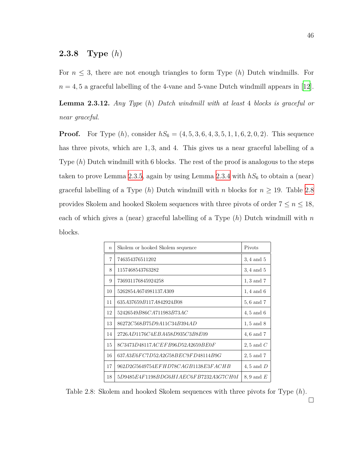#### **2.3.8 Type** (*h*)

For  $n \leq 3$ , there are not enough triangles to form Type  $(h)$  Dutch windmills. For  $n = 4, 5$  a graceful labelling of the 4-vane and 5-vane Dutch windmill appears in [[12\]](#page-70-1).

**Lemma 2.3.12.** *Any Type* (*h*) *Dutch windmill with at least* 4 *blocks is graceful or near graceful.*

**Proof.** For Type  $(h)$ , consider  $hS_6 = (4, 5, 3, 6, 4, 3, 5, 1, 1, 6, 2, 0, 2)$ . This sequence has three pivots, which are 1, 3, and 4. This gives us a near graceful labelling of a Type (*h*) Dutch windmill with 6 blocks. The rest of the proof is analogous to the steps taken to prove Lemma [2.3.5](#page-49-1), again by using Lemma [2.3.4](#page-48-0) with  $hS_6$  to obtain a (near) graceful labelling of a Type  $(h)$  Dutch windmill with *n* blocks for  $n \geq 19$ . Table [2.8](#page-58-0) provides Skolem and hooked Skolem sequences with three pivots of order  $7\leq n\leq 18,$ each of which gives a (near) graceful labelling of a Type (*h*) Dutch windmill with *n* blocks.

<span id="page-58-0"></span>

| $\boldsymbol{n}$ | Skolem or hooked Skolem sequence                                           | Pivots         |
|------------------|----------------------------------------------------------------------------|----------------|
| $\overline{7}$   | 746354376511202                                                            | $3, 4$ and $5$ |
| 8                | 1157468543763282                                                           | $3, 4$ and $5$ |
| 9                | 736931176845924258                                                         | $1, 3$ and $7$ |
| 10               | 5262854.4674981137.4309                                                    | $1,4$ and 6    |
| 11               | 635A37659B117A842924B08                                                    | 5, 6 and 7     |
| 12               | 52426549 <i>B</i> 86CA711983 <i>B73AC</i><br>$4, 5$ and $6$                |                |
| 13               | 86272 <i>C</i> 568 <i>B75D9A</i> 11 <i>C34B394AD</i><br>$1, 5$ and $8$     |                |
| 14               | 2726 <i>AD</i> 1176 <i>C4EBA</i> 458 <i>D</i> 935 <i>C3B</i> 8 <i>E</i> 09 | $4, 6$ and $7$ |
| 15               | 8C3473D48117ACEFB96D52A2659BE0F                                            | $2, 5$ and $C$ |
| 16               | 637A3E6FC7D52A2G58BEC9FD48114B9G                                           | $2, 5$ and $7$ |
| 17               | 962D2G5649754EFHD78CAGB1138E3FACHB                                         | $4, 5$ and $D$ |
| 18               | 5D9485E4F1198BDG6HIAEC6FB7232A3G7CH0I                                      | $8,9$ and $E$  |

Table 2.8: Skolem and hooked Skolem sequences with three pivots for Type (*h*).

 $\Box$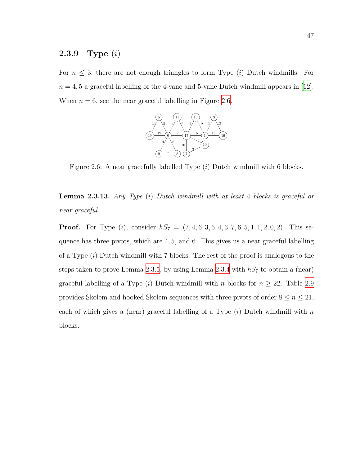#### **2.3.9 Type** (*i*)

<span id="page-59-0"></span>For  $n \leq 3$ , there are not enough triangles to form Type (*i*) Dutch windmills. For  $n = 4, 5$  a graceful labelling of the 4-vane and 5-vane Dutch windmill appears in [[12\]](#page-70-1). When  $n = 6$ , see the near graceful labelling in Figure [2.6.](#page-59-0)



Figure 2.6: A near gracefully labelled Type (*i*) Dutch windmill with 6 blocks.

**Lemma 2.3.13.** *Any Type* (*i*) *Dutch windmill with at least* 4 *blocks is graceful or near graceful.*

**Proof.** For Type (*i*), consider  $hS_7 = (7, 4, 6, 3, 5, 4, 3, 7, 6, 5, 1, 1, 2, 0, 2)$ . This sequence has three pivots, which are 4*,* 5, and 6. This gives us a near graceful labelling of a Type (*i*) Dutch windmill with 7 blocks. The rest of the proof is analogous to the steps taken to prove Lemma [2.3.5,](#page-49-1) by using Lemma [2.3.4](#page-48-0) with *hS*<sup>7</sup> to obtain a (near) graceful labelling of a Type (*i*) Dutch windmill with *n* blocks for  $n \geq 22$ . Table [2.9](#page-60-0) provides Skolem and hooked Skolem sequences with three pivots of order  $8 \le n \le 21$ , each of which gives a (near) graceful labelling of a Type (*i*) Dutch windmill with *n* blocks.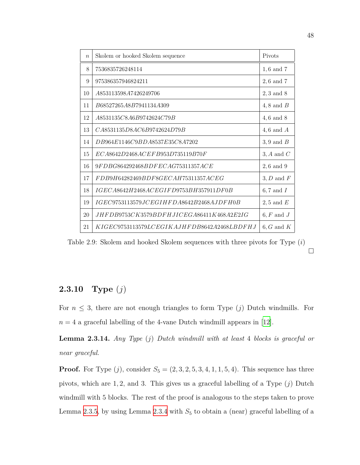<span id="page-60-0"></span>

| $\boldsymbol{n}$ | Skolem or hooked Skolem sequence                   | Pivots         |
|------------------|----------------------------------------------------|----------------|
| 8                | 7536835726248114                                   | $1, 6$ and $7$ |
| 9                | 975386357946824211                                 | $2, 6$ and $7$ |
| 10               | A853113598A7426249706<br>$2,3$ and $8$             |                |
| 11               | B68527265A8B7941134A309<br>$4, 8$ and $B$          |                |
| 12               | A8531135C8A6B9742624C79B<br>$4, 6$ and $8$         |                |
| 13               | C A8531135 D8AC6B9742624 D79B<br>$4, 6$ and $A$    |                |
| 14               | DB964E1146C9BDA8537E35C8A7202<br>$3,9$ and $B$     |                |
| 15               | ECA8642D2468ACEFB953D735119B70F<br>$3, A$ and $C$  |                |
| 16               | 9FDBG864292468BDFECAG75311357ACE<br>$2, 6$ and $9$ |                |
| 17               | FDB9H64282469BDF8GECAH75311357ACEG                 | $3, D$ and $F$ |
| 18               | IGECA8642H2468ACEGIFD9753BH357911DF0B              | $6, 7$ and $I$ |
| 19               | IGEC9753113579JCEGIHFDA8642B2468AJDFH0B            | $2, 5$ and $E$ |
| 20               | JHFDB9753CK3579BDFHJICEGA86411K468A2E2IG           | $6, F$ and J   |
| 21               | $KIGEC9753113579 LCEGIKAJHFDB8642A2468LBDFHJ$      | $6, G$ and $K$ |

Table 2.9: Skolem and hooked Skolem sequences with three pivots for Type (*i*)  $\Box$ 

#### **2.3.10 Type** (*j*)

For  $n \leq 3$ , there are not enough triangles to form Type (*j*) Dutch windmills. For  $n = 4$  a graceful labelling of the 4-vane Dutch windmill appears in [\[12](#page-70-1)].

**Lemma 2.3.14.** *Any Type* (*j*) *Dutch windmill with at least* 4 *blocks is graceful or near graceful.*

**Proof.** For Type (*j*), consider  $S_5 = (2, 3, 2, 5, 3, 4, 1, 1, 5, 4)$ . This sequence has three pivots, which are 1*,* 2, and 3. This gives us a graceful labelling of a Type (*j*) Dutch windmill with 5 blocks. The rest of the proof is analogous to the steps taken to prove Lemma [2.3.5,](#page-49-1) by using Lemma [2.3.4](#page-48-0) with  $S_5$  to obtain a (near) graceful labelling of a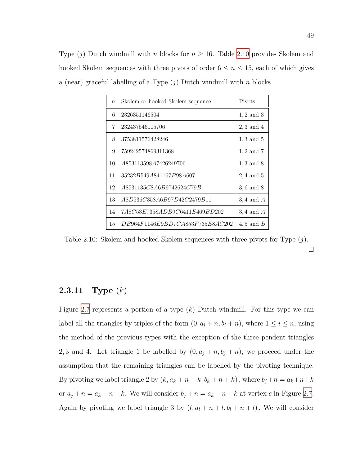<span id="page-61-0"></span>Type (*j*) Dutch windmill with *n* blocks for  $n \ge 16$ . Table [2.10](#page-61-0) provides Skolem and hooked Skolem sequences with three pivots of order  $6 \le n \le 15$ , each of which gives a (near) graceful labelling of a Type (*j*) Dutch windmill with *n* blocks.

| $\eta$ | Skolem or hooked Skolem sequence                            | Pivots         |
|--------|-------------------------------------------------------------|----------------|
| 6      | 2326351146504                                               | $1, 2$ and 3   |
| 7      | 232437546115706                                             | $2, 3$ and $4$ |
| 8      | 3753811576428246                                            | $1, 3$ and $5$ |
| 9      | 759242574869311368                                          | $1, 2$ and $7$ |
| 10     | 485311359847426249706                                       | $1, 3$ and $8$ |
| 11     | 35232 <i>B</i> 549 <i>A</i> 841167 <i>B</i> 98 <i>A</i> 607 | $2,4$ and 5    |
| 12     | A8531135C8A6B9742624C79B                                    | 3,6 and 8      |
| 13     | A8D536C358A6B97D42C2479B11                                  | $3, 4$ and $A$ |
| 14     | 7A8C53E7358ADB9C6411E469BD202                               | $3, 4$ and $A$ |
| 15     | DB964F1146E9BD7CA853F735E8AC202                             | 4, 5 and $B$   |

Table 2.10: Skolem and hooked Skolem sequences with three pivots for Type (*j*).  $\Box$ 

#### **2.3.11 Type** (*k*)

Figure [2.7](#page-62-0) represents a portion of a type (*k*) Dutch windmill. For this type we can label all the triangles by triples of the form  $(0, a_i + n, b_i + n)$ , where  $1 \leq i \leq n$ , using the method of the previous types with the exception of the three pendent triangles 2,3 and 4. Let triangle 1 be labelled by  $(0, a_j + n, b_j + n)$ ; we proceed under the assumption that the remaining triangles can be labelled by the pivoting technique. By pivoting we label triangle 2 by  $(k, a_k + n + k, b_k + n + k)$ , where  $b_j + n = a_k + n + k$ or  $a_j + n = a_k + n + k$ . We will consider  $b_j + n = a_k + n + k$  at vertex *c* in Figure [2.7.](#page-62-0) Again by pivoting we label triangle 3 by  $(l, a_l + n + l, b_l + n + l)$ . We will consider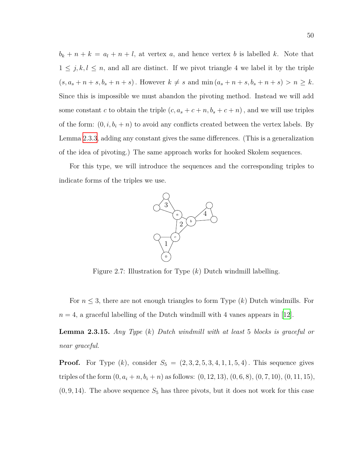$b_k + n + k = a_l + n + l$ , at vertex *a*, and hence vertex *b* is labelled *k*. Note that  $1 \leq j, k, l \leq n$ , and all are distinct. If we pivot triangle 4 we label it by the triple  $(s, a_s + n + s, b_s + n + s)$ . However  $k \neq s$  and  $\min(a_s + n + s, b_s + n + s) > n \geq k$ . Since this is impossible we must abandon the pivoting method. Instead we will add some constant *c* to obtain the triple  $(c, a_s + c + n, b_s + c + n)$ , and we will use triples of the form:  $(0, i, b_i + n)$  to avoid any conflicts created between the vertex labels. By Lemma [2.3.3](#page-47-1), adding any constant gives the same differences. (This is a generalization of the idea of pivoting.) The same approach works for hooked Skolem sequences.

<span id="page-62-0"></span>For this type, we will introduce the sequences and the corresponding triples to indicate forms of the triples we use.



Figure 2.7: Illustration for Type (*k*) Dutch windmill labelling.

For  $n \leq 3$ , there are not enough triangles to form Type  $(k)$  Dutch windmills. For  $n = 4$ , a graceful labelling of the Dutch windmill with 4 vanes appears in [\[12\]](#page-70-1).

**Lemma 2.3.15.** *Any Type* (*k*) *Dutch windmill with at least* 5 *blocks is graceful or near graceful.*

**Proof.** For Type  $(k)$ , consider  $S_5 = (2, 3, 2, 5, 3, 4, 1, 1, 5, 4)$ . This sequence gives triples of the form  $(0, a_i + n, b_i + n)$  as follows:  $(0, 12, 13)$ ,  $(0, 6, 8)$ ,  $(0, 7, 10)$ ,  $(0, 11, 15)$ ,  $(0, 9, 14)$ . The above sequence  $S_5$  has three pivots, but it does not work for this case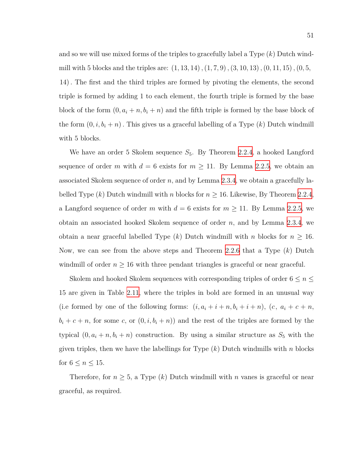and so we will use mixed forms of the triples to gracefully label a Type (*k*) Dutch windmill with 5 blocks and the triples are: (1*,* 13*,* 14)*,*(1*,* 7*,* 9)*,*(3*,* 10*,* 13)*,*(0*,* 11*,* 15)*,*(0*,* 5*,* 14)*.* The first and the third triples are formed by pivoting the elements, the second triple is formed by adding 1 to each element, the fourth triple is formed by the base block of the form  $(0, a_i + n, b_i + n)$  and the fifth triple is formed by the base block of the form  $(0, i, b_i + n)$ . This gives us a graceful labelling of a Type  $(k)$  Dutch windmill with 5 blocks.

We have an order 5 Skolem sequence  $S_5$ . By Theorem [2.2.4](#page-41-0), a hooked Langford sequence of order *m* with  $d = 6$  exists for  $m \ge 11$ . By Lemma [2.2.5,](#page-41-1) we obtain an associated Skolem sequence of order *n,* and by Lemma [2.3.4,](#page-48-0) we obtain a gracefully labelled Type  $(k)$  Dutch windmill with *n* blocks for  $n \geq 16$ . Likewise, By Theorem [2.2.4,](#page-41-0) a Langford sequence of order *m* with  $d = 6$  exists for  $m \ge 11$ . By Lemma [2.2.5](#page-41-1), we obtain an associated hooked Skolem sequence of order *n*, and by Lemma [2.3.4](#page-48-0), we obtain a near graceful labelled Type  $(k)$  Dutch windmill with *n* blocks for  $n \geq 16$ . Now, we can see from the above steps and Theorem [2.2.6](#page-43-0) that a Type (*k*) Dutch windmill of order  $n \geq 16$  with three pendant triangles is graceful or near graceful.

Skolem and hooked Skolem sequences with corresponding triples of order  $6 \leq n \leq$ 15 are given in Table [2.11,](#page-64-0) where the triples in bold are formed in an unusual way (i.e formed by one of the following forms:  $(i, a_i + i + n, b_i + i + n)$ ,  $(c, a_i + c + n)$ ,  $b_i + c + n$ , for some *c*, or  $(0, i, b_i + n)$  and the rest of the triples are formed by the typical  $(0, a_i + n, b_i + n)$  construction. By using a similar structure as  $S_5$  with the given triples, then we have the labellings for Type (*k*) Dutch windmills with *n* blocks for  $6 \leq n \leq 15$ .

Therefore, for  $n \geq 5$ , a Type  $(k)$  Dutch windmill with *n* vanes is graceful or near graceful, as required.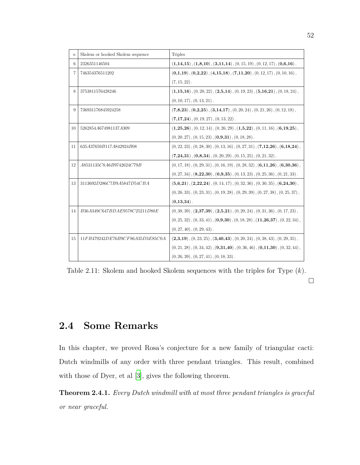<span id="page-64-0"></span>

| $\boldsymbol{n}$ | Skolem or hooked Skolem sequence | <b>Triples</b>                                                                                  |
|------------------|----------------------------------|-------------------------------------------------------------------------------------------------|
| 6                | 2326351146504                    | $(1,14,15)$ , $(1,8,10)$ , $(3,11,14)$ , $(0,15,19)$ , $(0,12,17)$ , $(0,6,16)$ .               |
| $\overline{7}$   | 746354376511202                  | $(0,1,19)$ , $(0,2,22)$ , $(4,15,18)$ , $(7,11,20)$ , $(0,12,17)$ , $(0,10,16)$ ,               |
|                  |                                  | $(7, 15, 22)$ .                                                                                 |
| 8                | 3753811576428246                 | $(1,15,16)$ , $(0,20,22)$ , $(2,5,14)$ , $(0,19,23)$ , $(5,16,21)$ , $(0,18,24)$ ,              |
|                  |                                  | $(0, 10, 17)$ , $(0, 13, 21)$ .                                                                 |
| 9                | 736931176845924258               | $(7,8,23)$ , $(0,2,25)$ , $(3,14,17)$ , $(0,20,24)$ , $(0,21,26)$ , $(0,12,18)$ ,               |
|                  |                                  | $(7,17,24)$ , $(0,19,27)$ , $(0,13,22)$ .                                                       |
| 10               | 5262854A674981137A309            | $(1,25,26)$ , $(0,12,14)$ , $(0,26,29)$ , $(1,5,22)$ , $(0,11,16)$ , $(6,19,25)$ ,              |
|                  |                                  | $(0, 20, 27), (0, 15, 23), (0, 9, 31), (0, 18, 28).$                                            |
| 11               | 635A37659B117A842924B08          | $(0, 22, 23), (0, 28, 30), (0, 13, 16), (0, 27, 31), (7, 12, 26), (6, 18, 24),$                 |
|                  |                                  | $(7,24,31)$ , $(0,8,34)$ , $(0,20,29)$ , $(0,15,25)$ , $(0,21,32)$ .                            |
| 12               | A8531135C8A6B9742624C79B         | $(0, 17, 18)$ , $(0, 29, 31)$ , $(0, 16, 19)$ , $(0, 28, 32)$ , $(6, 11, 26)$ , $(6, 30, 36)$ , |
|                  |                                  | $(0, 27, 34), (8, 22, 30), (0, 9, 35), (0, 13, 23), (0, 25, 36), (0, 21, 33).$                  |
| 13               | 3113692D286C7B9A5847D54CBA       | $(5,6,21)$ , $(2,22,24)$ , $(0,14,17)$ , $(0,32,36)$ , $(0,30,35)$ , $(6,24,30)$ ,              |
|                  |                                  | $(0, 26, 33), (0, 23, 31), (0, 19, 28), (0, 29, 39), (0, 27, 38), (0, 25, 37),$                 |
|                  |                                  | $(0,13,34)$ .                                                                                   |
| 14               | B36A349C647BDAE9578C25211D80E    | $(0,38,39)$ , $(2,37,39)$ , $(2,5,21)$ , $(0,20,24)$ , $(0,31,36)$ , $(0,17,23)$ ,              |
|                  |                                  | $(0, 25, 32), (0, 33, 41), (0, 9, 30), (0, 18, 28), (11, 26, 37), (0, 22, 34),$                 |
|                  |                                  | $(0, 27, 40)$ , $(0, 29, 43)$ .                                                                 |
| 15               | 11FB479242DE76B9CF86A35D3E85C0A  | $(2,3,19)$ , $(0,23,25)$ , $(3,40,43)$ , $(0,20,24)$ , $(0,38,43)$ , $(0,29,35)$ ,              |
|                  |                                  | $(0, 21, 28), (0, 34, 42), (9, 31, 40), (0, 36, 46), (0, 11, 30), (0, 32, 44),$                 |
|                  |                                  | $(0, 26, 39), (0, 27, 41), (0, 18, 33).$                                                        |

Table 2.11: Skolem and hooked Skolem sequences with the triples for Type (*k*).  $\Box$ 

#### **2.4 Some Remarks**

In this chapter, we proved Rosa's conjecture for a new family of triangular cacti: Dutch windmills of any order with three pendant triangles. This result, combined with those of Dyer, et al [[3](#page-69-2)], gives the following theorem.

**Theorem 2.4.1.** *Every Dutch windmill with at most three pendant triangles is graceful or near graceful.*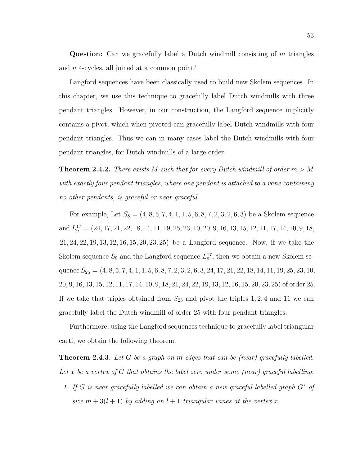**Question:** Can we gracefully label a Dutch windmill consisting of *m* triangles and *n* 4-cycles, all joined at a common point?

Langford sequences have been classically used to build new Skolem sequences. In this chapter, we use this technique to gracefully label Dutch windmills with three pendant triangles. However, in our construction, the Langford sequence implicitly contains a pivot, which when pivoted can gracefully label Dutch windmills with four pendant triangles. Thus we can in many cases label the Dutch windmills with four pendant triangles, for Dutch windmills of a large order.

**Theorem 2.4.2.** *There exists*  $M$  *such that for every Dutch windmill of order*  $m > M$ *with exactly four pendant triangles, where one pendant is attached to a vane containing no other pendants, is graceful or near graceful.*

For example, Let  $S_8 = (4, 8, 5, 7, 4, 1, 1, 5, 6, 8, 7, 2, 3, 2, 6, 3)$  be a Skolem sequence and  $L_9^{17} = (24, 17, 21, 22, 18, 14, 11, 19, 25, 23, 10, 20, 9, 16, 13, 15, 12, 11, 17, 14, 10, 9, 18,$ 21*,* 24*,* 22*,* 19*,* 13*,* 12*,* 16*,* 15*,* 20*,* 23*,* 25) be a Langford sequence. Now, if we take the Skolem sequence  $S_8$  and the Langford sequence  $L_9^{17}$ , then we obtain a new Skolem sequence  $S_{25} = (4, 8, 5, 7, 4, 1, 1, 5, 6, 8, 7, 2, 3, 2, 6, 3, 24, 17, 21, 22, 18, 14, 11, 19, 25, 23, 10,$  $20, 9, 16, 13, 15, 12, 11, 17, 14, 10, 9, 18, 21, 24, 22, 19, 13, 12, 16, 15, 20, 23, 25)$  of order 25. If we take that triples obtained from  $S_{25}$  and pivot the triples 1, 2, 4 and 11 we can gracefully label the Dutch windmill of order 25 with four pendant triangles.

Furthermore, using the Langford sequences technique to gracefully label triangular cacti, we obtain the following theorem.

<span id="page-65-0"></span>**Theorem 2.4.3.** *Let G be a graph on m edges that can be (near) gracefully labelled. Let x be a vertex of G that obtains the label zero under some (near) graceful labelling.*

*1. If G is near gracefully labelled we can obtain a new graceful labelled graph G<sup>∗</sup> of size*  $m + 3(l + 1)$  *by adding an*  $l + 1$  *triangular vanes at the vertex x.*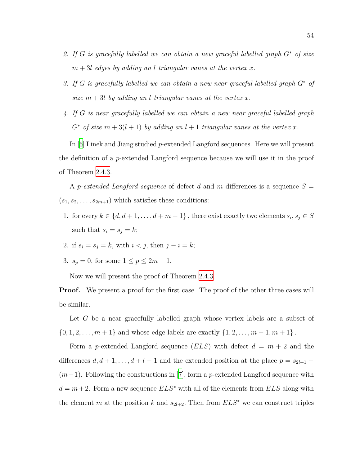- *2. If G is gracefully labelled we can obtain a new graceful labelled graph G<sup>∗</sup> of size*  $m + 3l$  *edges by adding an l triangular vanes at the vertex x.*
- *3. If G is gracefully labelled we can obtain a new near graceful labelled graph G<sup>∗</sup> of size*  $m + 3l$  *by adding an l triangular vanes at the vertex x.*
- *4. If G is near gracefully labelled we can obtain a new near graceful labelled graph*  $G^*$  *of size*  $m + 3(l + 1)$  *by adding an*  $l + 1$  *triangular vanes at the vertex x*.

In[[6\]](#page-69-6) Linek and Jiang studied *p*-extended Langford sequences. Here we will present the definition of a *p*-extended Langford sequence because we will use it in the proof of Theorem [2.4.3](#page-65-0).

A *p-extended Langford sequence* of defect *d* and *m* differences is a sequence *S* =  $(s_1, s_2, \ldots, s_{2m+1})$  which satisfies these conditions:

- 1. for every  $k \in \{d, d+1, \ldots, d+m-1\}$ , there exist exactly two elements  $s_i, s_j \in S$ such that  $s_i = s_j = k$ ;
- 2. if  $s_i = s_j = k$ , with  $i < j$ , then  $j i = k$ ;
- 3.  $s_p = 0$ , for some  $1 \le p \le 2m + 1$ .

Now we will present the proof of Theorem [2.4.3.](#page-65-0)

**Proof.** We present a proof for the first case. The proof of the other three cases will be similar.

Let *G* be a near gracefully labelled graph whose vertex labels are a subset of  ${0, 1, 2, \ldots, m + 1}$  and whose edge labels are exactly  ${1, 2, \ldots, m - 1, m + 1}$ .

Form a *p*-extended Langford sequence (*ELS*) with defect *d* = *m* + 2 and the differences  $d, d + 1, \ldots, d + l - 1$  and the extended position at the place  $p = s_{2l+1} -$ (*m−*1). Following the constructions in [[7\]](#page-69-7), form a *p*-extended Langford sequence with  $d = m + 2$ . Form a new sequence  $ELS^*$  with all of the elements from  $ELS$  along with the element *m* at the position *k* and  $s_{2l+2}$ . Then from  $ELS^*$  we can construct triples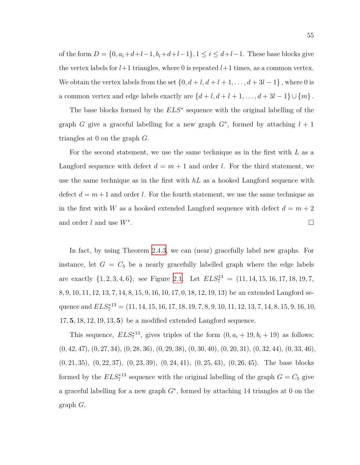of the form  $D = \{0, a_i + d + l - 1, b_i + d + l - 1\}$ ,  $1 \le i \le d + l - 1$ . These base blocks give the vertex labels for  $l+1$  triangles, where 0 is repeated  $l+1$  times, as a common vertex. We obtain the vertex labels from the set  $\{0, d+l, d+l+1, \ldots, d+3l-1\}$ , where 0 is a common vertex and edge labels exactly are  $\{d + l, d + l + 1, \ldots, d + 3l - 1\} \cup \{m\}$ .

The base blocks formed by the *ELS<sup>∗</sup>* sequence with the original labelling of the graph *G* give a graceful labelling for a new graph  $G^*$ , formed by attaching  $l + 1$ triangles at 0 on the graph *G*.

For the second statement, we use the same technique as in the first with *L* as a Langford sequence with defect  $d = m + 1$  and order *l*. For the third statement, we use the same technique as in the first with *hL* as a hooked Langford sequence with defect  $d = m + 1$  and order *l*. For the fourth statement, we use the same technique as in the first with *W* as a hooked extended Langford sequence with defect  $d = m + 2$ and order *l* and use *W<sup>∗</sup>* .

In fact, by using Theorem [2.4.3](#page-65-0), we can (near) gracefully label new graphs. For instance, let  $G = C<sub>5</sub>$  be a nearly gracefully labelled graph where the edge labels are exactly  $\{1, 2, 3, 4, 6\}$ ; see Figure [2.1.](#page-43-1) Let  $ELS_7^{13} = (11, 14, 15, 16, 17, 18, 19, 7,$ 8*,* 9*,* 10*,* 11*,* 12*,* 13*,* 7*,* 14*,* 8*,* 15*,* 9*,* 16*,* 10*,* 17*,* 0*,* 18*,* 12*,* 19*,* 13) be an extended Langford sequence and  $ELS_7^{*13} = (11, 14, 15, 16, 17, 18, 19, 7, 8, 9, 10, 11, 12, 13, 7, 14, 8, 15, 9, 16, 10,$ 17*,* **5***,* 18*,* 12*,* 19*,* 13*,* **5**) be a modified extended Langford sequence.

This sequence,  $ELS_7^{*13}$ , gives triples of the form  $(0, a_i + 19, b_i + 19)$  as follows: (0*,* 42*,* 47), (0*,* 27*,* 34), (0*,* 28*,* 36), (0*,* 29*,* 38), (0*,* 30*,* 40), (0*,* 20*,* 31), (0*,* 32*,* 44), (0*,* 33*,* 46), (0*,* 21*,* 35), (0*,* 22*,* 37), (0*,* 23*,* 39), (0*,* 24*,* 41), (0*,* 25*,* 43), (0*,* 26*,* 45). The base blocks formed by the  $ELS_7^{*13}$  sequence with the original labelling of the graph  $G = C_5$  give a graceful labelling for a new graph *G<sup>∗</sup>* , formed by attaching 14 triangles at 0 on the graph *G*.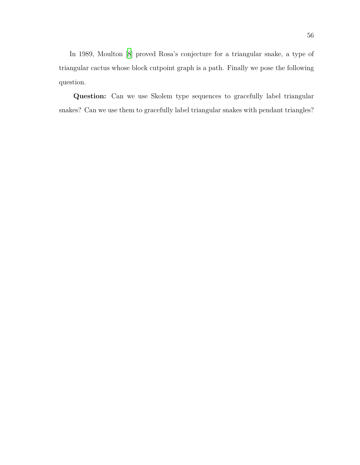In 1989, Moulton [\[8\]](#page-69-1) proved Rosa's conjecture for a triangular snake, a type of triangular cactus whose block cutpoint graph is a path. Finally we pose the following question.

**Question:** Can we use Skolem type sequences to gracefully label triangular snakes? Can we use them to gracefully label triangular snakes with pendant triangles?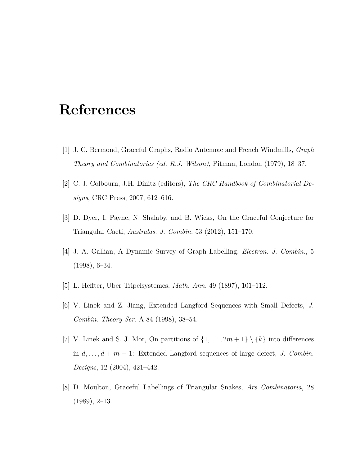## **References**

- <span id="page-69-0"></span>[1] J. C. Bermond, Graceful Graphs, Radio Antennae and French Windmills, *Graph Theory and Combinatorics (ed. R.J. Wilson)*, Pitman, London (1979), 18–37.
- <span id="page-69-4"></span>[2] C. J. Colbourn, J.H. Dinitz (editors), *The CRC Handbook of Combinatorial Designs*, CRC Press, 2007, 612–616.
- <span id="page-69-2"></span>[3] D. Dyer, I. Payne, N. Shalaby, and B. Wicks, On the Graceful Conjecture for Triangular Cacti, *Australas. J. Combin.* 53 (2012), 151–170.
- <span id="page-69-3"></span>[4] J. A. Gallian, A Dynamic Survey of Graph Labelling, *Electron. J. Combin.*, 5 (1998), 6–34.
- <span id="page-69-5"></span>[5] L. Heffter, Uber Tripelsystemes, *Math. Ann.* 49 (1897), 101–112.
- <span id="page-69-6"></span>[6] V. Linek and Z. Jiang, Extended Langford Sequences with Small Defects, *J. Combin. Theory Ser.* A 84 (1998), 38–54.
- <span id="page-69-7"></span>[7] V. Linek and S. J. Mor, On partitions of  $\{1, \ldots, 2m+1\} \setminus \{k\}$  into differences in  $d, \ldots, d+m-1$ : Extended Langford sequences of large defect, *J. Combin. Designs*, 12 (2004), 421–442.
- <span id="page-69-1"></span>[8] D. Moulton, Graceful Labellings of Triangular Snakes, *Ars Combinatoria*, 28 (1989), 2–13.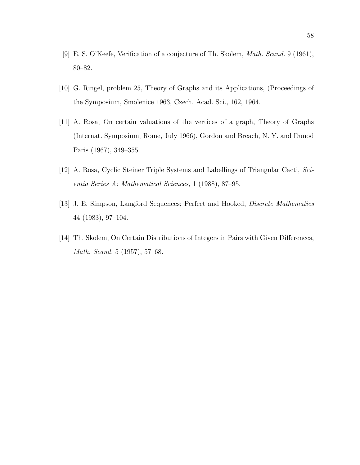- <span id="page-70-3"></span>[9] E. S. O'Keefe, Verification of a conjecture of Th. Skolem, *Math. Scand.* 9 (1961), 80–82.
- <span id="page-70-0"></span>[10] G. Ringel, problem 25, Theory of Graphs and its Applications, (Proceedings of the Symposium, Smolenice 1963, Czech. Acad. Sci., 162, 1964.
- [11] A. Rosa, On certain valuations of the vertices of a graph, Theory of Graphs (Internat. Symposium, Rome, July 1966), Gordon and Breach, N. Y. and Dunod Paris (1967), 349–355.
- <span id="page-70-1"></span>[12] A. Rosa, Cyclic Steiner Triple Systems and Labellings of Triangular Cacti, *Scientia Series A: Mathematical Sciences*, 1 (1988), 87–95.
- <span id="page-70-4"></span>[13] J. E. Simpson, Langford Sequences; Perfect and Hooked, *Discrete Mathematics* 44 (1983), 97–104.
- <span id="page-70-2"></span>[14] Th. Skolem, On Certain Distributions of Integers in Pairs with Given Differences, *Math. Scand.* 5 (1957), 57–68.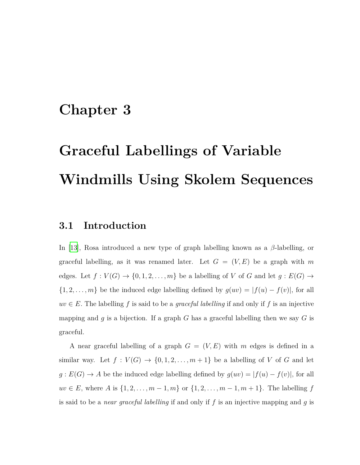## **Chapter 3**

# **Graceful Labellings of Variable Windmills Using Skolem Sequences**

#### **3.1 Introduction**

In [[13](#page-108-0)], Rosa introduced a new type of graph labelling known as a *β*-labelling, or graceful labelling, as it was renamed later. Let  $G = (V, E)$  be a graph with  $m$ edges. Let  $f: V(G) \to \{0, 1, 2, \ldots, m\}$  be a labelling of *V* of *G* and let  $g: E(G) \to$  ${1, 2, ..., m}$  be the induced edge labelling defined by  $g(uv) = |f(u) - f(v)|$ , for all  $uv \in E$ . The labelling f is said to be a *graceful labelling* if and only if f is an injective mapping and  $q$  is a bijection. If a graph  $G$  has a graceful labelling then we say  $G$  is graceful.

A near graceful labelling of a graph  $G = (V, E)$  with  $m$  edges is defined in a similar way. Let  $f: V(G) \to \{0, 1, 2, \ldots, m+1\}$  be a labelling of *V* of *G* and let *g* : *E*(*G*) → *A* be the induced edge labelling defined by  $g(uv) = |f(u) - f(v)|$ , for all  $uv \in E$ , where *A* is  $\{1, 2, \ldots, m-1, m\}$  or  $\{1, 2, \ldots, m-1, m+1\}$ . The labelling *f* is said to be a *near graceful labelling* if and only if *f* is an injective mapping and *g* is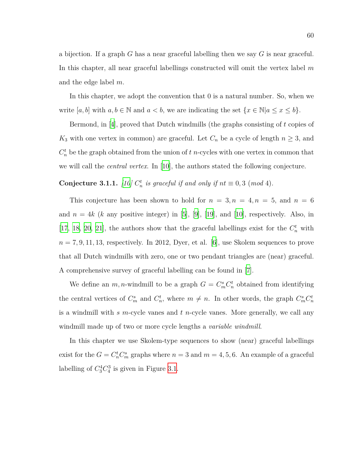a bijection. If a graph *G* has a near graceful labelling then we say *G* is near graceful. In this chapter, all near graceful labellings constructed will omit the vertex label *m* and the edge label *m*.

In this chapter, we adopt the convention that 0 is a natural number. So, when we write  $[a, b]$  with  $a, b \in \mathbb{N}$  and  $a < b$ , we are indicating the set  $\{x \in \mathbb{N} | a \le x \le b\}$ .

Bermond, in [\[4](#page-107-0)], proved that Dutch windmills (the graphs consisting of *t* copies of *K*<sub>3</sub> with one vertex in common) are graceful. Let  $C_n$  be a cycle of length  $n \geq 3$ , and  $C_n^t$  be the graph obtained from the union of  $t$  *n*-cycles with one vertex in common that we will call the *central vertex*. In [\[10\]](#page-108-0), the authors stated the following conjecture.

## **Conjecture 3.1.1.** [\[10](#page-108-0)]  $C_n^t$  is graceful if and only if  $nt \equiv 0, 3 \pmod{4}$ .

This conjecture has been shown to hold for  $n = 3, n = 4, n = 5$ , and  $n = 6$ and  $n = 4k$  ( $k$  any positive integer) in [\[5](#page-107-1)], [[9\]](#page-108-1), [\[19\]](#page-109-0), and [\[10\]](#page-108-0), respectively. Also, in [[17](#page-108-2), [18](#page-108-3), [20,](#page-109-1) [21](#page-109-2)], the authors show that the graceful labellings exist for the  $C_n^t$  with  $n = 7, 9, 11, 13$ , respectively. In 2012, Dyer, et al. [[6](#page-107-2)], use Skolem sequences to prove that all Dutch windmills with zero, one or two pendant triangles are (near) graceful. A comprehensive survey of graceful labelling can be found in [\[7](#page-107-3)].

We define an  $m, n$ -windmill to be a graph  $G = C_m^s C_n^t$  obtained from identifying the central vertices of  $C_m^s$  and  $C_n^t$ , where  $m \neq n$ . In other words, the graph  $C_m^s C_n^t$ is a windmill with *s m*-cycle vanes and *t n*-cycle vanes. More generally, we call any windmill made up of two or more cycle lengths a *variable windmill*.

In this chapter we use Skolem-type sequences to show (near) graceful labellings exist for the  $G = C_n^t C_m^s$  graphs where  $n = 3$  and  $m = 4, 5, 6$ . An example of a graceful labelling of  $C_3^4 C_4^3$  is given in Figure [3.1.](#page-73-0)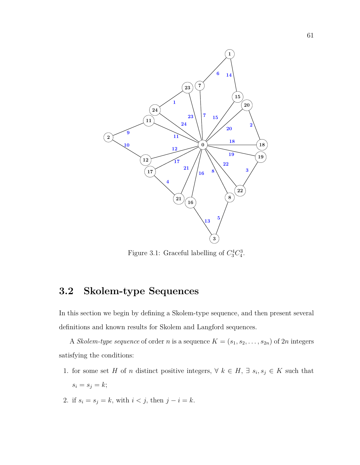<span id="page-73-0"></span>

Figure 3.1: Graceful labelling of  $C_3^4 C_4^3$ .

## **3.2 Skolem-type Sequences**

In this section we begin by defining a Skolem-type sequence, and then present several definitions and known results for Skolem and Langford sequences.

A *Skolem-type sequence* of order *n* is a sequence  $K = (s_1, s_2, \ldots, s_{2n})$  of 2*n* integers satisfying the conditions:

- 1. for some set *H* of *n* distinct positive integers,  $\forall k \in H$ ,  $\exists s_i, s_j \in K$  such that  $s_i = s_j = k;$
- 2. if  $s_i = s_j = k$ , with  $i < j$ , then  $j i = k$ .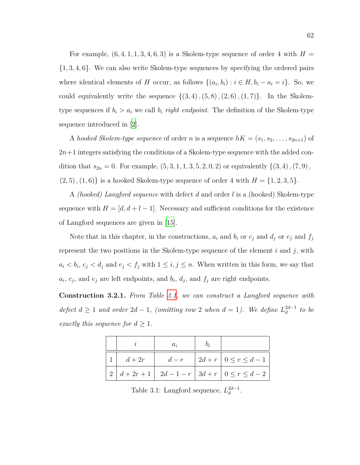For example,  $(6, 4, 1, 1, 3, 4, 6, 3)$  is a Skolem-type sequence of order 4 with  $H =$ *{*1*,* 3*,* 4*,* 6*}*. We can also write Skolem-type sequences by specifying the ordered pairs where identical elements of *H* occur, as follows  $\{(a_i, b_i) : i \in H, b_i - a_i = i\}$ . So, we could equivalently write the sequence  $\{(3,4), (5,8), (2,6), (1,7)\}$ . In the Skolemtype sequences if  $b_i > a_i$  we call  $b_i$  *right endpoint*. The definition of the Skolem-type sequence introduced in [\[2](#page-107-4)].

A *hooked Skolem-type sequence* of order *n* is a sequence  $hK = (s_1, s_2, \ldots, s_{2n+1})$  of 2*n*+1 integers satisfying the conditions of a Skolem-type sequence with the added condition that  $s_{2n} = 0$ . For example,  $(5, 3, 1, 1, 3, 5, 2, 0, 2)$  or equivalently  $\{(3, 4), (7, 9),$  $(2, 5), (1, 6)$ } is a hooked Skolem-type sequence of order 4 with  $H = \{1, 2, 3, 5\}$ .

A *(hooked) Langford sequence* with defect *d* and order *l* is a (hooked) Skolem-type sequence with  $H = [d, d + l - 1]$ . Necessary and sufficient conditions for the existence of Langford sequences are given in [[15](#page-108-4)].

Note that in this chapter, in the constructions,  $a_i$  and  $b_i$  or  $c_j$  and  $d_j$  or  $e_j$  and  $f_j$ represent the two positions in the Skolem-type sequence of the element *i* and *j*, with  $a_i < b_i, c_j < d_j$  and  $e_j < f_j$  with  $1 \leq i, j \leq n$ . When written in this form, we say that  $a_i, c_j,$  and  $e_j$  are left endpoints, and  $b_i, d_j,$  and  $f_j$  are right endpoints.

<span id="page-74-1"></span><span id="page-74-0"></span>**Construction 3.2.1.** *From Table [3.1](#page-74-0), we can construct a Langford sequence with defect*  $d \geq 1$  *and order*  $2d - 1$ *, (omitting row* 2 *when*  $d = 1$ *). We define*  $L_d^{2d-1}$  *to be exactly this sequence for*  $d \geq 1$ *.* 

|                                                    | $a_i$ |                                                                |
|----------------------------------------------------|-------|----------------------------------------------------------------|
| $\begin{array}{ c c } \hline 1 & d+2r \end{array}$ |       | $\begin{vmatrix} d-r & 2d+r & 0 \leq r \leq d-1 \end{vmatrix}$ |
|                                                    |       | $ 2 d+2r+1 2d-1-r 3d+r 0 \leq r \leq d-2$                      |

Table 3.1: Langford sequence,  $L_d^{2d-1}$ .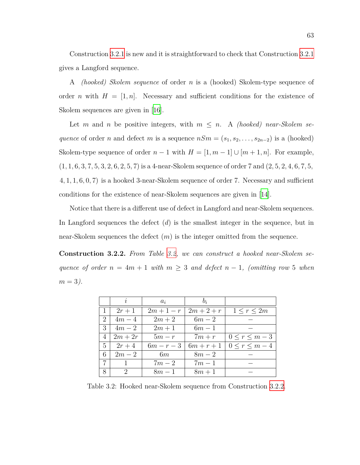Construction [3.2.1](#page-74-1) is new and it is straightforward to check that Construction [3.2.1](#page-74-1) gives a Langford sequence.

A *(hooked) Skolem sequence* of order *n* is a (hooked) Skolem-type sequence of order *n* with  $H = [1, n]$ . Necessary and sufficient conditions for the existence of Skolem sequences are given in [[16](#page-108-5)].

Let *m* and *n* be positive integers, with  $m \leq n$ . A *(hooked) near-Skolem sequence* of order *n* and defect *m* is a sequence  $nSm = (s_1, s_2, \ldots, s_{2n-2})$  is a (hooked) Skolem-type sequence of order  $n-1$  with  $H = [1, m-1] \cup [m+1, n]$ . For example,  $(1, 1, 6, 3, 7, 5, 3, 2, 6, 2, 5, 7)$  is a 4-near-Skolem sequence of order 7 and  $(2, 5, 2, 4, 6, 7, 5, 7)$ 4*,* 1*,* 1*,* 6*,* 0*,* 7) is a hooked 3-near-Skolem sequence of order 7. Necessary and sufficient conditions for the existence of near-Skolem sequences are given in[[14\]](#page-108-6).

Notice that there is a different use of defect in Langford and near-Skolem sequences. In Langford sequences the defect (*d*) is the smallest integer in the sequence, but in near-Skolem sequences the defect (*m*) is the integer omitted from the sequence.

<span id="page-75-1"></span>**Construction 3.2.2.** *From Table [3.2,](#page-75-0) we can construct a hooked near-Skolem sequence of order*  $n = 4m + 1$  *with*  $m \geq 3$  *and defect*  $n - 1$ *, (omitting row* 5 *when*  $m = 3$ .

<span id="page-75-0"></span>

|                | $\overline{\imath}$ | $a_i$        | $b_i$        |                     |
|----------------|---------------------|--------------|--------------|---------------------|
|                | $2r+1$              | $2m + 1 - r$ | $2m + 2 + r$ | $1 \leq r \leq 2m$  |
| $\overline{2}$ | $4m-4$              | $2m+2$       | $6m-2$       |                     |
| 3              | $4m-2$              | $2m+1$       | $6m-1$       |                     |
| 4              | $2m+2r$             | $5m-r$       | $7m+r$       | $0 \leq r \leq m-3$ |
| $\mathbf{5}$   | $2r+4$              | $6m-r-3$     | $6m + r + 1$ | $0 \leq r \leq m-4$ |
| 6              | $2m-2$              | 6m           | $8m-2$       |                     |
| 7              |                     | $7m-2$       | $7m-1$       |                     |
| 8              | 2                   | $8m-1$       | $8m+1$       |                     |

Table 3.2: Hooked near-Skolem sequence from Construction [3.2.2.](#page-75-1)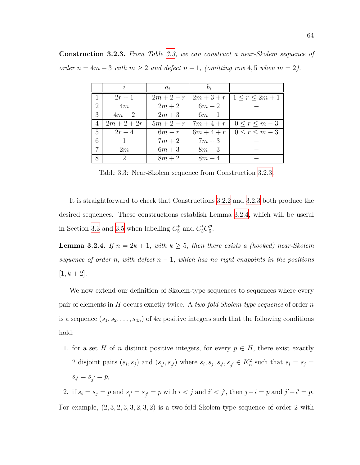|                | i             | $a_i$        | $b_i$        |                     |
|----------------|---------------|--------------|--------------|---------------------|
|                | $2r+1$        | $2m + 2 - r$ | $2m + 3 + r$ | $1\leq r\leq 2m+1$  |
| $\overline{2}$ | 4m            | $2m+2$       | $6m+2$       |                     |
| 3              | $4m-2$        | $2m+3$       | $6m+1$       |                     |
| 4              | $2m + 2 + 2r$ | $5m + 2 - r$ | $7m + 4 + r$ | $0 \leq r \leq m-3$ |
| 5              | $2r+4$        | $6m-r$       | $6m + 4 + r$ | $0 \leq r \leq m-3$ |
| 6              |               | $7m+2$       | $7m+3$       |                     |
| 7              | 2m            | $6m+3$       | $8m+3$       |                     |
| 8              | 2             | $8m+2$       | $8m+4$       |                     |

<span id="page-76-1"></span><span id="page-76-0"></span>**Construction 3.2.3.** *From Table [3.3,](#page-76-0) we can construct a near-Skolem sequence of order*  $n = 4m + 3$  *with*  $m \geq 2$  *and defect*  $n - 1$ *, (omitting row* 4*,* 5 *when*  $m = 2$ *).* 

Table 3.3: Near-Skolem sequence from Construction [3.2.3.](#page-76-1)

It is straightforward to check that Constructions [3.2.2](#page-75-1) and [3.2.3](#page-76-1) both produce the desired sequences. These constructions establish Lemma [3.2.4,](#page-76-2) which will be useful in Section [3.3](#page-79-0) and [3.5](#page-96-0) when labelling  $C_5^p$  $C_5^p$  and  $C_3^t C_5^p$  $^p_5.$ 

<span id="page-76-2"></span>**Lemma 3.2.4.** *If*  $n = 2k + 1$ *, with*  $k \geq 5$ *, then there exists a (hooked) near-Skolem sequence of order n, with defect*  $n-1$ *, which has no right endpoints in the positions*  $[1, k + 2]$ .

We now extend our definition of Skolem-type sequences to sequences where every pair of elements in *H* occurs exactly twice. A *two-fold Skolem-type sequence* of order *n* is a sequence  $(s_1, s_2, \ldots, s_{4n})$  of  $4n$  positive integers such that the following conditions hold:

1. for a set *H* of *n* distinct positive integers, for every  $p \in H$ , there exist exactly 2 disjoint pairs  $(s_i, s_j)$  and  $(s_{i'}, s_{j'})$  where  $s_i, s_j, s_{i'}, s_{j'} \in K_n^2$  such that  $s_i = s_j =$  $s_{i'} = s_{j'} = p$ ,

2. if  $s_i = s_j = p$  and  $s_{i'} = s_{j'} = p$  with  $i < j$  and  $i' < j'$ , then  $j - i = p$  and  $j' - i' = p$ . For example, (2*,* 3*,* 2*,* 3*,* 3*,* 2*,* 3*,* 2) is a two-fold Skolem-type sequence of order 2 with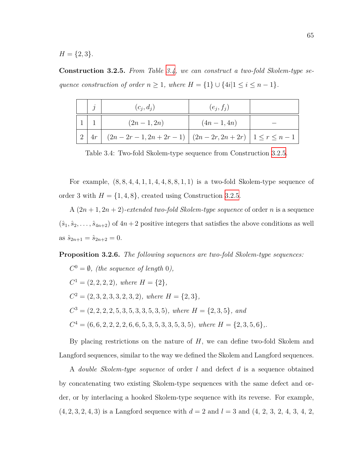<span id="page-77-1"></span> $H = \{2, 3\}.$ 

**Construction 3.2.5.** *From Table [3.4](#page-77-0), we can construct a two-fold Skolem-type sequence construction of order*  $n \geq 1$ *, where*  $H = \{1\} \cup \{4i | 1 \leq i \leq n-1\}$ *.* 

<span id="page-77-0"></span>

|  | $(c_i, d_i)$                                                                                             | $(e_i, f_i)$   |  |
|--|----------------------------------------------------------------------------------------------------------|----------------|--|
|  | $(2n-1, 2n)$                                                                                             | $(4n - 1, 4n)$ |  |
|  | $\left  2 \right  4r \left  (2n - 2r - 1, 2n + 2r - 1) \right  (2n - 2r, 2n + 2r)   1 \leq r \leq n - 1$ |                |  |

Table 3.4: Two-fold Skolem-type sequence from Construction [3.2.5](#page-77-1).

For example,  $(8, 8, 4, 4, 1, 1, 4, 4, 8, 8, 1, 1)$  is a two-fold Skolem-type sequence of order 3 with  $H = \{1, 4, 8\}$ , created using Construction [3.2.5.](#page-77-1)

A  $(2n+1, 2n+2)$ -extended two-fold Skolem-type sequence of order *n* is a sequence  $(\hat{s}_1, \hat{s}_2, \ldots, \hat{s}_{4n+2})$  of  $4n+2$  positive integers that satisfies the above conditions as well as  $\hat{s}_{2n+1} = \hat{s}_{2n+2} = 0$ .

<span id="page-77-2"></span>**Proposition 3.2.6.** *The following sequences are two-fold Skolem-type sequences:*

 $C^0 = \emptyset$ , (the sequence of length 0),  $C^1 = (2, 2, 2, 2)$ *, where*  $H = \{2\}$ *,*  $C^2 = (2, 3, 2, 3, 3, 2, 3, 2)$ *, where*  $H = \{2, 3\}$ *,*  $C^3 = (2, 2, 2, 2, 5, 3, 5, 3, 3, 5, 3, 5)$ *, where*  $H = \{2, 3, 5\}$ *, and*  $C^4 = (6, 6, 2, 2, 2, 2, 6, 6, 5, 3, 5, 3, 3, 5, 3, 5),$  where  $H = \{2, 3, 5, 6\},$ .

By placing restrictions on the nature of *H*, we can define two-fold Skolem and Langford sequences, similar to the way we defined the Skolem and Langford sequences.

A *double Skolem-type sequence* of order *l* and defect *d* is a sequence obtained by concatenating two existing Skolem-type sequences with the same defect and order, or by interlacing a hooked Skolem-type sequence with its reverse. For example,  $(4, 2, 3, 2, 4, 3)$  is a Langford sequence with  $d = 2$  and  $l = 3$  and  $(4, 2, 3, 2, 4, 3, 4, 2,$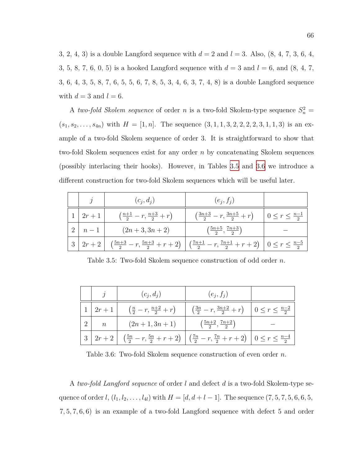3, 2, 4, 3) is a double Langford sequence with *d* = 2 and *l* = 3. Also, (8, 4, 7, 3, 6, 4, 3, 5, 8, 7, 6, 0, 5) is a hooked Langford sequence with  $d = 3$  and  $l = 6$ , and  $(8, 4, 7, ...)$ 3, 6, 4, 3, 5, 8, 7, 6, 5, 5, 6, 7, 8, 5, 3, 4, 6, 3, 7, 4, 8) is a double Langford sequence with  $d = 3$  and  $l = 6$ .

A *two-fold Skolem sequence* of order *n* is a two-fold Skolem-type sequence  $S_n^2 =$  $(s_1, s_2, \ldots, s_{4n})$  with  $H = [1, n]$ . The sequence  $(3, 1, 1, 3, 2, 2, 2, 2, 3, 1, 1, 3)$  is an example of a two-fold Skolem sequence of order 3. It is straightforward to show that two-fold Skolem sequences exist for any order *n* by concatenating Skolem sequences (possibly interlacing their hooks). However, in Tables [3.5](#page-78-0) and [3.6](#page-78-1) we introduce a different construction for two-fold Skolem sequences which will be useful later.

<span id="page-78-0"></span>

|                                 | $(c_i, d_i)$                                                                                                                                             | $(e_i, f_i)$                                     |                               |
|---------------------------------|----------------------------------------------------------------------------------------------------------------------------------------------------------|--------------------------------------------------|-------------------------------|
| $2r+1$                          | $\left(\frac{n+1}{2}-r,\frac{n+3}{2}+r\right)$                                                                                                           | $\left(\frac{3n+3}{2}-r,\frac{3n+5}{2}+r\right)$ | $0 \leq r \leq \frac{n-1}{2}$ |
| $\left\lfloor n-1\right\rfloor$ | $(2n+3,3n+2)$                                                                                                                                            | $\left(\frac{5n+5}{2}, \frac{7n+3}{2}\right)$    |                               |
|                                 | $3\left 2r+2\right $ $\left(\frac{5n+3}{2}-r,\frac{5n+3}{2}+r+2\right)$ $\left(\frac{7n+1}{2}-r,\frac{7n+1}{2}+r+2\right)$ $0 \leq r \leq \frac{n-5}{2}$ |                                                  |                               |

Table 3.5: Two-fold Skolem sequence construction of odd order *n*.

<span id="page-78-1"></span>

|                                                             | $(c_i, d_i)$                                                                                                                                                   | $(e_j, f_i)$                                                                  |  |
|-------------------------------------------------------------|----------------------------------------------------------------------------------------------------------------------------------------------------------------|-------------------------------------------------------------------------------|--|
| $\mid 1 \mid 2r+1$                                          | $\left(\frac{n}{2}-r,\frac{n+2}{2}+r\right)$                                                                                                                   | $\left(\frac{3n}{2}-r, \frac{3n+2}{2}+r\right)$ $0 \leq r \leq \frac{n-2}{2}$ |  |
| $\begin{array}{ c c c } \hline 2 & n \\ \hline \end{array}$ | $(2n+1,3n+1)$                                                                                                                                                  | $\left(\frac{5n+2}{2}, \frac{7n+2}{2}\right)$                                 |  |
|                                                             | $\left 3\right 2r+2\left  \left(\frac{5n}{2}-r,\frac{5n}{2}+r+2\right)\right  \left(\frac{7n}{2}-r,\frac{7n}{2}+r+2\right)\right  0 \leq r \leq \frac{n-4}{2}$ |                                                                               |  |

Table 3.6: Two-fold Skolem sequence construction of even order *n*.

A *two-fold Langford sequence* of order *l* and defect *d* is a two-fold Skolem-type sequence of order *l*,  $(l_1, l_2, \ldots, l_{4l})$  with  $H = [d, d + l - 1]$ . The sequence  $(7, 5, 7, 5, 6, 6, 5,$ 7*,* 5*,* 7*,* 6*,* 6) is an example of a two-fold Langford sequence with defect 5 and order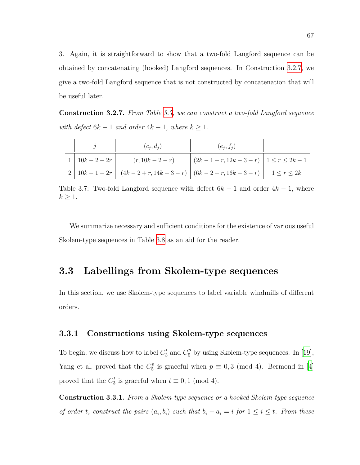3. Again, it is straightforward to show that a two-fold Langford sequence can be obtained by concatenating (hooked) Langford sequences. In Construction [3.2.7,](#page-79-1) we give a two-fold Langford sequence that is not constructed by concatenation that will be useful later.

<span id="page-79-1"></span>**Construction 3.2.7.** *From Table [3.7,](#page-79-2) we can construct a two-fold Langford sequence with defect*  $6k - 1$  *and order*  $4k - 1$ *, where*  $k \geq 1$ *.* 

<span id="page-79-2"></span>

|  | $(c_i, d_i)$                                                        | $(e_i, f_i)$                                          |  |
|--|---------------------------------------------------------------------|-------------------------------------------------------|--|
|  | $\begin{vmatrix} 1 & 10k - 2 - 2r \end{vmatrix}$ $(r, 10k - 2 - r)$ | $\left  (2k-1+r, 12k-3-r) \right  1 \leq r \leq 2k-1$ |  |
|  |                                                                     |                                                       |  |

Table 3.7: Two-fold Langford sequence with defect  $6k - 1$  and order  $4k - 1$ , where  $k \geq 1$ .

We summarize necessary and sufficient conditions for the existence of various useful Skolem-type sequences in Table [3.8](#page-80-0) as an aid for the reader.

## <span id="page-79-0"></span>**3.3 Labellings from Skolem-type sequences**

In this section, we use Skolem-type sequences to label variable windmills of different orders.

## **3.3.1 Constructions using Skolem-type sequences**

To begin, we discuss how to label  $C_3^t$  and  $C_5^p$  by using Skolem-type sequences. In [[19\]](#page-109-0), Yang et al. proved that the  $C_5^p$  $j_5^p$ is graceful when  $p \equiv 0,3 \pmod{4}$ . Bermond in [[4\]](#page-107-0) proved that the  $C_3^t$  is graceful when  $t \equiv 0, 1 \pmod{4}$ .

<span id="page-79-3"></span>**Construction 3.3.1.** *From a Skolem-type sequence or a hooked Skolem-type sequence* of order t, construct the pairs  $(a_i, b_i)$  such that  $b_i - a_i = i$  for  $1 \leq i \leq t$ . From these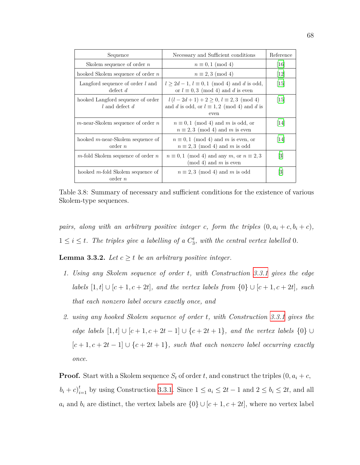<span id="page-80-0"></span>

| Sequence                                                  | Necessary and Sufficient conditions                                                                    | Reference                                                                                                                                                  |
|-----------------------------------------------------------|--------------------------------------------------------------------------------------------------------|------------------------------------------------------------------------------------------------------------------------------------------------------------|
| Skolem sequence of order $n$                              | $n \equiv 0, 1 \pmod{4}$                                                                               | 16                                                                                                                                                         |
| hooked Skolem sequence of order $n$                       | $n \equiv 2,3 \pmod{4}$                                                                                | $[12]$                                                                                                                                                     |
| Langford sequence of order $l$ and<br>defect $d$          | $l \geq 2d-1$ , $l \equiv 0,1 \pmod{4}$ and d is odd,<br>or $l \equiv 0, 3 \pmod{4}$ and d is even     | $\vert 15 \vert$                                                                                                                                           |
| hooked Langford sequence of order<br>$l$ and defect d     | $l(l-2d+1)+2\geq 0, l\equiv 2,3 \pmod{4}$<br>and d is odd, or $l \equiv 1,2 \pmod{4}$ and d is<br>even | $\left[15\right]$                                                                                                                                          |
| $m$ -near-Skolem sequence of order $n$                    | $n \equiv 0, 1 \pmod{4}$ and m is odd, or<br>$n \equiv 2,3 \pmod{4}$ and m is even                     | 14                                                                                                                                                         |
| hooked $m$ -near-Skolem sequence of<br>$\alpha$ order $n$ | $n \equiv 0, 1 \pmod{4}$ and m is even, or<br>$n \equiv 2,3 \pmod{4}$ and m is odd                     | $\left[14\right]$                                                                                                                                          |
| $m$ -fold Skolem sequence of order $n$                    | $n \equiv 0, 1 \pmod{4}$ and any m, or $n \equiv 2, 3$<br>(mod 4) and $m$ is even                      | $[3] % \includegraphics[width=0.9\columnwidth]{figures/fig_1a} \caption{Schematic diagram of the top of the top of the top of the right.} \label{fig:1} %$ |
| hooked $m$ -fold Skolem sequence of<br>$\alpha$ order $n$ | $n \equiv 2,3 \pmod{4}$ and m is odd                                                                   | $[3] % \includegraphics[width=0.9\columnwidth]{figures/fig_1a} \caption{Schematic diagram of the top of the top of the top of the right.} \label{fig:1} %$ |

Table 3.8: Summary of necessary and sufficient conditions for the existence of various Skolem-type sequences.

*pairs, along with an arbitrary positive integer <i>c*, form the triples  $(0, a_i + c, b_i + c)$ ,  $1 \leq i \leq t$ . The triples give a labelling of a  $C_3^t$ , with the central vertex labelled 0.

<span id="page-80-1"></span>**Lemma 3.3.2.** *Let*  $c \geq t$  *be an arbitrary positive integer.* 

- *1. Using any Skolem sequence of order t, with Construction [3.3.1](#page-79-3) gives the edge labels*  $[1, t] ∪ [c + 1, c + 2t]$ *, and the vertex labels from*  $\{0\} ∪ [c + 1, c + 2t]$ *, such that each nonzero label occurs exactly once, and*
- *2. using any hooked Skolem sequence of order t, with Construction [3.3.1](#page-79-3) gives the edge labels*  $[1, t]$  ∪  $[c + 1, c + 2t - 1]$  ∪  $\{c + 2t + 1\}$ *, and the vertex labels*  $\{0\}$  ∪  $[c+1, c+2t-1] \cup \{c+2t+1\}$ *, such that each nonzero label occurring exactly once.*

**Proof.** Start with a Skolem sequence  $S_t$  of order *t*, and construct the triples  $(0, a_i + c,$  $b_i + c \big)_{i=1}^t$  by using Construction [3.3.1.](#page-79-3) Since  $1 \le a_i \le 2t - 1$  and  $2 \le b_i \le 2t$ , and all *a*<sub>*i*</sub> and *b*<sub>*i*</sub> are distinct, the vertex labels are  $\{0\} \cup [c+1, c+2t]$ , where no vertex label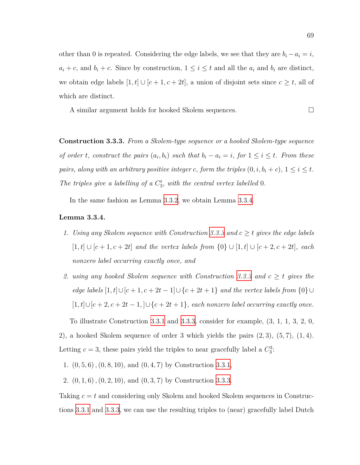other than 0 is repeated. Considering the edge labels, we see that they are  $b_i - a_i = i$ ,  $a_i + c$ , and  $b_i + c$ . Since by construction,  $1 \leq i \leq t$  and all the  $a_i$  and  $b_i$  are distinct, we obtain edge labels  $[1, t] \cup [c + 1, c + 2t]$ , a union of disjoint sets since  $c \geq t$ , all of which are distinct.

A similar argument holds for hooked Skolem sequences.

<span id="page-81-1"></span>**Construction 3.3.3.** *From a Skolem-type sequence or a hooked Skolem-type sequence* of order t, construct the pairs  $(a_i, b_i)$  such that  $b_i - a_i = i$ , for  $1 \leq i \leq t$ . From these *pairs, along with an arbitrary positive integer <i>c*, form the triples  $(0, i, b_i + c)$ ,  $1 \le i \le t$ . *The triples give a labelling of a*  $C_3^t$ *, with the central vertex labelled* 0*.* 

In the same fashion as Lemma [3.3.2,](#page-80-1) we obtain Lemma [3.3.4](#page-81-0).

### <span id="page-81-0"></span>**Lemma 3.3.4.**

- *1. Using any Skolem sequence with Construction [3.3.3](#page-81-1) and c ≥ t gives the edge labels* [1*, t*] *∪* [*c* + 1*, c* + 2*t*] *and the vertex labels from {*0*} ∪* [1*, t*] *∪* [*c* + 2*, c* + 2*t*]*, each nonzero label occurring exactly once, and*
- *2. using any hooked Skolem sequence with Construction [3.3.3](#page-81-1) and c ≥ t gives the edge labels*  $[1, t] ∪ [c + 1, c + 2t − 1] ∪ {c + 2t + 1}$  *and the vertex labels from*  ${0} ∪ ∪$ [1*, t*]*∪*[*c* + 2*, c* + 2*t −* 1*,* ]*∪{c* + 2*t* + 1*}, each nonzero label occurring exactly once.*

To illustrate Construction [3.3.1](#page-79-3) and [3.3.3,](#page-81-1) consider for example, (3, 1, 1, 3, 2, 0, 2), a hooked Skolem sequence of order 3 which yields the pairs (2*,* 3), (5*,* 7), (1*,* 4). Letting  $c = 3$ , these pairs yield the triples to near gracefully label a  $C_3^3$ :

1. (0*,* 5*,* 6)*,*(0*,* 8*,* 10), and (0*,* 4*,* 7) by Construction [3.3.1,](#page-79-3)

2. (0*,* 1*,* 6)*,*(0*,* 2*,* 10), and (0*,* 3*,* 7) by Construction [3.3.3.](#page-81-1)

Taking *c* = *t* and considering only Skolem and hooked Skolem sequences in Constructions [3.3.1](#page-79-3) and [3.3.3](#page-81-1), we can use the resulting triples to (near) gracefully label Dutch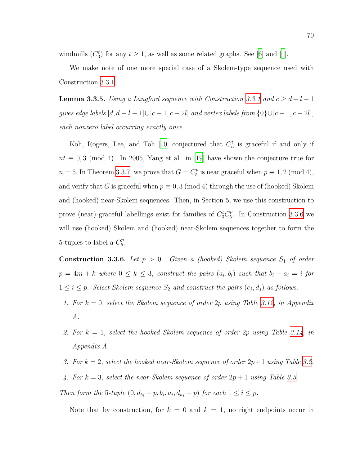windmills  $(C_3^t)$  for any  $t \geq 1$  $t \geq 1$ , as well as some related graphs. See [[6](#page-107-2)] and [1].

We make note of one more special case of a Skolem-type sequence used with Construction [3.3.1.](#page-79-3)

<span id="page-82-1"></span>**Lemma 3.3.5.** *Using a Langford sequence with Construction* [3.3.1](#page-79-3) and  $c \geq d + l - 1$ *gives edge labels*  $[d, d+l-1] \cup [c+1, c+2l]$  *and vertex labels from*  $\{0\} \cup [c+1, c+2l]$ *, each nonzero label occurring exactly once.*

Koh, Rogers, Lee, and Toh [[10](#page-108-0)] conjectured that  $C_n^t$  is graceful if and only if  $nt \equiv 0,3 \pmod{4}$ . In 2005, Yang et al. in [\[19\]](#page-109-0) have shown the conjecture true for  $n = 5$ . In Theorem [3.3.7](#page-83-0), we prove that  $G = C_5^p$  $j_5^p$  is near graceful when  $p \equiv 1, 2 \pmod{4}$ , and verify that *G* is graceful when  $p \equiv 0, 3 \pmod{4}$  through the use of (hooked) Skolem and (hooked) near-Skolem sequences. Then, in Section 5, we use this construction to prove (near) graceful labellings exist for families of  $C_3^t C_5^p$  $_5^p$ . In Construction [3.3.6](#page-82-0) we will use (hooked) Skolem and (hooked) near-Skolem sequences together to form the 5-tuples to label a  $C_5^p$  $^p_5.$ 

<span id="page-82-0"></span>**Construction 3.3.6.** *Let*  $p > 0$ *. Given a (hooked) Skolem sequence*  $S_1$  *of order*  $p = 4m + k$  where  $0 \leq k \leq 3$ , construct the pairs  $(a_i, b_i)$  such that  $b_i - a_i = i$  for  $1 \leq i \leq p$ . Select Skolem sequence  $S_2$  and construct the pairs  $(c_j, d_j)$  as follows.

- *1. For k* = 0*, select the Skolem sequence of order* 2*p using Table [3.12](#page-109-3), in Appendix A.*
- *2. For k* = 1*, select the hooked Skolem sequence of order* 2*p using Table [3.14,](#page-110-0) in Appendix A.*
- *3. For k* = 2*, select the hooked near-Skolem sequence of order* 2*p*+1 *using Table [3.2](#page-75-0).*
- *4. For k* = 3*, select the near-Skolem sequence of order* 2*p* + 1 *using Table [3.3.](#page-76-0)*

*Then form the* 5*-tuple*  $(0, d_{b_i} + p, b_i, a_i, d_{a_i} + p)$  *for each*  $1 \leq i \leq p$ *.* 

Note that by construction, for  $k = 0$  and  $k = 1$ , no right endpoints occur in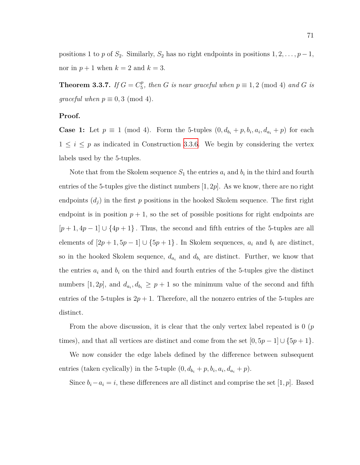positions 1 to *p* of  $S_2$ . Similarly,  $S_2$  has no right endpoints in positions  $1, 2, \ldots, p-1$ , nor in  $p + 1$  when  $k = 2$  and  $k = 3$ .

<span id="page-83-0"></span>**Theorem 3.3.7.** *If*  $G = C_5^p$  $E_5^p$ , then *G* is near graceful when  $p \equiv 1, 2 \pmod{4}$  and *G* is *graceful when*  $p \equiv 0, 3 \pmod{4}$ .

### **Proof.**

**Case 1:** Let  $p \equiv 1 \pmod{4}$ . Form the 5-tuples  $(0, d_{b_i} + p, b_i, a_i, d_{a_i} + p)$  for each  $1 \leq i \leq p$  as indicated in Construction [3.3.6.](#page-82-0) We begin by considering the vertex labels used by the 5-tuples.

Note that from the Skolem sequence  $S_1$  the entries  $a_i$  and  $b_i$  in the third and fourth entries of the 5-tuples give the distinct numbers [1*,* 2*p*]. As we know, there are no right endpoints  $(d_i)$  in the first  $p$  positions in the hooked Skolem sequence. The first right endpoint is in position  $p + 1$ , so the set of possible positions for right endpoints are  $[p+1, 4p-1] \cup \{4p+1\}$ . Thus, the second and fifth entries of the 5-tuples are all elements of  $[2p + 1, 5p - 1] \cup \{5p + 1\}$ . In Skolem sequences,  $a_i$  and  $b_i$  are distinct, so in the hooked Skolem sequence,  $d_{a_i}$  and  $d_{b_i}$  are distinct. Further, we know that the entries  $a_i$  and  $b_i$  on the third and fourth entries of the 5-tuples give the distinct numbers [1, 2*p*], and  $d_{a_i}, d_{b_i} \geq p+1$  so the minimum value of the second and fifth entries of the 5-tuples is  $2p + 1$ . Therefore, all the nonzero entries of the 5-tuples are distinct.

From the above discussion, it is clear that the only vertex label repeated is 0 (*p* times), and that all vertices are distinct and come from the set  $[0, 5p - 1] \cup \{5p + 1\}$ .

We now consider the edge labels defined by the difference between subsequent entries (taken cyclically) in the 5-tuple  $(0, d_{b_i} + p, b_i, a_i, d_{a_i} + p)$ .

Since  $b_i - a_i = i$ , these differences are all distinct and comprise the set [1*, p*]. Based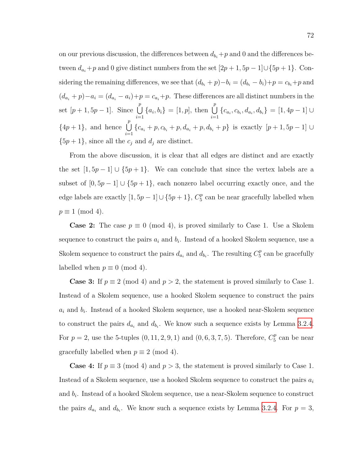on our previous discussion, the differences between  $d_{b_i} + p$  and 0 and the differences between  $d_{a_i} + p$  and 0 give distinct numbers from the set  $[2p + 1, 5p - 1] \cup \{5p + 1\}$ . Considering the remaining differences, we see that  $(d_{b_i} + p) - b_i = (d_{b_i} - b_i) + p = c_{b_i} + p$  and  $(d_{a_i} + p) - a_i = (d_{a_i} - a_i) + p = c_{a_i} + p$ . These differences are all distinct numbers in the set  $[p+1, 5p-1]$ . Since  $\bigcup^{p}$ *i*=1  ${a_i, b_i} = [1, p]$ , then  $\bigcup^p$ *i*=1 *{c<sup>a</sup><sup>i</sup> , c<sup>b</sup><sup>i</sup> , d<sup>a</sup><sup>i</sup> , d<sup>b</sup><sup>i</sup> }* = [1*,* 4*p −* 1] *∪*  $\{4p+1\}$ , and hence  $\bigcup^{p}$ *i*=1 {*c*<sub>*ai*</sub> + *p, c*<sub>*bi*</sub> + *p, d*<sub>*ai*</sub> + *p, d*<sub>*bi*</sub> + *p*} is exactly  $[p + 1, 5p - 1]$  ∪  $\{5p+1\}$ , since all the  $c_j$  and  $d_j$  are distinct.

From the above discussion, it is clear that all edges are distinct and are exactly the set  $[1, 5p - 1] \cup \{5p + 1\}$ . We can conclude that since the vertex labels are a subset of  $[0, 5p - 1] \cup \{5p + 1\}$ , each nonzero label occurring exactly once, and the edge labels are exactly  $[1, 5p - 1] \cup \{5p + 1\}$ ,  $C_5^p$  $\frac{p}{5}$  can be near gracefully labelled when  $p \equiv 1 \pmod{4}$ .

**Case 2:** The case  $p \equiv 0 \pmod{4}$ , is proved similarly to Case 1. Use a Skolem sequence to construct the pairs  $a_i$  and  $b_i$ . Instead of a hooked Skolem sequence, use a Skolem sequence to construct the pairs  $d_{a_i}$  and  $d_{b_i}$ . The resulting  $C_5^p$  $\frac{p}{5}$  can be gracefully labelled when  $p \equiv 0 \pmod{4}$ .

**Case 3:** If  $p \equiv 2 \pmod{4}$  and  $p > 2$ , the statement is proved similarly to Case 1. Instead of a Skolem sequence, use a hooked Skolem sequence to construct the pairs  $a_i$  and  $b_i$ . Instead of a hooked Skolem sequence, use a hooked near-Skolem sequence to construct the pairs  $d_{a_i}$  and  $d_{b_i}$ . We know such a sequence exists by Lemma [3.2.4.](#page-76-2) For  $p = 2$ , use the 5-tuples  $(0, 11, 2, 9, 1)$  and  $(0, 6, 3, 7, 5)$ . Therefore,  $C_5^p$  $_5^p$  can be near gracefully labelled when  $p \equiv 2 \pmod{4}$ .

**Case 4:** If  $p \equiv 3 \pmod{4}$  and  $p > 3$ , the statement is proved similarly to Case 1. Instead of a Skolem sequence, use a hooked Skolem sequence to construct the pairs *a<sup>i</sup>* and *b<sup>i</sup>* . Instead of a hooked Skolem sequence, use a near-Skolem sequence to construct the pairs  $d_{a_i}$  and  $d_{b_i}$ . We know such a sequence exists by Lemma [3.2.4.](#page-76-2) For  $p = 3$ ,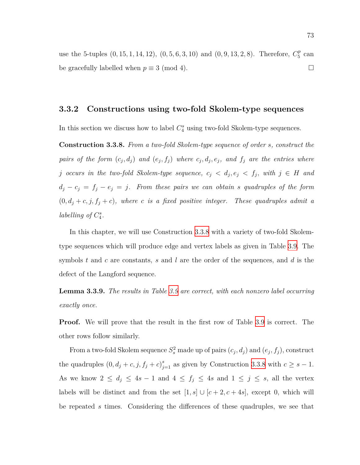use the 5-tuples  $(0, 15, 1, 14, 12)$ ,  $(0, 5, 6, 3, 10)$  and  $(0, 9, 13, 2, 8)$ . Therefore,  $C_5^p$  $_5^p$  can be gracefully labelled when  $p \equiv 3 \pmod{4}$ .

## **3.3.2 Constructions using two-fold Skolem-type sequences**

<span id="page-85-0"></span>In this section we discuss how to label  $C_4^s$  using two-fold Skolem-type sequences.

**Construction 3.3.8.** *From a two-fold Skolem-type sequence of order s, construct the* pairs of the form  $(c_j, d_j)$  and  $(e_j, f_j)$  where  $c_j, d_j, e_j$ , and  $f_j$  are the entries where *j occurs in the two-fold Skolem-type sequence,*  $c_j < d_j, e_j < f_j$ , with  $j \in H$  and  $d_j - c_j = f_j - e_j = j$ . From these pairs we can obtain *s* quadruples of the form  $(0, d_j + c, j, f_j + c)$ , where *c* is a fixed positive integer. These quadruples admit a *labelling of*  $C_4^s$ .

In this chapter, we will use Construction [3.3.8](#page-85-0) with a variety of two-fold Skolemtype sequences which will produce edge and vertex labels as given in Table [3.9](#page-86-0). The symbols *t* and *c* are constants, *s* and *l* are the order of the sequences, and *d* is the defect of the Langford sequence.

**Lemma 3.3.9.** *The results in Table [3.9](#page-86-0) are correct, with each nonzero label occurring exactly once.*

**Proof.** We will prove that the result in the first row of Table [3.9](#page-86-0) is correct. The other rows follow similarly.

From a two-fold Skolem sequence  $S_s^2$  made up of pairs  $(c_j, d_j)$  and  $(e_j, f_j)$ , construct the quadruples  $(0, d_j + c, j, f_j + c)_{j=1}^s$  as given by Construction [3.3.8](#page-85-0) with  $c \geq s - 1$ . As we know  $2 \le d_j \le 4s - 1$  and  $4 \le f_j \le 4s$  and  $1 \le j \le s$ , all the vertex labels will be distinct and from the set  $[1, s] \cup [c + 2, c + 4s]$ , except 0, which will be repeated *s* times. Considering the differences of these quadruples, we see that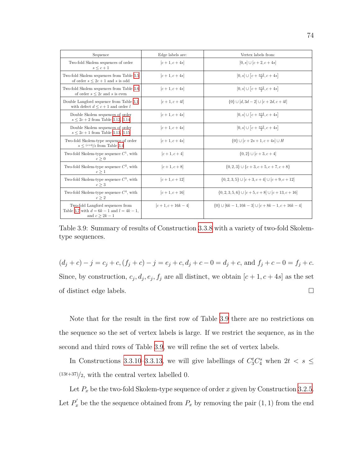<span id="page-86-0"></span>

| Sequence                                                                                                  | Edge labels are: | Vertex labels from:                                   |
|-----------------------------------------------------------------------------------------------------------|------------------|-------------------------------------------------------|
| Two-fold Skolem sequences of order<br>$s \leq c+1$                                                        | $[c+1, c+4s]$    | $[0, s] \cup [c+2, c+4s]$                             |
| Two-fold Skolem sequences from Table 3.5<br>of order $s \leq 2c + 1$ and s is odd                         | $[c+1, c+4s]$    | $[0,s] \cup [c + \frac{s+3}{2}, c + 4s]$              |
| Two-fold Skolem sequences from Table 3.6<br>of order $s \leq 2c$ and s is even                            | $[c+1, c+4s]$    | $[0,s] \cup [c + \frac{s+2}{2}, c + 4s]$              |
| Double Langford sequence from Table 3.1<br>with defect $d \leq c+1$ and order l                           | $[c+1, c+4l]$    | $\{0\} \cup [d, 3d - 2] \cup [c + 2d, c + 4l]$        |
| Double Skolem sequences of order<br>$s \le 2c + 2$ from Table 3.12, 3.14                                  | $[c+1, c+4s]$    | $[0,s] \cup [c + \frac{s+4}{2}, c + 4s]$              |
| Double Skolem sequences of order<br>$s \leq 2c + 1$ from Table 3.13, 3.15                                 | $[c+1, c+4s]$    | $[0,s] \cup [c + \frac{s+3}{2}, c + 4s]$              |
| Two-fold Skolem-type sequence of order<br>$s \leq (c+4)/2$ from Table 3.4                                 | $[c+1, c+4s]$    | $\{0\} \cup [c+2s+1, c+4s] \cup H$                    |
| Two-fold Skolem-type sequence $C^1$ , with<br>$c \geq 0$                                                  | $[c+1, c+4]$     | $\{0,2\} \cup [c+3,c+4]$                              |
| Two-fold Skolem-type sequence $C^2$ , with<br>$c \geq 1$                                                  | $[c+1, c+8]$     | $\{0,2,3\} \cup \{c+3,c+5,c+7,c+8\}$                  |
| Two-fold Skolem-type sequence $C^3$ , with<br>$c \geq 3$                                                  | $[c+1, c+12]$    | $\{0, 2, 3, 5\} \cup [c+3, c+4] \cup [c+9, c+12]$     |
| Two-fold Skolem-type sequence $C^4$ , with<br>$c \geq 2$                                                  | $[c+1, c+16]$    | $\{0, 2, 3, 5, 6\} \cup [c+5, c+8] \cup [c+13, c+16]$ |
| Two-fold Langford sequences from<br>Table 3.7 with $d = 6k - 1$ and $l = 4k - 1$ ,<br>and $c \geq 2k - 1$ | $[c+1, c+16k-4]$ | $\{0\} \cup [6k-1, 10k-3] \cup [c+8k-1, c+16k-4]$     |

Table 3.9: Summary of results of Construction [3.3.8](#page-85-0) with a variety of two-fold Skolemtype sequences.

 $(d_j + c) - j = c_j + c$ ,  $(f_j + c) - j = e_j + c$ ,  $d_j + c - 0 = d_j + c$ , and  $f_j + c - 0 = f_j + c$ . Since, by construction,  $c_j$ ,  $d_j$ ,  $e_j$ ,  $f_j$  are all distinct, we obtain  $[c + 1, c + 4s]$  as the set of distinct edge labels.  $\Box$ 

Note that for the result in the first row of Table [3.9](#page-86-0) there are no restrictions on the sequence so the set of vertex labels is large. If we restrict the sequence, as in the second and third rows of Table [3.9,](#page-86-0) we will refine the set of vertex labels.

In Constructions [3.3.10](#page-87-0)[–3.3.13](#page-87-1), we will give labellings of  $C_3^t C_4^s$  when  $2t < s \leq$  $(13t+37)/2$ , with the central vertex labelled 0.

Let  $P_x$  be the two-fold Skolem-type sequence of order  $x$  given by Construction [3.2.5](#page-77-1). Let  $P'_x$  be the the sequence obtained from  $P_x$  by removing the pair  $(1, 1)$  from the end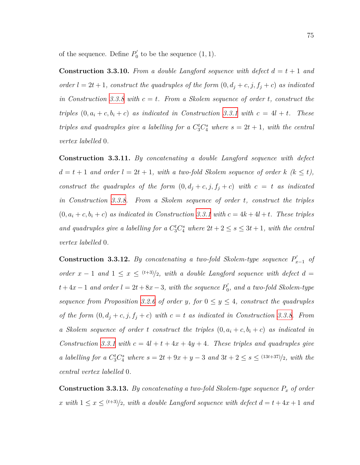<span id="page-87-0"></span>of the sequence. Define  $P'_0$  to be the sequence  $(1, 1)$ .

**Construction 3.3.10.** From a double Langford sequence with defect  $d = t + 1$  and *order*  $l = 2t + 1$ *, construct the quadruples of the form*  $(0, d_j + c, j, f_j + c)$  *as indicated in Construction* [3.3.8](#page-85-0) *with*  $c = t$ *. From a Skolem sequence of order t, construct the triples*  $(0, a_i + c, b_i + c)$  *as indicated in Construction [3.3.1](#page-79-3) with*  $c = 4l + t$ *. These triples and quadraples give a labelling for a*  $C_3^t C_4^s$  *where*  $s = 2t + 1$ *, with the central vertex labelled* 0*.*

<span id="page-87-3"></span>**Construction 3.3.11.** *By concatenating a double Langford sequence with defect*  $d = t + 1$  *and order*  $l = 2t + 1$ *, with a two-fold Skolem sequence of order*  $k$  ( $k \leq t$ )*, construct the quadruples of the form*  $(0, d_j + c, j, f_j + c)$  *with*  $c = t$  *as indicated in Construction [3.3.8](#page-85-0). From a Skolem sequence of order t, construct the triples*  $(0, a_i + c, b_i + c)$  *as indicated in Construction [3.3.1](#page-79-3) with*  $c = 4k + 4l + t$ *. These triples* and quadruples give a labelling for a  $C_3^t C_4^s$  where  $2t + 2 \leq s \leq 3t + 1$ , with the central *vertex labelled* 0*.*

<span id="page-87-2"></span>**Construction 3.3.12.** *By concatenating a two-fold Skolem-type sequence*  $P'_{x-1}$  *of order*  $x - 1$  *and*  $1 ≤ x ≤ (t+3)/2$ *, with a double Langford sequence with defect*  $d =$  $t + 4x - 1$  *and order*  $l = 2t + 8x - 3$ *, with the sequence*  $P'_{0}$ *, and a two-fold Skolem-type sequence from Proposition* [3.2.6](#page-77-2) *of order y*, for  $0 \le y \le 4$ , construct the quadruples *of the form*  $(0, d_j + c, j, f_j + c)$  *with*  $c = t$  *as indicated in Construction [3.3.8.](#page-85-0) From a Skolem sequence of order t construct the triples*  $(0, a_i + c, b_i + c)$  *as indicated in Construction* [3.3.1](#page-79-3) with  $c = 4l + t + 4x + 4y + 4$ . These triples and quadruples give a labelling for a  $C_3^t C_4^s$  where  $s = 2t + 9x + y - 3$  and  $3t + 2 \leq s \leq (13t + 37)/2$ , with the *central vertex labelled* 0*.*

<span id="page-87-1"></span>**Construction 3.3.13.** *By concatenating a two-fold Skolem-type sequence P<sup>x</sup> of order x with*  $1 \leq x \leq (t+3)/2$ *, with a double Langford sequence with defect*  $d = t + 4x + 1$  *and*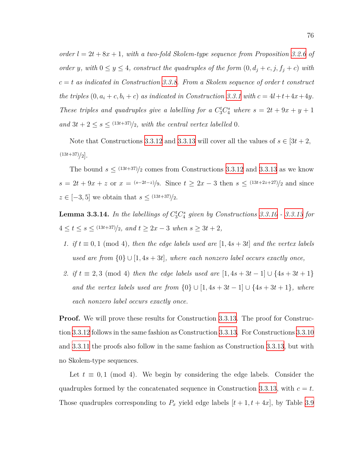*order*  $l = 2t + 8x + 1$ , with a two-fold Skolem-type sequence from Proposition [3.2.6](#page-77-2) of *order y*, with  $0 \leq y \leq 4$ , construct the quadruples of the form  $(0, d_j + c, j, f_j + c)$  with *c* = *t as indicated in Construction [3.3.8.](#page-85-0) From a Skolem sequence of order t construct the triples*  $(0, a_i + c, b_i + c)$  *as indicated in Construction* [3.3.1](#page-79-3) *with*  $c = 4l + t + 4x + 4y$ . *These triples and quadruples give a labelling for a*  $C_3^t C_4^s$  where  $s = 2t + 9x + y + 1$ *and*  $3t + 2 \leq s \leq (13t + 37)/2$ *, with the central vertex labelled* 0*.* 

Note that Constructions [3.3.12](#page-87-2) and [3.3.13](#page-87-1) will cover all the values of  $s \in [3t + 2, 1]$  $(13t+37)/2$ .

The bound  $s \leq \frac{(13t+37)}{2}$  comes from Constructions [3.3.12](#page-87-2) and [3.3.13](#page-87-1) as we know  $s = 2t + 9x + z$  or  $x = (s-2t-z)/9$ . Since  $t \geq 2x - 3$  then  $s \leq (13t+2z+27)/2$  and since *z* ∈ [−3, 5] we obtain that *s*  $\leq$  (13*t*+37)/<sub>2</sub>.

<span id="page-88-0"></span>**Lemma 3.3.14.** In the labellings of  $C_3^tC_4^s$  given by Constructions [3.3.10](#page-87-0) - [3.3.13](#page-87-1) for 4 *≤ t ≤ s ≤* (13*t*+37)*/*2*, and t ≥* 2*x −* 3 *when s ≥* 3*t* + 2*,*

- *1. if*  $t \equiv 0, 1 \pmod{4}$ *, then the edge labels used are*  $[1, 4s + 3t]$  *and the vertex labels*  $used\ are\ from\ 0\} ∪ [1, 4s + 3t],\ where\ each\ nonzero\ label\ occurs\ exactly\ once,$
- *2. if*  $t \equiv 2, 3 \pmod{4}$  *then the edge labels used are*  $[1, 4s + 3t 1] \cup \{4s + 3t + 1\}$ *and the vertex labels used are from*  $\{0\} \cup [1, 4s + 3t - 1] \cup \{4s + 3t + 1\}$ , where *each nonzero label occurs exactly once.*

**Proof.** We will prove these results for Construction [3.3.13](#page-87-1). The proof for Construction [3.3.12](#page-87-2) follows in the same fashion as Construction [3.3.13.](#page-87-1) For Constructions [3.3.10](#page-87-0) and [3.3.11](#page-87-3) the proofs also follow in the same fashion as Construction [3.3.13](#page-87-1), but with no Skolem-type sequences.

Let  $t \equiv 0, 1 \pmod{4}$ . We begin by considering the edge labels. Consider the quadruples formed by the concatenated sequence in Construction [3.3.13,](#page-87-1) with  $c = t$ . Those quadruples corresponding to  $P_x$  yield edge labels  $[t + 1, t + 4x]$ , by Table [3.9](#page-86-0)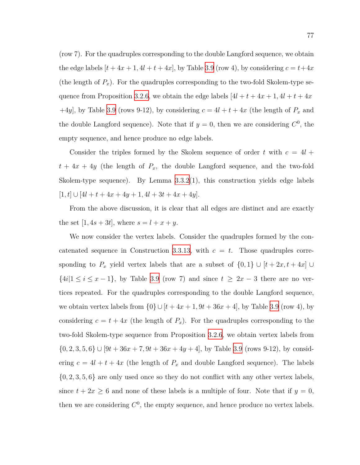(row 7). For the quadruples corresponding to the double Langford sequence, we obtain the edge labels  $[t + 4x + 1, 4l + t + 4x]$ , by Table [3.9](#page-86-0) (row 4), by considering  $c = t + 4x$ (the length of  $P_x$ ). For the quadruples corresponding to the two-fold Skolem-type se-quence from Proposition [3.2.6,](#page-77-2) we obtain the edge labels  $[4l + t + 4x + 1, 4l + t + 4x]$ +4*y*], by Table [3.9](#page-86-0) (rows 9-12), by considering  $c = 4l + t + 4x$  (the length of  $P_x$  and the double Langford sequence). Note that if  $y = 0$ , then we are considering  $C^0$ , the empty sequence, and hence produce no edge labels.

Consider the triples formed by the Skolem sequence of order *t* with  $c = 4l +$  $t + 4x + 4y$  (the length of  $P_x$ , the double Langford sequence, and the two-fold Skolem-type sequence). By Lemma [3.3.2\(](#page-80-1)1), this construction yields edge labels  $[1, t] \cup [4l + t + 4x + 4y + 1, 4l + 3t + 4x + 4y].$ 

From the above discussion, it is clear that all edges are distinct and are exactly the set  $[1, 4s + 3t]$ , where  $s = l + x + y$ .

We now consider the vertex labels. Consider the quadruples formed by the con-catenated sequence in Construction [3.3.13,](#page-87-1) with  $c = t$ . Those quadruples corresponding to  $P_x$  yield vertex labels that are a subset of  $\{0,1\} \cup [t+2x, t+4x] \cup$  $\{4i|1 \leq i \leq x-1\}$ , by Table [3.9](#page-86-0) (row 7) and since  $t \geq 2x-3$  there are no vertices repeated. For the quadruples corresponding to the double Langford sequence, we obtain vertex labels from  $\{0\} \cup [t + 4x + 1, 9t + 36x + 4]$ , by Table [3.9](#page-86-0) (row 4), by considering  $c = t + 4x$  (the length of  $P_x$ ). For the quadruples corresponding to the two-fold Skolem-type sequence from Proposition [3.2.6](#page-77-2), we obtain vertex labels from *{*0*,* 2*,* 3*,* 5*,* 6*} ∪* [9*t* + 36*x* + 7*,* 9*t* + 36*x* + 4*y* + 4], by Table [3.9](#page-86-0) (rows 9-12), by considering  $c = 4l + t + 4x$  (the length of  $P_x$  and double Langford sequence). The labels *{*0*,* 2*,* 3*,* 5*,* 6*}* are only used once so they do not conflict with any other vertex labels, since  $t + 2x \ge 6$  and none of these labels is a multiple of four. Note that if  $y = 0$ , then we are considering  $C^0$ , the empty sequence, and hence produce no vertex labels.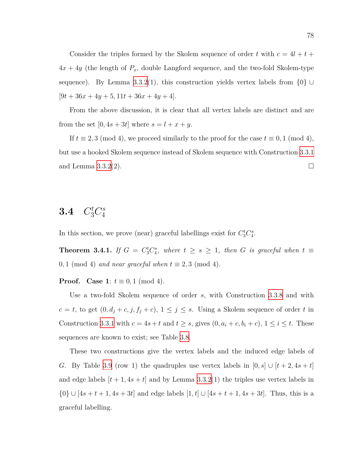Consider the triples formed by the Skolem sequence of order  $t$  with  $c = 4l + t +$  $4x + 4y$  (the length of  $P_x$ , double Langford sequence, and the two-fold Skolem-type sequence). By Lemma [3.3.2\(](#page-80-1)1), this construction yields vertex labels from *{*0*} ∪*  $[9t + 36x + 4y + 5, 11t + 36x + 4y + 4].$ 

From the above discussion, it is clear that all vertex labels are distinct and are from the set  $[0, 4s + 3t]$  where  $s = l + x + y$ .

If  $t \equiv 2, 3 \pmod{4}$ , we proceed similarly to the proof for the case  $t \equiv 0, 1 \pmod{4}$ , but use a hooked Skolem sequence instead of Skolem sequence with Construction [3.3.1](#page-79-3) and Lemma [3.3.2\(](#page-80-1)2).

#### <span id="page-90-1"></span>**3.4** *C t* 3*C s* 4

<span id="page-90-0"></span>In this section, we prove (near) graceful labellings exist for  $C_3^t C_4^s$ .

**Theorem 3.4.1.** If  $G = C_3^t C_4^s$ , where  $t \geq s \geq 1$ , then G is graceful when  $t \equiv$ 0, 1 (mod 4) *and near graceful when*  $t \equiv 2, 3 \pmod{4}$ .

**Proof.** Case 1:  $t \equiv 0, 1 \pmod{4}$ .

Use a two-fold Skolem sequence of order *s*, with Construction [3.3.8](#page-85-0) and with  $c = t$ , to get  $(0, d_j + c, j, f_j + c)$ ,  $1 \leq j \leq s$ . Using a Skolem sequence of order *t* in Construction [3.3.1](#page-79-3) with  $c = 4s + t$  and  $t \geq s$ , gives  $(0, a_i + c, b_i + c)$ ,  $1 \leq i \leq t$ . These sequences are known to exist; see Table [3.8](#page-80-0).

These two constructions give the vertex labels and the induced edge labels of *G*. By Table [3.9](#page-86-0) (row 1) the quadruples use vertex labels in  $[0, s] \cup [t + 2, 4s + t]$ and edge labels  $[t + 1, 4s + t]$  and by Lemma [3.3.2](#page-80-1)(1) the triples use vertex labels in *{*0*} ∪* [4*s* + *t* + 1*,* 4*s* + 3*t*] and edge labels [1*, t*] *∪* [4*s* + *t* + 1*,* 4*s* + 3*t*]. Thus, this is a graceful labelling.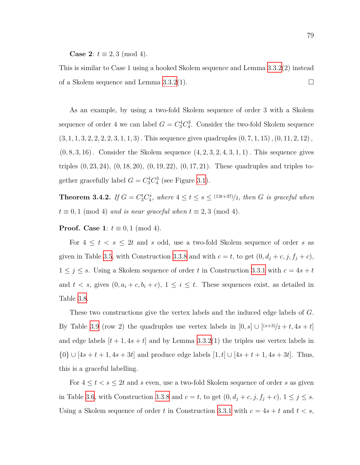**Case 2**:  $t \equiv 2, 3 \pmod{4}$ .

This is similar to Case 1 using a hooked Skolem sequence and Lemma [3.3.2](#page-80-1)(2) instead of a Skolem sequence and Lemma [3.3.2\(](#page-80-1)1).  $\Box$ 

As an example, by using a two-fold Skolem sequence of order 3 with a Skolem sequence of order 4 we can label  $G = C_3^4 C_4^3$ . Consider the two-fold Skolem sequence  $(3, 1, 1, 3, 2, 2, 2, 2, 3, 1, 1, 3)$ . This sequence gives quadruples  $(0, 7, 1, 15)$ ,  $(0, 11, 2, 12)$ , (0*,* 8*,* 3*,* 16). Consider the Skolem sequence (4*,* 2*,* 3*,* 2*,* 4*,* 3*,* 1*,* 1)*.* This sequence gives triples (0*,* 23*,* 24), (0*,* 18*,* 20), (0*,* 19*,* 22), (0*,* 17*,* 21). These quadruples and triples together gracefully label  $G = C_3^4 C_4^3$  (see Figure [3.1\)](#page-73-0).

<span id="page-91-0"></span>**Theorem 3.4.2.** *If*  $G = C_3^t C_4^s$ *, where*  $4 \le t \le s \le \frac{(13t+37)}{2}$ *, then G is graceful when*  $t \equiv 0, 1 \pmod{4}$  *and is near graceful when*  $t \equiv 2, 3 \pmod{4}$ *.* 

**Proof.** Case 1:  $t \equiv 0, 1 \pmod{4}$ .

For  $4 \leq t \leq s \leq 2t$  and *s* odd, use a two-fold Skolem sequence of order *s* as given in Table [3.5,](#page-78-0) with Construction [3.3.8](#page-85-0) and with  $c = t$ , to get  $(0, d_j + c, j, f_j + c)$ ,  $1 \leq j \leq s$ . Using a Skolem sequence of order *t* in Construction [3.3.1](#page-79-3) with  $c = 4s + t$ and  $t < s$ , gives  $(0, a_i + c, b_i + c)$ ,  $1 \le i \le t$ . These sequences exist, as detailed in Table [3.8](#page-80-0).

These two constructions give the vertex labels and the induced edge labels of *G*. By Table [3.9](#page-86-0) (row 2) the quadruples use vertex labels in  $[0, s] \cup [^{(s+3)/2} + t, 4s + t]$ and edge labels  $[t + 1, 4s + t]$  and by Lemma [3.3.2](#page-80-1)(1) the triples use vertex labels in *{*0*} ∪* [4*s* + *t* + 1*,* 4*s* + 3*t*] and produce edge labels [1*, t*] *∪* [4*s* + *t* + 1*,* 4*s* + 3*t*]. Thus, this is a graceful labelling.

For  $4 \le t < s \le 2t$  and *s* even, use a two-fold Skolem sequence of order *s* as given in Table [3.6,](#page-78-1) with Construction [3.3.8](#page-85-0) and  $c = t$ , to get  $(0, d_j + c, j, f_j + c)$ ,  $1 \le j \le s$ . Using a Skolem sequence of order *t* in Construction [3.3.1](#page-79-3) with  $c = 4s + t$  and  $t < s$ ,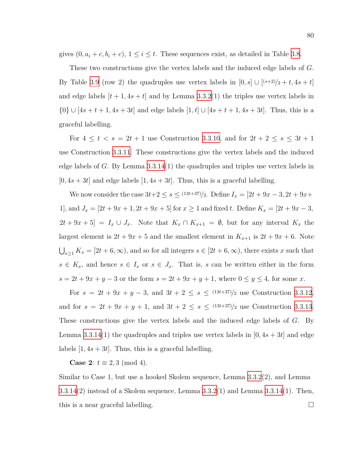gives  $(0, a_i + c, b_i + c)$ ,  $1 \leq i \leq t$ . These sequences exist, as detailed in Table [3.8](#page-80-0).

These two constructions give the vertex labels and the induced edge labels of *G*. By Table [3.9](#page-86-0) (row 2) the quadruples use vertex labels in  $[0, s] \cup [(s+2)/2 + t, 4s + t]$ and edge labels  $[t + 1, 4s + t]$  and by Lemma [3.3.2](#page-80-1)(1) the triples use vertex labels in *{*0*} ∪* [4*s* + *t* + 1*,* 4*s* + 3*t*] and edge labels [1*, t*] *∪* [4*s* + *t* + 1*,* 4*s* + 3*t*]. Thus, this is a graceful labelling.

For  $4 \le t < s = 2t + 1$  use Construction [3.3.10](#page-87-0), and for  $2t + 2 \le s \le 3t + 1$ use Construction [3.3.11](#page-87-3). These constructions give the vertex labels and the induced edge labels of *G*. By Lemma [3.3.14](#page-88-0)(1) the quadruples and triples use vertex labels in  $[0, 4s + 3t]$  and edge labels  $[1, 4s + 3t]$ . Thus, this is a graceful labelling.

We now consider the case  $3t+2 \le s \le (13t+37)/2$ . Define  $I_x = [2t + 9x - 3, 2t + 9x + 9]$ 1], and  $J_x = [2t + 9x + 1, 2t + 9x + 5]$  for  $x \ge 1$  and fixed *t*. Define  $K_x = [2t + 9x - 3,$  $2t + 9x + 5$  =  $I_x \cup J_x$ . Note that  $K_x \cap K_{x+1} = \emptyset$ , but for any interval  $K_x$  the largest element is  $2t + 9x + 5$  and the smallest element in  $K_{x+1}$  is  $2t + 9x + 6$ . Note  $\bigcup_{x\geq 1} K_x = [2t + 6, \infty)$ , and so for all integers  $s \in [2t + 6, \infty)$ , there exists *x* such that  $s \in K_x$ , and hence  $s \in I_x$  or  $s \in J_x$ . That is, *s* can be written either in the form *s* = 2*t* + 9*x* + *y* − 3 or the form *s* = 2*t* + 9*x* + *y* + 1, where  $0 ≤ y ≤ 4$ , for some *x*.

For  $s = 2t + 9x + y - 3$ , and  $3t + 2 \le s \le \frac{(13t + 37)}{2}$  use Construction [3.3.12,](#page-87-2) and for  $s = 2t + 9x + y + 1$ , and  $3t + 2 \le s \le (13t + 37)/2$  use Construction [3.3.13.](#page-87-1) These constructions give the vertex labels and the induced edge labels of *G*. By Lemma [3.3.14](#page-88-0)(1) the quadruples and triples use vertex labels in  $[0, 4s + 3t]$  and edge labels  $[1, 4s + 3t]$ . Thus, this is a graceful labelling.

**Case 2**:  $t \equiv 2, 3 \pmod{4}$ .

Similar to Case 1, but use a hooked Skolem sequence, Lemma [3.3.2](#page-80-1)(2), and Lemma  $3.3.14(2)$  $3.3.14(2)$  instead of a Skolem sequence, Lemma  $3.3.2(1)$  $3.3.2(1)$  and Lemma  $3.3.14(1)$  $3.3.14(1)$ . Then, this is a near graceful labelling.  $\square$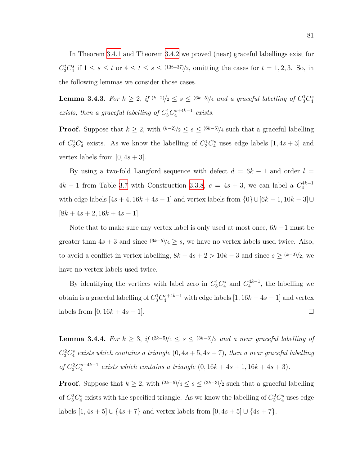In Theorem [3.4.1](#page-90-0) and Theorem [3.4.2](#page-91-0) we proved (near) graceful labellings exist for  $C_3^t C_4^s$  if  $1 \le s \le t$  or  $4 \le t \le s \le (13t+37)/2$ , omitting the cases for  $t = 1, 2, 3$ . So, in the following lemmas we consider those cases.

<span id="page-93-0"></span>**Lemma 3.4.3.** For  $k \geq 2$ , if  $(k-2)/2 \leq s \leq (6k-5)/4$  and a graceful labelling of  $C_3^1C_4^s$ *exists, then a graceful labelling of*  $C_3^1 C_4^{s+4k-1}$  *exists.* 

**Proof.** Suppose that  $k \geq 2$ , with  $(k-2)/2 \leq s \leq (6k-5)/4$  such that a graceful labelling of  $C_3^1 C_4^s$  exists. As we know the labelling of  $C_3^1 C_4^s$  uses edge labels  $[1, 4s + 3]$  and vertex labels from  $[0, 4s + 3]$ .

By using a two-fold Langford sequence with defect  $d = 6k - 1$  and order  $l =$  $4k - 1$  from Table [3.7](#page-79-2) with Construction [3.3.8](#page-85-0),  $c = 4s + 3$ , we can label a  $C_4^{4k-1}$ with edge labels  $[4s + 4, 16k + 4s - 1]$  and vertex labels from  $\{0\} \cup [6k - 1, 10k - 3] \cup$  $[8k + 4s + 2, 16k + 4s - 1].$ 

Note that to make sure any vertex label is only used at most once, 6*k −*1 must be greater than  $4s + 3$  and since  $(6k-5)/4 \geq s$ , we have no vertex labels used twice. Also, to avoid a conflict in vertex labelling,  $8k + 4s + 2 > 10k − 3$  and since  $s ≥ (k−2)/2$ , we have no vertex labels used twice.

By identifying the vertices with label zero in  $C_3^1C_4^s$  and  $C_4^{4k-1}$ , the labelling we obtain is a graceful labelling of  $C_3^1 C_4^{s+4k-1}$  with edge labels  $[1, 16k + 4s - 1]$  and vertex labels from  $[0, 16k + 4s - 1]$ . □

**Lemma 3.4.4.** *For k ≥* 3*, if* (2*k−*5)*/*<sup>4</sup> *≤ s ≤* (3*k−*3)*/*<sup>2</sup> *and a near graceful labelling of*  $C_3^2C_4^s$  exists which contains a triangle  $(0, 4s + 5, 4s + 7)$ , then a near graceful labelling  $of C_3^2 C_4^{s+4k-1}$  exists which contains a triangle  $(0, 16k + 4s + 1, 16k + 4s + 3)$ .

**Proof.** Suppose that  $k \geq 2$ , with  $\frac{(2k-5)}{4} \leq s \leq \frac{(3k-3)}{2}$  such that a graceful labelling of  $C_3^2 C_4^s$  exists with the specified triangle. As we know the labelling of  $C_3^2 C_4^s$  uses edge labels [1*,* 4*s* + 5] *∪ {*4*s* + 7*}* and vertex labels from [0*,* 4*s* + 5] *∪ {*4*s* + 7*}*.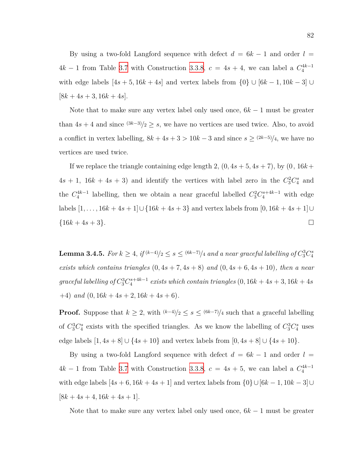By using a two-fold Langford sequence with defect  $d = 6k - 1$  and order  $l =$  $4k - 1$  from Table [3.7](#page-79-2) with Construction [3.3.8](#page-85-0),  $c = 4s + 4$ , we can label a  $C_4^{4k-1}$ with edge labels  $[4s + 5, 16k + 4s]$  and vertex labels from  $\{0\}$  ∪  $[6k - 1, 10k - 3]$  ∪  $[8k + 4s + 3, 16k + 4s].$ 

Note that to make sure any vertex label only used once, 6*k −* 1 must be greater than  $4s + 4$  and since  $(3k-3)/2 \geq s$ , we have no vertices are used twice. Also, to avoid a conflict in vertex labelling,  $8k + 4s + 3 > 10k − 3$  and since  $s ≥ (2k-5)/4$ , we have no vertices are used twice.

If we replace the triangle containing edge length 2,  $(0, 4s + 5, 4s + 7)$ , by  $(0, 16k +$  $4s + 1$ ,  $16k + 4s + 3$ ) and identify the vertices with label zero in the  $C_3^2C_4^s$  and the  $C_4^{4k-1}$  labelling, then we obtain a near graceful labelled  $C_3^2 C_4^{s+4k-1}$  with edge labels [1*, . . . ,* 16*k* + 4*s* + 1]*∪ {*16*k* + 4*s* + 3*}* and vertex labels from [0*,* 16*k* + 4*s* + 1]*∪*  $\{16k + 4s + 3\}.$ 

**Lemma 3.4.5.** For  $k \geq 4$ , if  $(k-4)/2 \leq s \leq (6k-7)/4$  and a near graceful labelling of  $C_3^3C_4^s$ *exists which contains triangles*  $(0, 4s + 7, 4s + 8)$  *and*  $(0, 4s + 6, 4s + 10)$ *, then a near*  $g$ raceful labelling of  $C_3^3 C_4^{s+4k-1}$  exists which contain triangles  $(0, 16k + 4s + 3, 16k + 4s)$  $+4$ ) *and*  $(0, 16k + 4s + 2, 16k + 4s + 6)$ .

**Proof.** Suppose that  $k \geq 2$ , with  $(k-4)/2 \leq s \leq (6k-7)/4$  such that a graceful labelling of  $C_3^3 C_4^s$  exists with the specified triangles. As we know the labelling of  $C_3^3 C_4^s$  uses edge labels  $[1, 4s + 8]$  *∪*  $\{4s + 10\}$  and vertex labels from  $[0, 4s + 8]$  *∪*  $\{4s + 10\}$ .

By using a two-fold Langford sequence with defect  $d = 6k - 1$  and order  $l =$  $4k - 1$  from Table [3.7](#page-79-2) with Construction [3.3.8](#page-85-0),  $c = 4s + 5$ , we can label a  $C_4^{4k-1}$ with edge labels  $[4s + 6, 16k + 4s + 1]$  and vertex labels from  $\{0\} \cup [6k - 1, 10k - 3] \cup$  $[8k + 4s + 4, 16k + 4s + 1].$ 

Note that to make sure any vertex label only used once, 6*k −* 1 must be greater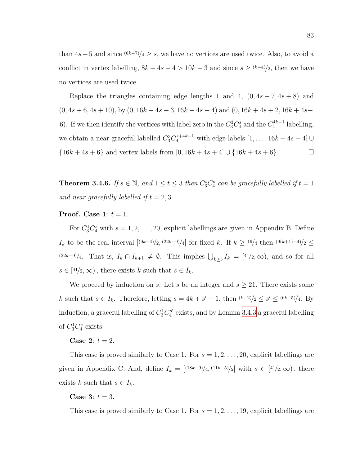than  $4s + 5$  and since  $(6k-7)/4 \geq s$ , we have no vertices are used twice. Also, to avoid a conflict in vertex labelling,  $8k + 4s + 4 > 10k - 3$  and since  $s \ge (k-4)/2$ , then we have no vertices are used twice.

Replace the triangles containing edge lengths 1 and 4,  $(0, 4s + 7, 4s + 8)$  and  $(0, 4s + 6, 4s + 10)$ , by  $(0, 16k + 4s + 3, 16k + 4s + 4)$  and  $(0, 16k + 4s + 2, 16k + 4s + 4)$ 6). If we then identify the vertices with label zero in the  $C_3^3 C_4^s$  and the  $C_4^{4k-1}$  labelling, we obtain a near graceful labelled  $C_3^3 C_4^{s+4k-1}$  with edge labels  $[1, \ldots, 16k+4s+4]$ *{*16*k* + 4*s* + 6*}* and vertex labels from [0*,* 16*k* + 4*s* + 4] *∪ {*16*k* + 4*s* + 6*}*.

<span id="page-95-0"></span>**Theorem 3.4.6.** *If*  $s \in \mathbb{N}$ , and  $1 \le t \le 3$  *then*  $C_3^t C_4^s$  *can be gracefully labelled if*  $t = 1$ *and near gracefully labelled if*  $t = 2, 3$ *.* 

### **Proof.** Case 1:  $t = 1$ .

For  $C_3^1 C_4^s$  with  $s = 1, 2, ..., 20$ , explicit labellings are given in Appendix B. Define *I*<sup>*k*</sup> to be the real interval  $[$ <sup>(9*k−*4)*/*<sub>2</sub>*,*</sub><sup>(22*k−*9)*/*<sub>4</sub>] for fixed *k*. If *k* ≥ <sup>19</sup>/<sub>4</sub> then  $($ <sup>9(*k*+1)*−*4)/<sub>2</sub> ≤</sup></sup></sup>  $(22k-9)/4$ . That is,  $I_k \cap I_{k+1} \neq \emptyset$ . This implies  $\bigcup_{k \geq 5} I_k = [41/2, \infty)$ , and so for all  $s \in [4\frac{1}{2}, \infty)$ , there exists *k* such that  $s \in I_k$ .

We proceed by induction on *s*. Let *s* be an integer and  $s \geq 21$ . There exists some k such that  $s \in I_k$ . Therefore, letting  $s = 4k + s' - 1$ , then  $(k-2)/2 \leq s' \leq (6k-5)/4$ . By induction, a graceful labelling of  $C_3^1 C_4^{s'}$  exists, and by Lemma [3.4.3](#page-93-0) a graceful labelling of  $C_3^1C_4^s$  exists.

**Case 2:**  $t = 2$ .

This case is proved similarly to Case 1. For  $s = 1, 2, \ldots, 20$ , explicit labellings are given in Appendix C. And, define  $I_k = \left[\frac{(18k-9)}{4}, \frac{(11k-5)}{2}\right]$  with  $s \in \left[\frac{41}{2}, \infty\right)$ , there exists *k* such that  $s \in I_k$ .

### **Case 3**:  $t = 3$ .

This case is proved similarly to Case 1. For  $s = 1, 2, \ldots, 19$ , explicit labellings are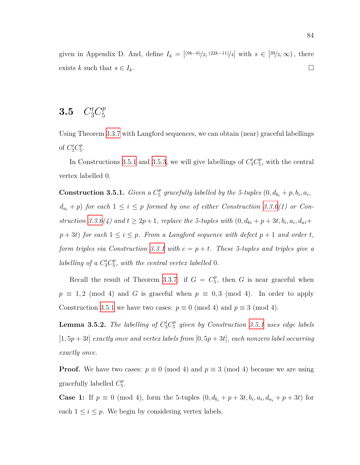given in Appendix D. And, define  $I_k = \frac{[(9k-6)}{2}, \frac{(22k-11)}{4}$  with  $s \in \frac{39}{2}, \infty)$ , there exists *k* such that  $s \in I_k$ .

#### <span id="page-96-0"></span>**3.5** *C t* 3*C p* 5

Using Theorem [3.3.7](#page-83-0) with Langford sequences, we can obtain (near) graceful labellings of  $C_3^t C_5^p$  $^p_5.$ 

In Constructions [3.5.1](#page-96-1) and [3.5.3,](#page-98-0) we will give labellings of  $C_3^t C_5^p$  $_5^p$ , with the central vertex labelled 0.

<span id="page-96-1"></span>**Construction 3.5.1.** *Given a*  $C_5^p$  $\int_{5}^{p}$  gracefully labelled by the 5-tuples  $(0, d_{b_i} + p, b_i, a_i)$  $d_{a_i} + p$  *for each*  $1 \leq i \leq p$  *formed by one of either Construction* [3.3.6\(](#page-82-0)1) *or Construction* [3.3.6](#page-82-0)(4) and  $t \ge 2p + 1$ , replace the 5-tuples with  $(0, d_{bi} + p + 3t, b_i, a_i, d_{ai} +$  $p + 3t$ ) *for each*  $1 \leq i \leq p$ *. From a Langford sequence with defect*  $p + 1$  *and order t, form triples via Construction* [3.3.1](#page-79-3) *with*  $c = p + t$ *. These 5-tuples and triples give a labelling of a*  $C_3^t C_5^p$  $_{5}^{p}$ , with the central vertex labelled 0.

Recall the result of Theorem [3.3.7:](#page-83-0) if  $G = C_5^p$  $_5^p$ , then *G* is near graceful when  $p \equiv 1,2 \pmod{4}$  and *G* is graceful when  $p \equiv 0,3 \pmod{4}$ . In order to apply Construction [3.5.1](#page-96-1) we have two cases:  $p \equiv 0 \pmod{4}$  and  $p \equiv 3 \pmod{4}$ .

<span id="page-96-2"></span>**Lemma 3.5.2.** *The labelling of*  $C_3^t C_5^p$ 5 *given by Construction [3.5.1](#page-96-1) uses edge labels*  $[1, 5p + 3t]$  *exactly once and vertex labels from*  $[0, 5p + 3t]$ *, each nonzero label occurring exactly once.*

**Proof.** We have two cases:  $p \equiv 0 \pmod{4}$  and  $p \equiv 3 \pmod{4}$  because we are using gracefully labelled  $C_5^p$  $^p_5.$ 

**Case 1:** If  $p \equiv 0 \pmod{4}$ , form the 5-tuples  $(0, d_{b_i} + p + 3t, b_i, a_i, d_{a_i} + p + 3t)$  for each  $1 \leq i \leq p$ . We begin by considering vertex labels.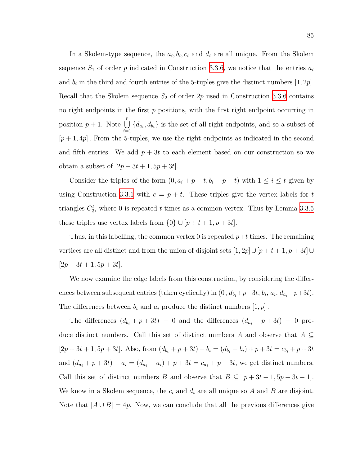In a Skolem-type sequence, the  $a_i, b_i, c_i$  and  $d_i$  are all unique. From the Skolem sequence  $S_1$  of order  $p$  indicated in Construction [3.3.6](#page-82-0), we notice that the entries  $a_i$ and  $b_i$  in the third and fourth entries of the 5-tuples give the distinct numbers  $[1, 2p]$ . Recall that the Skolem sequence  $S_2$  of order  $2p$  used in Construction [3.3.6](#page-82-0) contains no right endpoints in the first *p* positions, with the first right endpoint occurring in position  $p + 1$ . Note  $\bigcup^{p}$  $\bigcup_{i=1}$  { $d_{a_i}, d_{b_i}$ } is the set of all right endpoints, and so a subset of  $[p+1, 4p]$ . From the 5-tuples, we use the right endpoints as indicated in the second and fifth entries. We add  $p + 3t$  to each element based on our construction so we obtain a subset of  $[2p + 3t + 1, 5p + 3t]$ .

Consider the triples of the form  $(0, a_i + p + t, b_i + p + t)$  with  $1 \leq i \leq t$  given by using Construction [3.3.1](#page-79-3) with  $c = p + t$ . These triples give the vertex labels for *t* triangles  $C_3^t$ , where 0 is repeated  $t$  times as a common vertex. Thus by Lemma [3.3.5](#page-82-1) these triples use vertex labels from  $\{0\} \cup [p + t + 1, p + 3t]$ .

Thus, in this labelling, the common vertex 0 is repeated  $p+t$  times. The remaining vertices are all distinct and from the union of disjoint sets  $[1, 2p] \cup [p + t + 1, p + 3t] \cup$  $[2p + 3t + 1, 5p + 3t].$ 

We now examine the edge labels from this construction, by considering the differences between subsequent entries (taken cyclically) in  $(0, d_{b_i} + p + 3t, b_i, a_i, d_{a_i} + p + 3t)$ . The differences between  $b_i$  and  $a_i$  produce the distinct numbers  $[1, p]$ .

The differences  $(d_{b_i} + p + 3t) - 0$  and the differences  $(d_{a_i} + p + 3t) - 0$  produce distinct numbers. Call this set of distinct numbers *A* and observe that *A ⊆*  $[2p + 3t + 1, 5p + 3t]$ . Also, from  $(d_{b_i} + p + 3t) - b_i = (d_{b_i} - b_i) + p + 3t = c_{b_i} + p + 3t$ and  $(d_{a_i} + p + 3t) - a_i = (d_{a_i} - a_i) + p + 3t = c_{a_i} + p + 3t$ , we get distinct numbers. Call this set of distinct numbers *B* and observe that  $B \subseteq [p + 3t + 1, 5p + 3t - 1]$ . We know in a Skolem sequence, the  $c_i$  and  $d_i$  are all unique so  $A$  and  $B$  are disjoint. Note that  $|A \cup B| = 4p$ . Now, we can conclude that all the previous differences give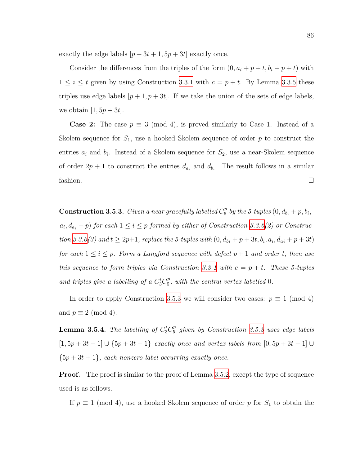exactly the edge labels  $[p+3t+1, 5p+3t]$  exactly once.

Consider the differences from the triples of the form  $(0, a_i + p + t, b_i + p + t)$  with  $1 \leq i \leq t$  given by using Construction [3.3.1](#page-79-3) with  $c = p + t$ . By Lemma [3.3.5](#page-82-1) these triples use edge labels  $[p+1, p+3t]$ . If we take the union of the sets of edge labels, we obtain  $[1, 5p + 3t]$ .

**Case 2:** The case  $p \equiv 3 \pmod{4}$ , is proved similarly to Case 1. Instead of a Skolem sequence for *S*1, use a hooked Skolem sequence of order *p* to construct the entries  $a_i$  and  $b_i$ . Instead of a Skolem sequence for  $S_2$ , use a near-Skolem sequence of order  $2p + 1$  to construct the entries  $d_{a_i}$  and  $d_{b_i}$ . The result follows in a similar fashion.  $\Box$ 

<span id="page-98-0"></span>**Construction 3.5.3.** *Given a near gracefully labelled*  $C_5^p$  $\int_{5}^{p}$  by the 5-tuples  $(0, d_{b_i} + p, b_i)$  $a_i, d_{a_i} + p$  for each  $1 \leq i \leq p$  formed by either of Construction [3.3.6\(](#page-82-0)2) or Construc*tion* [3.3.6](#page-82-0)(3) and  $t \ge 2p+1$ , replace the 5-tuples with  $(0, d_{bi} + p + 3t, b_i, a_i, d_{ai} + p + 3t)$ *for each*  $1 \leq i \leq p$ *. Form a Langford sequence with defect*  $p + 1$  *and order t, then use this sequence to form triples via Construction [3.3.1](#page-79-3) with*  $c = p + t$ *. These 5-tuples* and triples give a labelling of a  $C_3^t C_5^p$  $\binom{p}{5}$ , with the central vertex labelled 0.

In order to apply Construction [3.5.3](#page-98-0) we will consider two cases:  $p \equiv 1 \pmod{4}$ and  $p \equiv 2 \pmod{4}$ .

<span id="page-98-1"></span>**Lemma 3.5.4.** *The labelling of*  $C_3^t C_5^p$ 5 *given by Construction [3.5.3](#page-98-0) uses edge labels* [1*,* 5*p* + 3*t −* 1] *∪ {*5*p* + 3*t* + 1*} exactly once and vertex labels from* [0*,* 5*p* + 3*t −* 1] *∪*  ${5p+3t+1}$ *, each nonzero label occurring exactly once.* 

**Proof.** The proof is similar to the proof of Lemma [3.5.2](#page-96-2), except the type of sequence used is as follows.

If  $p \equiv 1 \pmod{4}$ , use a hooked Skolem sequence of order p for  $S_1$  to obtain the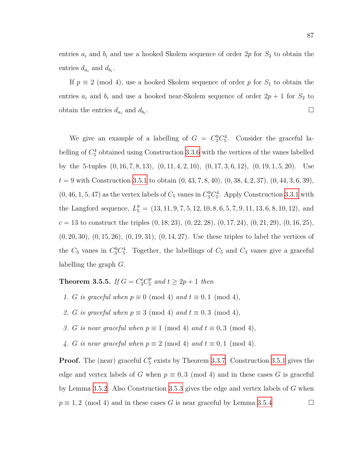entries  $a_i$  and  $b_i$  and use a hooked Skolem sequence of order  $2p$  for  $S_2$  to obtain the entries  $d_{a_i}$  and  $d_{b_i}$ .

If  $p \equiv 2 \pmod{4}$ , use a hooked Skolem sequence of order p for  $S_1$  to obtain the entries  $a_i$  and  $b_i$  and use a hooked near-Skolem sequence of order  $2p + 1$  for  $S_2$  to obtain the entries  $d_{a_i}$  and  $d_{b_i}$ .

We give an example of a labelling of  $G = C_3^9 C_5^4$ . Consider the graceful labelling of  $C_5^4$  obtained using Construction [3.3.6](#page-82-0) with the vertices of the vanes labelled by the 5-tuples (0*,* 16*,* 7*,* 8*,* 13), (0*,* 11*,* 4*,* 2*,* 10), (0*,* 17*,* 3*,* 6*,* 12), (0*,* 19*,* 1*,* 5*,* 20). Use *t* = 9 with Construction [3.5.1](#page-96-1) to obtain (0*,* 43*,* 7*,* 8*,* 40), (0*,* 38*,* 4*,* 2*,* 37), (0*,* 44*,* 3*,* 6*,* 39),  $(0, 46, 1, 5, 47)$  as the vertex labels of  $C_5$  vanes in  $C_3^9C_5^4$ . Apply Construction [3.3.1](#page-79-3) with the Langford sequence,  $L_5^9 = (13, 11, 9, 7, 5, 12, 10, 8, 6, 5, 7, 9, 11, 13, 6, 8, 10, 12)$ , and *c* = 13 to construct the triples (0*,* 18*,* 23), (0*,* 22*,* 28), (0*,* 17*,* 24), (0*,* 21*,* 29), (0*,* 16*,* 25), (0*,* 20*,* 30), (0*,* 15*,* 26), (0*,* 19*,* 31), (0*,* 14*,* 27). Use these triples to label the vertices of the  $C_3$  vanes in  $C_3^9C_5^4$ . Together, the labellings of  $C_5$  and  $C_3$  vanes give a graceful labelling the graph *G*.

<span id="page-99-0"></span>**Theorem 3.5.5.** *If*  $G = C_3^t C_5^p$  *and*  $t \ge 2p + 1$  *then* 

- *1. G is graceful when*  $p \equiv 0 \pmod{4}$  *and*  $t \equiv 0, 1 \pmod{4}$ ,
- 2. *G* is graceful when  $p \equiv 3 \pmod{4}$  and  $t \equiv 0, 3 \pmod{4}$ ,
- *3. G is near graceful when*  $p \equiv 1 \pmod{4}$  *and*  $t \equiv 0, 3 \pmod{4}$ ,
- *4. G is near graceful when*  $p \equiv 2 \pmod{4}$  *and*  $t \equiv 0, 1 \pmod{4}$ *.*

**Proof.** The (near) graceful  $C_5^p$  $_5^p$  exists by Theorem [3.3.7](#page-83-0). Construction [3.5.1](#page-96-1) gives the edge and vertex labels of *G* when  $p \equiv 0,3 \pmod{4}$  and in these cases *G* is graceful by Lemma [3.5.2](#page-96-2). Also Construction [3.5.3](#page-98-0) gives the edge and vertex labels of *G* when  $p \equiv 1, 2 \pmod{4}$  and in these cases *G* is near graceful by Lemma [3.5.4](#page-98-1)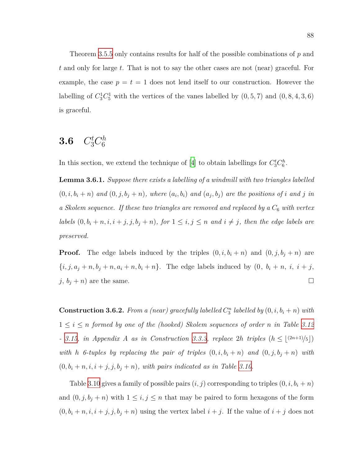Theorem [3.5.5](#page-99-0) only contains results for half of the possible combinations of *p* and *t* and only for large *t*. That is not to say the other cases are not (near) graceful. For example, the case  $p = t = 1$  does not lend itself to our construction. However the labelling of  $C_3^1C_5^1$  with the vertices of the vanes labelled by  $(0, 5, 7)$  and  $(0, 8, 4, 3, 6)$ is graceful.

#### <span id="page-100-2"></span>**3.6** *C t* 3*C h* 6

<span id="page-100-1"></span>In this section, we extend the technique of [[4\]](#page-107-0) to obtain labellings for  $C_3^t C_6^h$ .

**Lemma 3.6.1.** *Suppose there exists a labelling of a windmill with two triangles labelled*  $(0, i, b_i + n)$  and  $(0, j, b_j + n)$ , where  $(a_i, b_i)$  and  $(a_j, b_j)$  are the positions of i and j in *a Skolem sequence. If these two triangles are removed and replaced by a C*<sup>6</sup> *with vertex labels*  $(0, b_i + n, i, i + j, j, b_j + n)$ *, for*  $1 \leq i, j \leq n$  *and*  $i \neq j$ *, then the edge labels are preserved.*

**Proof.** The edge labels induced by the triples  $(0, i, b_i + n)$  and  $(0, j, b_j + n)$  are  $\{i, j, a_j + n, b_j + n, a_i + n, b_i + n\}$ . The edge labels induced by  $(0, b_i + n, i, i + j,$  $j, b_j + n$  are the same.

<span id="page-100-0"></span>**Construction 3.6.2.** *From a (near) gracefully labelled*  $C_3^n$  *labelled* by  $(0, i, b_i + n)$  *with*  $1 \leq i \leq n$  *formed by one of the (hooked) Skolem sequences of order n in Table* [3.12](#page-109-3) *- [3.15,](#page-111-0) in Appendix A as in Construction [3.3.3,](#page-81-1) replace* 2*h triples*  $(h \leq \lfloor (2n+1)/5 \rfloor)$ *with h 6-tuples* by replacing the pair of triples  $(0, i, b_i + n)$  and  $(0, j, b_j + n)$  with  $(0, b_i + n, i, i + j, j, b_j + n)$ , with pairs indicated as in Table [3.10.](#page-102-0)

Table [3.10](#page-102-0) gives a family of possible pairs  $(i, j)$  corresponding to triples  $(0, i, b_i + n)$ and  $(0, j, b_j + n)$  with  $1 \leq i, j \leq n$  that may be paired to form hexagons of the form  $(0, b_i + n, i, i + j, j, b_j + n)$  using the vertex label  $i + j$ . If the value of  $i + j$  does not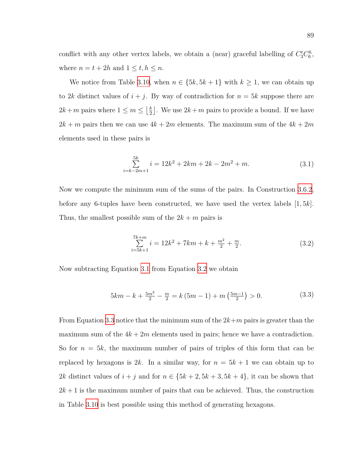conflict with any other vertex labels, we obtain a (near) graceful labelling of  $C_3^t C_6^h$ , where  $n = t + 2h$  and  $1 \le t, h \le n$ .

We notice from Table [3.10,](#page-102-0) when  $n \in \{5k, 5k+1\}$  with  $k \geq 1$ , we can obtain up to 2*k* distinct values of  $i + j$ . By way of contradiction for  $n = 5k$  suppose there are  $2k+m$  pairs where  $1 \leq m \leq \left\lfloor \frac{k}{2} \right\rfloor$  $\frac{k}{2}$ . We use  $2k+m$  pairs to provide a bound. If we have  $2k + m$  pairs then we can use  $4k + 2m$  elements. The maximum sum of the  $4k + 2m$ elements used in these pairs is

<span id="page-101-0"></span>
$$
\sum_{i=k-2m+1}^{5k} i = 12k^2 + 2km + 2k - 2m^2 + m.
$$
 (3.1)

Now we compute the minimum sum of the sums of the pairs. In Construction [3.6.2,](#page-100-0) before any 6-tuples have been constructed, we have used the vertex labels [1*,* 5*k*]. Thus, the smallest possible sum of the  $2k + m$  pairs is

<span id="page-101-2"></span><span id="page-101-1"></span>
$$
\sum_{i=5k+1}^{7k+m} i = 12k^2 + 7km + k + \frac{m^2}{2} + \frac{m}{2}.
$$
 (3.2)

Now subtracting Equation [3.1](#page-101-0) from Equation [3.2](#page-101-1) we obtain

$$
5km - k + \frac{5m^2}{2} - \frac{m}{2} = k(5m - 1) + m\left(\frac{5m - 1}{2}\right) > 0.
$$
 (3.3)

From Equation [3.3](#page-101-2) notice that the minimum sum of the 2*k*+*m* pairs is greater than the maximum sum of the  $4k + 2m$  elements used in pairs; hence we have a contradiction. So for  $n = 5k$ , the maximum number of pairs of triples of this form that can be replaced by hexagons is 2*k*. In a similar way, for  $n = 5k + 1$  we can obtain up to 2*k* distinct values of  $i + j$  and for  $n \in \{5k + 2, 5k + 3, 5k + 4\}$ , it can be shown that  $2k+1$  is the maximum number of pairs that can be achieved. Thus, the construction in Table [3.10](#page-102-0) is best possible using this method of generating hexagons.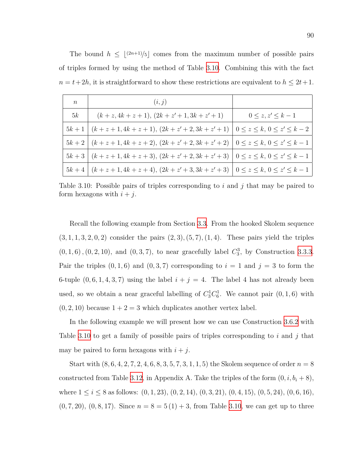The bound  $h \leq \lfloor (2n+1)/5 \rfloor$  comes from the maximum number of possible pairs of triples formed by using the method of Table [3.10.](#page-102-0) Combining this with the fact  $n = t + 2h$ , it is straightforward to show these restrictions are equivalent to  $h \leq 2t + 1$ .

<span id="page-102-0"></span>

| $\eta$ | (i, j)                                                                               |                         |
|--------|--------------------------------------------------------------------------------------|-------------------------|
| 5k     | $(k + z, 4k + z + 1), (2k + z' + 1, 3k + z' + 1)$                                    | $0 \leq z, z' \leq k-1$ |
|        | $5k+1$ $(k+z+1, 4k+z+1)$ , $(2k+z'+2, 3k+z'+1)$ $0 \le z \le k$ , $0 \le z' \le k-2$ |                         |
|        | $5k+2$ $(k+z+1,4k+z+2), (2k+z'+2,3k+z'+2)$ $0 \le z \le k, 0 \le z' \le k-1$         |                         |
|        | $5k+3$ $(k+z+1, 4k+z+3)$ , $(2k+z'+2, 3k+z'+3)$ $0 \le z \le k$ , $0 \le z' \le k-1$ |                         |
|        | $5k+4$ $(k+z+1, 4k+z+4)$ , $(2k+z'+3, 3k+z'+3)$ $0 \le z \le k$ , $0 \le z' \le k-1$ |                         |

Table 3.10: Possible pairs of triples corresponding to *i* and *j* that may be paired to form hexagons with  $i + j$ .

Recall the following example from Section [3.3.](#page-79-0) From the hooked Skolem sequence  $(3, 1, 1, 3, 2, 0, 2)$  consider the pairs  $(2, 3), (5, 7), (1, 4)$ . These pairs yield the triples  $(0, 1, 6)$ ,  $(0, 2, 10)$ , and  $(0, 3, 7)$ , to near gracefully label  $C_3^3$ , by Construction [3.3.3.](#page-81-1) Pair the triples  $(0, 1, 6)$  and  $(0, 3, 7)$  corresponding to  $i = 1$  and  $j = 3$  to form the 6-tuple  $(0, 6, 1, 4, 3, 7)$  using the label  $i + j = 4$ . The label 4 has not already been used, so we obtain a near graceful labelling of  $C_3^1 C_6^1$ . We cannot pair  $(0, 1, 6)$  with  $(0, 2, 10)$  because  $1 + 2 = 3$  which duplicates another vertex label.

In the following example we will present how we can use Construction [3.6.2](#page-100-0) with Table [3.10](#page-102-0) to get a family of possible pairs of triples corresponding to *i* and *j* that may be paired to form hexagons with  $i + j$ .

Start with  $(8, 6, 4, 2, 7, 2, 4, 6, 8, 3, 5, 7, 3, 1, 1, 5)$  the Skolem sequence of order  $n = 8$ constructed from Table [3.12](#page-109-3), in Appendix A. Take the triples of the form  $(0, i, b_i + 8)$ , where  $1 \leq i \leq 8$  as follows:  $(0, 1, 23)$ ,  $(0, 2, 14)$ ,  $(0, 3, 21)$ ,  $(0, 4, 15)$ ,  $(0, 5, 24)$ ,  $(0, 6, 16)$ ,  $(0, 7, 20)$ ,  $(0, 8, 17)$ . Since  $n = 8 = 5(1) + 3$ , from Table [3.10](#page-102-0), we can get up to three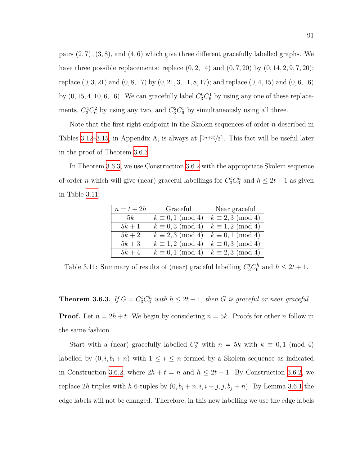pairs (2*,* 7)*,*(3*,* 8), and (4*,* 6) which give three different gracefully labelled graphs. We have three possible replacements: replace  $(0, 2, 14)$  and  $(0, 7, 20)$  by  $(0, 14, 2, 9, 7, 20)$ ; replace (0*,* 3*,* 21) and (0*,* 8*,* 17) by (0*,* 21*,* 3*,* 11*,* 8*,* 17); and replace (0*,* 4*,* 15) and (0*,* 6*,* 16) by  $(0, 15, 4, 10, 6, 16)$ . We can gracefully label  $C_3^6 C_6^1$  by using any one of these replacements,  $C_3^4 C_6^2$  by using any two, and  $C_3^2 C_6^3$  by simultaneously using all three.

Note that the first right endpoint in the Skolem sequences of order *n* described in Tables [3.12](#page-109-3)–[3.15,](#page-111-0) in Appendix A, is always at  $\lceil (n+3)/2 \rceil$ . This fact will be useful later in the proof of Theorem [3.6.3.](#page-103-0)

<span id="page-103-1"></span>In Theorem [3.6.3,](#page-103-0) we use Construction [3.6.2](#page-100-0) with the appropriate Skolem sequence of order *n* which will give (near) graceful labellings for  $C_3^t C_6^h$  and  $h \leq 2t + 1$  as given in Table [3.11](#page-103-1).

| $n=t+2h$ | Graceful                 | Near graceful            |
|----------|--------------------------|--------------------------|
| 5k       | $k \equiv 0, 1 \pmod{4}$ | $k \equiv 2,3 \pmod{4}$  |
| $5k+1$   | $k \equiv 0,3 \pmod{4}$  | $k \equiv 1,2 \pmod{4}$  |
| $5k+2$   | $k \equiv 2,3 \pmod{4}$  | $k \equiv 0, 1 \pmod{4}$ |
| $5k+3$   | $k \equiv 1,2 \pmod{4}$  | $k \equiv 0,3 \pmod{4}$  |
| $5k+4$   | $k \equiv 0, 1 \pmod{4}$ | $k \equiv 2,3 \pmod{4}$  |

Table 3.11: Summary of results of (near) graceful labelling  $C_3^t C_6^h$  and  $h \leq 2t + 1$ .

<span id="page-103-0"></span>**Theorem 3.6.3.** *If*  $G = C_3^t C_6^h$  *with*  $h \leq 2t + 1$ *, then G is graceful or near graceful.* **Proof.** Let  $n = 2h + t$ . We begin by considering  $n = 5k$ . Proofs for other *n* follow in the same fashion.

Start with a (near) gracefully labelled  $C_3^n$  with  $n = 5k$  with  $k \equiv 0, 1 \pmod{4}$ labelled by  $(0, i, b_i + n)$  with  $1 \leq i \leq n$  formed by a Skolem sequence as indicated in Construction [3.6.2](#page-100-0), where  $2h + t = n$  and  $h \leq 2t + 1$ . By Construction 3.6.2, we replace 2*h* triples with *h* 6-tuples by  $(0, b_i + n, i, i + j, j, b_j + n)$ . By Lemma [3.6.1](#page-100-1) the edge labels will not be changed. Therefore, in this new labelling we use the edge labels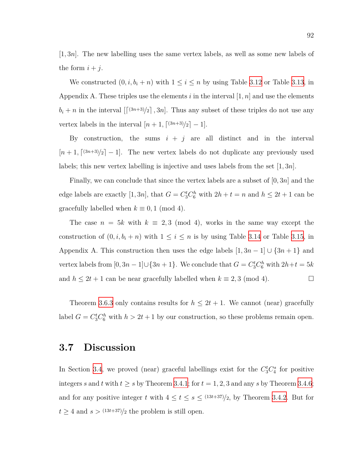[1*,* 3*n*]. The new labelling uses the same vertex labels, as well as some new labels of the form  $i + j$ .

We constructed  $(0, i, b_i + n)$  with  $1 \leq i \leq n$  by using Table [3.12](#page-109-3) or Table [3.13](#page-110-1), in Appendix A. These triples use the elements  $i$  in the interval  $[1, n]$  and use the elements  $b_i + n$  in the interval  $\left[\frac{(3n+3)}{2}\right], 3n$ . Thus any subset of these triples do not use any vertex labels in the interval  $[n+1, \lceil (3n+3)/2 \rceil - 1].$ 

By construction, the sums  $i + j$  are all distinct and in the interval  $[n+1,\lceil(3n+3)/2\rceil-1]$ . The new vertex labels do not duplicate any previously used labels; this new vertex labelling is injective and uses labels from the set [1*,* 3*n*].

Finally, we can conclude that since the vertex labels are a subset of [0*,* 3*n*] and the edge labels are exactly [1,3*n*], that  $G = C_3^t C_6^h$  with  $2h + t = n$  and  $h \leq 2t + 1$  can be gracefully labelled when  $k \equiv 0, 1 \pmod{4}$ .

The case  $n = 5k$  with  $k \equiv 2,3 \pmod{4}$ , works in the same way except the construction of  $(0, i, b_i + n)$  with  $1 \leq i \leq n$  is by using Table [3.14](#page-110-0) or Table [3.15](#page-111-0), in Appendix A. This construction then uses the edge labels  $[1, 3n - 1] \cup \{3n + 1\}$  and vertex labels from  $[0, 3n - 1] \cup \{3n + 1\}$ . We conclude that  $G = C_3^t C_6^h$  with  $2h + t = 5k$ and  $h \leq 2t + 1$  can be near gracefully labelled when  $k \equiv 2, 3 \pmod{4}$ .

Theorem [3.6.3](#page-103-0) only contains results for  $h \leq 2t + 1$ . We cannot (near) gracefully label  $G = C_3^t C_6^h$  with  $h > 2t + 1$  by our construction, so these problems remain open.

## **3.7 Discussion**

In Section [3.4](#page-90-1), we proved (near) graceful labellings exist for the  $C_3^t C_4^s$  for positive integers *s* and *t* with  $t \geq s$  by Theorem [3.4.1;](#page-90-0) for  $t = 1, 2, 3$  and any *s* by Theorem [3.4.6;](#page-95-0) and for any positive integer *t* with  $4 \le t \le s \le \frac{(13t+37)}{2}$ , by Theorem [3.4.2](#page-91-0). But for  $t \geq 4$  and  $s > \frac{(13t+37)}{2}$  the problem is still open.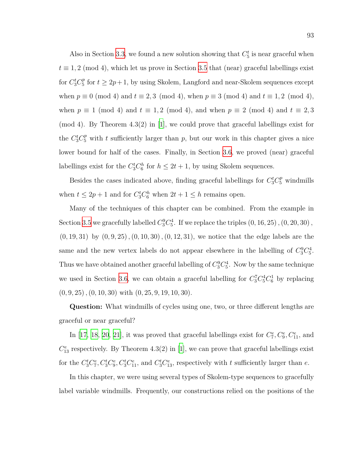Also in Section [3.3](#page-79-0), we found a new solution showing that  $C_5^t$  is near graceful when  $t \equiv 1,2 \pmod{4}$ , which let us prove in Section [3.5](#page-96-0) that (near) graceful labellings exist for  $C_3^t C_5^p$  $\frac{p}{5}$  for  $t \ge 2p+1$ , by using Skolem, Langford and near-Skolem sequences except when  $p \equiv 0 \pmod{4}$  and  $t \equiv 2, 3 \pmod{4}$ , when  $p \equiv 3 \pmod{4}$  and  $t \equiv 1, 2 \pmod{4}$ , when  $p \equiv 1 \pmod{4}$  and  $t \equiv 1, 2 \pmod{4}$ , and when  $p \equiv 2 \pmod{4}$  and  $t \equiv 2, 3$ (mod 4). By Theorem 4.3(2) in [[1](#page-107-6)], we could prove that graceful labellings exist for the  $C_3^tC_5^p$  with *t* sufficiently larger than *p*, but our work in this chapter gives a nice lower bound for half of the cases. Finally, in Section [3.6](#page-100-2), we proved (near) graceful labellings exist for the  $C_3^t C_6^h$  for  $h \leq 2t + 1$ , by using Skolem sequences.

Besides the cases indicated above, finding graceful labellings for  $C_3^t C_5^p$  windmills when  $t \leq 2p + 1$  and for  $C_3^t C_6^h$  when  $2t + 1 \leq h$  remains open.

Many of the techniques of this chapter can be combined. From the example in Section [3.5](#page-96-0) we gracefully labelled  $C_3^9 C_5^4$ . If we replace the triples  $(0, 16, 25)$  ,  $(0, 20, 30)$ , (0*,* 19*,* 31) by (0*,* 9*,* 25)*,*(0*,* 10*,* 30)*,*(0*,* 12*,* 31), we notice that the edge labels are the same and the new vertex labels do not appear elsewhere in the labelling of  $C_3^9C_5^4$ . Thus we have obtained another graceful labelling of  $C_3^9C_5^4$ . Now by the same technique we used in Section [3.6,](#page-100-2) we can obtain a graceful labelling for  $C_3^7 C_5^4 C_6^1$  by replacing (0*,* 9*,* 25)*,*(0*,* 10*,* 30) with (0*,* 25*,* 9*,* 19*,* 10*,* 30).

**Question:** What windmills of cycles using one, two, or three different lengths are graceful or near graceful?

In [\[17,](#page-108-2) [18,](#page-108-3) [20](#page-109-1), [21](#page-109-2)], it was proved that graceful labellings exist for  $C_7^e, C_9^e, C_{11}^e$ , and  $C_{13}^e$  respectively. By Theorem 4.3(2) in [\[1](#page-107-6)], we can prove that graceful labellings exist for the  $C_3^t C_7^e, C_3^t C_9^e, C_3^t C_{11}^e$ , and  $C_3^t C_{13}^e$ , respectively with t sufficiently larger than e.

In this chapter, we were using several types of Skolem-type sequences to gracefully label variable windmills. Frequently, our constructions relied on the positions of the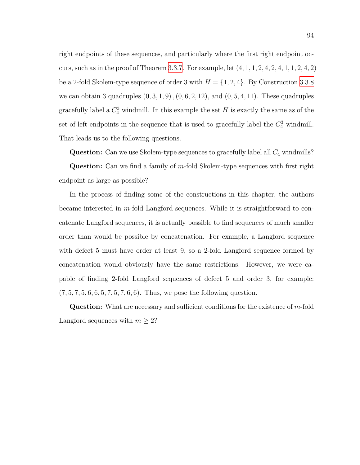right endpoints of these sequences, and particularly where the first right endpoint occurs, such as in the proof of Theorem [3.3.7](#page-83-0). For example, let (4*,* 1*,* 1*,* 2*,* 4*,* 2*,* 4*,* 1*,* 1*,* 2*,* 4*,* 2) be a 2-fold Skolem-type sequence of order 3 with  $H = \{1, 2, 4\}$ . By Construction [3.3.8](#page-85-0) we can obtain 3 quadruples (0*,* 3*,* 1*,* 9)*,*(0*,* 6*,* 2*,* 12), and (0*,* 5*,* 4*,* 11). These quadruples gracefully label a  $C_4^3$  windmill. In this example the set  $H$  is exactly the same as of the set of left endpoints in the sequence that is used to gracefully label the  $C_4^3$  windmill. That leads us to the following questions.

**Question:** Can we use Skolem-type sequences to gracefully label all  $C_4$  windmills?

**Question:** Can we find a family of *m*-fold Skolem-type sequences with first right endpoint as large as possible?

In the process of finding some of the constructions in this chapter, the authors became interested in *m*-fold Langford sequences. While it is straightforward to concatenate Langford sequences, it is actually possible to find sequences of much smaller order than would be possible by concatenation. For example, a Langford sequence with defect 5 must have order at least 9, so a 2-fold Langford sequence formed by concatenation would obviously have the same restrictions. However, we were capable of finding 2-fold Langford sequences of defect 5 and order 3, for example: (7*,* 5*,* 7*,* 5*,* 6*,* 6*,* 5*,* 7*,* 5*,* 7*,* 6*,* 6). Thus, we pose the following question.

**Question:** What are necessary and sufficient conditions for the existence of *m*-fold Langford sequences with  $m \geq 2$ ?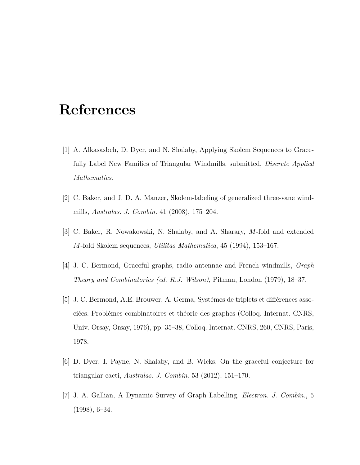# **References**

- <span id="page-107-6"></span>[1] A. Alkasasbeh, D. Dyer, and N. Shalaby, Applying Skolem Sequences to Gracefully Label New Families of Triangular Windmills, submitted, *Discrete Applied Mathematics*.
- <span id="page-107-4"></span>[2] C. Baker, and J. D. A. Manzer, Skolem-labeling of generalized three-vane windmills, *Australas. J. Combin.* 41 (2008), 175–204.
- <span id="page-107-5"></span>[3] C. Baker, R. Nowakowski, N. Shalaby, and A. Sharary, *M*-fold and extended *M*-fold Skolem sequences, *Utilitas Mathematica*, 45 (1994), 153–167.
- <span id="page-107-0"></span>[4] J. C. Bermond, Graceful graphs, radio antennae and French windmills, *Graph Theory and Combinatorics (ed. R.J. Wilson)*, Pitman, London (1979), 18–37.
- <span id="page-107-1"></span>[5] J. C. Bermond, A.E. Brouwer, A. Germa, Systémes de triplets et différences associées. Problémes combinatoires et théorie des graphes (Colloq. Internat. CNRS, Univ. Orsay, Orsay, 1976), pp. 35–38, Colloq. Internat. CNRS, 260, CNRS, Paris, 1978.
- <span id="page-107-2"></span>[6] D. Dyer, I. Payne, N. Shalaby, and B. Wicks, On the graceful conjecture for triangular cacti, *Australas. J. Combin.* 53 (2012), 151–170.
- <span id="page-107-3"></span>[7] J. A. Gallian, A Dynamic Survey of Graph Labelling, *Electron. J. Combin.*, 5 (1998), 6–34.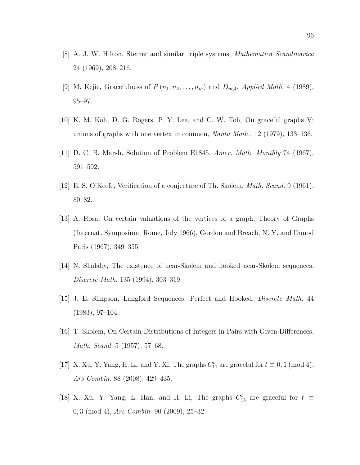- <span id="page-108-2"></span>[8] A. J. W. Hilton, Steiner and similar triple systems, *Mathematica Scandinavica* 24 (1969), 208–216.
- [9] M. Kejie, Gracefulness of  $P(n_1, n_2, \ldots, n_m)$  and  $D_{m,4}$ , Applied Math, 4 (1989), 95–97.
- [10] K. M. Koh, D. G. Rogers, P. Y. Lee, and C. W. Toh, On graceful graphs V: unions of graphs with one vertex in common, *Nanta Math.*, 12 (1979), 133–136.
- <span id="page-108-1"></span>[11] D. C. B. Marsh, Solution of Problem E1845, *Amer. Math. Monthly* 74 (1967), 591–592.
- [12] E. S. O'Keefe, Verification of a conjecture of Th. Skolem, *Math. Scand.* 9 (1961), 80–82.
- [13] A. Rosa, On certain valuations of the vertices of a graph, Theory of Graphs (Internat. Symposium, Rome, July 1966), Gordon and Breach, N. Y. and Dunod Paris (1967), 349–355.
- [14] N. Shalaby, The existence of near-Skolem and hooked near-Skolem sequences, *Discrete Math.* 135 (1994), 303–319.
- [15] J. E. Simpson, Langford Sequences; Perfect and Hooked, *Discrete Math.* 44 (1983), 97–104.
- <span id="page-108-0"></span>[16] T. Skolem, On Certain Distributions of Integers in Pairs with Given Differences, *Math. Scand.* 5 (1957), 57–68.
- [17] X. Xu, Y. Yang, H. Li, and Y. Xi, The graphs  $C_{11}^t$  are graceful for  $t \equiv 0, 1 \pmod{4}$ , *Ars Combin.* 88 (2008), 429–435.
- [18] X. Xu, Y. Yang, L. Han, and H. Li, The graphs  $C_{13}^t$  are graceful for  $t \equiv$ 0*,* 3 (mod 4), *Ars Combin.* 90 (2009), 25–32.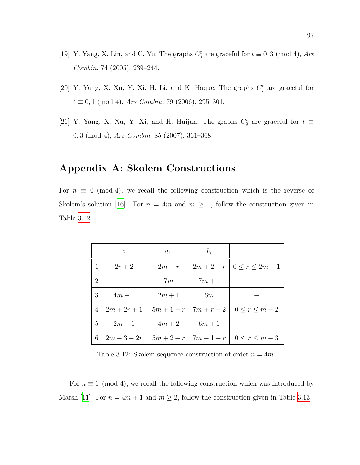- [19] Y. Yang, X. Lin, and C. Yu, The graphs  $C_5^t$  are graceful for  $t \equiv 0, 3 \pmod{4}$ , *Ars Combin.* 74 (2005), 239–244.
- [20] Y. Yang, X. Xu, Y. Xi, H. Li, and K. Haque, The graphs  $C_7^t$  are graceful for *t ≡* 0*,* 1 (mod 4), *Ars Combin.* 79 (2006), 295–301.
- [21] Y. Yang, X. Xu, Y. Xi, and H. Huijun, The graphs  $C_9^t$  are graceful for  $t \equiv$ 0*,* 3 (mod 4), *Ars Combin.* 85 (2007), 361–368.

#### **Appendix A: Skolem Constructions**

For  $n \equiv 0 \pmod{4}$ , we recall the following construction which is the reverse of Skolem's solution [[16\]](#page-108-0). For  $n = 4m$  and  $m \geq 1$ , follow the construction given in Table [3.12](#page-109-0).

<span id="page-109-0"></span>

|                | $\dot{i}$     | $a_i$  | $b_i$  |                                           |
|----------------|---------------|--------|--------|-------------------------------------------|
| 1              | $2r+2$        | $2m-r$ |        | $2m+2+r$   $0 \leq r \leq 2m-1$           |
| $\overline{2}$ | $\mathbf{1}$  | 7m     | $7m+1$ |                                           |
| 3              | $4m-1$        | $2m+1$ | 6m     |                                           |
| $\overline{4}$ | $2m + 2r + 1$ |        |        | $5m+1-r$   $7m+r+2$   $0 \leq r \leq m-2$ |
| 5              | $2m-1$        | $4m+2$ | $6m+1$ |                                           |
| 6              | $2m-3-2r$     |        |        | $5m+2+r$   $7m-1-r$   $0 \leq r \leq m-3$ |

Table 3.12: Skolem sequence construction of order  $n = 4m$ .

For  $n \equiv 1 \pmod{4}$ , we recall the following construction which was introduced by Marsh [[11](#page-108-1)]. For  $n = 4m + 1$  and  $m \ge 2$ , follow the construction given in Table [3.13](#page-110-0).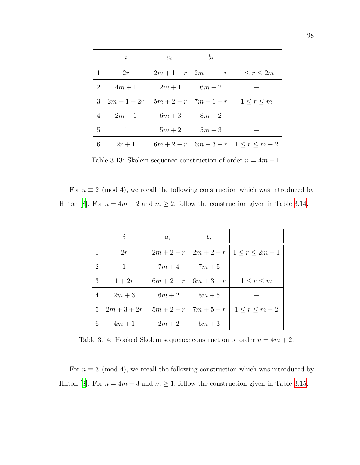<span id="page-110-0"></span>

|   | $\dot{i}$     | $a_i$  | $b_i$               |                                           |
|---|---------------|--------|---------------------|-------------------------------------------|
| 1 | 2r            |        | $2m+1-r$   $2m+1+r$ | $1 \leq r \leq 2m$                        |
| 2 | $4m+1$        | $2m+1$ | $6m+2$              |                                           |
| 3 | $2m - 1 + 2r$ |        | $5m+2-r$   $7m+1+r$ | $1 \leq r \leq m$                         |
| 4 | $2m-1$        | $6m+3$ | $8m+2$              |                                           |
| 5 | 1             | $5m+2$ | $5m+3$              |                                           |
| 6 | $2r+1$        |        |                     | $6m+2-r$   $6m+3+r$   $1 \leq r \leq m-2$ |

Table 3.13: Skolem sequence construction of order  $n = 4m + 1$ .

For  $n \equiv 2 \pmod{4}$ , we recall the following construction which was introduced by Hilton [[8\]](#page-108-2). For  $n = 4m + 2$  and  $m \ge 2$ , follow the construction given in Table [3.14](#page-110-1).

<span id="page-110-1"></span>

|   | $\dot{i}$     | $a_i$  | $b_i$               |                                            |
|---|---------------|--------|---------------------|--------------------------------------------|
| 1 | 2r            |        |                     | $2m+2-r$   $2m+2+r$   $1 \leq r \leq 2m+1$ |
| 2 | 1             | $7m+4$ | $7m+5$              |                                            |
| 3 | $1+2r$        |        | $6m+2-r$   $6m+3+r$ | $1 \leq r \leq m$                          |
| 4 | $2m + 3$      | $6m+2$ | $8m+5$              |                                            |
| 5 | $2m + 3 + 2r$ |        | $5m+2-r$   $7m+5+r$ | $1 \leq r \leq m-2$                        |
| 6 | $4m+1$        | $2m+2$ | $6m+3$              |                                            |

Table 3.14: Hooked Skolem sequence construction of order  $n = 4m + 2$ .

For  $n \equiv 3 \pmod{4}$ , we recall the following construction which was introduced by Hilton [[8\]](#page-108-2). For  $n = 4m + 3$  and  $m \ge 1$ , follow the construction given in Table [3.15](#page-111-0).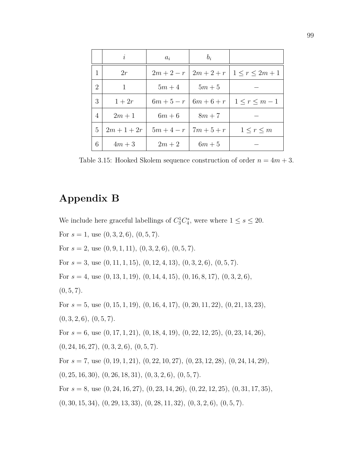<span id="page-111-0"></span>

|   | $\dot{i}$     | $a_i$    | $b_i$                             |                                            |
|---|---------------|----------|-----------------------------------|--------------------------------------------|
| 1 | 2r            |          |                                   | $2m+2-r$   $2m+2+r$   $1 \leq r \leq 2m+1$ |
| 2 | 1             | $5m+4$   | $5m+5$                            |                                            |
| 3 | $1+2r$        |          | $6m + 5 - r \mid 6m + 6 + r \mid$ | $1 \le r \le m - 1$                        |
| 4 | $2m+1$        | $6m+6$   | $8m+7$                            |                                            |
| 5 | $2m + 1 + 2r$ |          | $5m+4-r$   $7m+5+r$               | $1 \leq r \leq m$                          |
| 6 | $4m+3$        | $2m + 2$ | $6m+5$                            |                                            |

Table 3.15: Hooked Skolem sequence construction of order  $n = 4m + 3$ .

#### **Appendix B**

We include here graceful labellings of  $C_3^1 C_4^s$ , were where  $1 \leq s \leq 20$ .

For  $s = 1$ , use  $(0, 3, 2, 6)$ ,  $(0, 5, 7)$ .

For  $s = 2$ , use  $(0, 9, 1, 11)$ ,  $(0, 3, 2, 6)$ ,  $(0, 5, 7)$ .

For *s* = 3, use (0*,* 11*,* 1*,* 15), (0*,* 12*,* 4*,* 13), (0*,* 3*,* 2*,* 6), (0*,* 5*,* 7).

For *s* = 4, use (0*,* 13*,* 1*,* 19), (0*,* 14*,* 4*,* 15), (0*,* 16*,* 8*,* 17), (0*,* 3*,* 2*,* 6),

$$
(0,5,7).
$$

For *s* = 5, use (0*,* 15*,* 1*,* 19), (0*,* 16*,* 4*,* 17), (0*,* 20*,* 11*,* 22), (0*,* 21*,* 13*,* 23),

(0*,* 3*,* 2*,* 6), (0*,* 5*,* 7).

For *s* = 6, use (0*,* 17*,* 1*,* 21), (0*,* 18*,* 4*,* 19), (0*,* 22*,* 12*,* 25), (0*,* 23*,* 14*,* 26),

(0*,* 24*,* 16*,* 27), (0*,* 3*,* 2*,* 6), (0*,* 5*,* 7).

For *s* = 7, use (0*,* 19*,* 1*,* 21), (0*,* 22*,* 10*,* 27), (0*,* 23*,* 12*,* 28), (0*,* 24*,* 14*,* 29), (0*,* 25*,* 16*,* 30), (0*,* 26*,* 18*,* 31), (0*,* 3*,* 2*,* 6), (0*,* 5*,* 7). For *s* = 8, use (0*,* 24*,* 16*,* 27), (0*,* 23*,* 14*,* 26), (0*,* 22*,* 12*,* 25), (0*,* 31*,* 17*,* 35),

(0*,* 30*,* 15*,* 34), (0*,* 29*,* 13*,* 33), (0*,* 28*,* 11*,* 32), (0*,* 3*,* 2*,* 6), (0*,* 5*,* 7).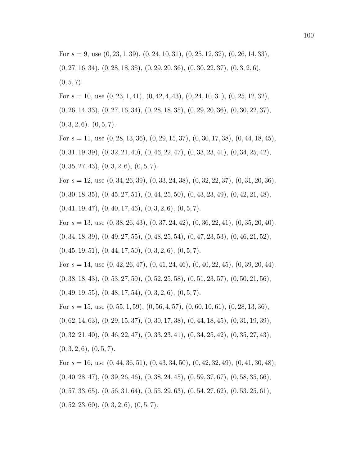For *s* = 9, use (0*,* 23*,* 1*,* 39), (0*,* 24*,* 10*,* 31), (0*,* 25*,* 12*,* 32), (0*,* 26*,* 14*,* 33), (0*,* 27*,* 16*,* 34), (0*,* 28*,* 18*,* 35), (0*,* 29*,* 20*,* 36), (0*,* 30*,* 22*,* 37), (0*,* 3*,* 2*,* 6),  $(0, 5, 7)$ .

For *s* = 10, use (0*,* 23*,* 1*,* 41), (0*,* 42*,* 4*,* 43), (0*,* 24*,* 10*,* 31), (0*,* 25*,* 12*,* 32), (0*,* 26*,* 14*,* 33), (0*,* 27*,* 16*,* 34), (0*,* 28*,* 18*,* 35), (0*,* 29*,* 20*,* 36), (0*,* 30*,* 22*,* 37),

(0*,* 3*,* 2*,* 6). (0*,* 5*,* 7).

For *s* = 11, use (0*,* 28*,* 13*,* 36), (0*,* 29*,* 15*,* 37), (0*,* 30*,* 17*,* 38), (0*,* 44*,* 18*,* 45),

(0*,* 31*,* 19*,* 39), (0*,* 32*,* 21*,* 40), (0*,* 46*,* 22*,* 47), (0*,* 33*,* 23*,* 41), (0*,* 34*,* 25*,* 42),

(0*,* 35*,* 27*,* 43), (0*,* 3*,* 2*,* 6), (0*,* 5*,* 7).

For *s* = 12, use (0*,* 34*,* 26*,* 39), (0*,* 33*,* 24*,* 38), (0*,* 32*,* 22*,* 37), (0*,* 31*,* 20*,* 36),

(0*,* 30*,* 18*,* 35), (0*,* 45*,* 27*,* 51), (0*,* 44*,* 25*,* 50), (0*,* 43*,* 23*,* 49), (0*,* 42*,* 21*,* 48),

(0*,* 41*,* 19*,* 47), (0*,* 40*,* 17*,* 46), (0*,* 3*,* 2*,* 6), (0*,* 5*,* 7).

For *s* = 13, use (0*,* 38*,* 26*,* 43), (0*,* 37*,* 24*,* 42), (0*,* 36*,* 22*,* 41), (0*,* 35*,* 20*,* 40),

(0*,* 34*,* 18*,* 39), (0*,* 49*,* 27*,* 55), (0*,* 48*,* 25*,* 54), (0*,* 47*,* 23*,* 53), (0*,* 46*,* 21*,* 52),

(0*,* 45*,* 19*,* 51), (0*,* 44*,* 17*,* 50), (0*,* 3*,* 2*,* 6), (0*,* 5*,* 7).

For *s* = 14, use (0*,* 42*,* 26*,* 47), (0*,* 41*,* 24*,* 46), (0*,* 40*,* 22*,* 45), (0*,* 39*,* 20*,* 44), (0*,* 38*,* 18*,* 43), (0*,* 53*,* 27*,* 59), (0*,* 52*,* 25*,* 58), (0*,* 51*,* 23*,* 57), (0*,* 50*,* 21*,* 56), (0*,* 49*,* 19*,* 55), (0*,* 48*,* 17*,* 54), (0*,* 3*,* 2*,* 6), (0*,* 5*,* 7).

For *s* = 15, use (0*,* 55*,* 1*,* 59), (0*,* 56*,* 4*,* 57), (0*,* 60*,* 10*,* 61), (0*,* 28*,* 13*,* 36), (0*,* 62*,* 14*,* 63), (0*,* 29*,* 15*,* 37), (0*,* 30*,* 17*,* 38), (0*,* 44*,* 18*,* 45), (0*,* 31*,* 19*,* 39), (0*,* 32*,* 21*,* 40), (0*,* 46*,* 22*,* 47), (0*,* 33*,* 23*,* 41), (0*,* 34*,* 25*,* 42), (0*,* 35*,* 27*,* 43), (0*,* 3*,* 2*,* 6), (0*,* 5*,* 7).

For *s* = 16, use (0*,* 44*,* 36*,* 51), (0*,* 43*,* 34*,* 50), (0*,* 42*,* 32*,* 49), (0*,* 41*,* 30*,* 48), (0*,* 40*,* 28*,* 47), (0*,* 39*,* 26*,* 46), (0*,* 38*,* 24*,* 45), (0*,* 59*,* 37*,* 67), (0*,* 58*,* 35*,* 66), (0*,* 57*,* 33*,* 65), (0*,* 56*,* 31*,* 64), (0*,* 55*,* 29*,* 63), (0*,* 54*,* 27*,* 62), (0*,* 53*,* 25*,* 61), (0*,* 52*,* 23*,* 60), (0*,* 3*,* 2*,* 6), (0*,* 5*,* 7).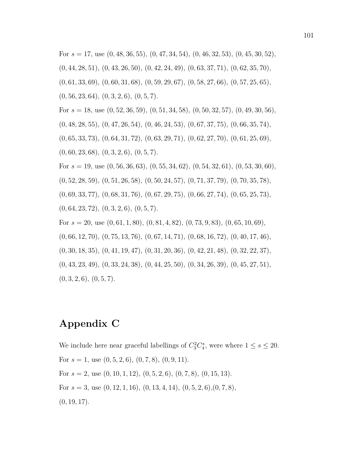For *s* = 17, use (0*,* 48*,* 36*,* 55), (0*,* 47*,* 34*,* 54), (0*,* 46*,* 32*,* 53), (0*,* 45*,* 30*,* 52), (0*,* 44*,* 28*,* 51), (0*,* 43*,* 26*,* 50), (0*,* 42*,* 24*,* 49), (0*,* 63*,* 37*,* 71), (0*,* 62*,* 35*,* 70), (0*,* 61*,* 33*,* 69), (0*,* 60*,* 31*,* 68), (0*,* 59*,* 29*,* 67), (0*,* 58*,* 27*,* 66), (0*,* 57*,* 25*,* 65), (0*,* 56*,* 23*,* 64), (0*,* 3*,* 2*,* 6), (0*,* 5*,* 7). For *s* = 18, use (0*,* 52*,* 36*,* 59), (0*,* 51*,* 34*,* 58), (0*,* 50*,* 32*,* 57), (0*,* 49*,* 30*,* 56), (0*,* 48*,* 28*,* 55), (0*,* 47*,* 26*,* 54), (0*,* 46*,* 24*,* 53), (0*,* 67*,* 37*,* 75), (0*,* 66*,* 35*,* 74), (0*,* 65*,* 33*,* 73), (0*,* 64*,* 31*,* 72), (0*,* 63*,* 29*,* 71), (0*,* 62*,* 27*,* 70), (0*,* 61*,* 25*,* 69), (0*,* 60*,* 23*,* 68), (0*,* 3*,* 2*,* 6), (0*,* 5*,* 7). For *s* = 19, use (0*,* 56*,* 36*,* 63), (0*,* 55*,* 34*,* 62), (0*,* 54*,* 32*,* 61), (0*,* 53*,* 30*,* 60), (0*,* 52*,* 28*,* 59), (0*,* 51*,* 26*,* 58), (0*,* 50*,* 24*,* 57), (0*,* 71*,* 37*,* 79), (0*,* 70*,* 35*,* 78), (0*,* 69*,* 33*,* 77), (0*,* 68*,* 31*,* 76), (0*,* 67*,* 29*,* 75), (0*,* 66*,* 27*,* 74), (0*,* 65*,* 25*,* 73), (0*,* 64*,* 23*,* 72), (0*,* 3*,* 2*,* 6), (0*,* 5*,* 7). For *s* = 20, use (0*,* 61*,* 1*,* 80), (0*,* 81*,* 4*,* 82), (0*,* 73*,* 9*,* 83), (0*,* 65*,* 10*,* 69), (0*,* 66*,* 12*,* 70), (0*,* 75*,* 13*,* 76), (0*,* 67*,* 14*,* 71), (0*,* 68*,* 16*,* 72), (0*,* 40*,* 17*,* 46), (0*,* 30*,* 18*,* 35), (0*,* 41*,* 19*,* 47), (0*,* 31*,* 20*,* 36), (0*,* 42*,* 21*,* 48), (0*,* 32*,* 22*,* 37), (0*,* 43*,* 23*,* 49), (0*,* 33*,* 24*,* 38), (0*,* 44*,* 25*,* 50), (0*,* 34*,* 26*,* 39), (0*,* 45*,* 27*,* 51), (0*,* 3*,* 2*,* 6), (0*,* 5*,* 7).

#### **Appendix C**

We include here near graceful labellings of  $C_3^2 C_4^s$ , were where  $1 \leq s \leq 20$ . For  $s = 1$ , use  $(0, 5, 2, 6)$ ,  $(0, 7, 8)$ ,  $(0, 9, 11)$ . For *s* = 2, use (0*,* 10*,* 1*,* 12), (0*,* 5*,* 2*,* 6), (0*,* 7*,* 8), (0*,* 15*,* 13). For *s* = 3, use (0*,* 12*,* 1*,* 16), (0*,* 13*,* 4*,* 14), (0*,* 5*,* 2*,* 6),(0*,* 7*,* 8), (0*,* 19*,* 17).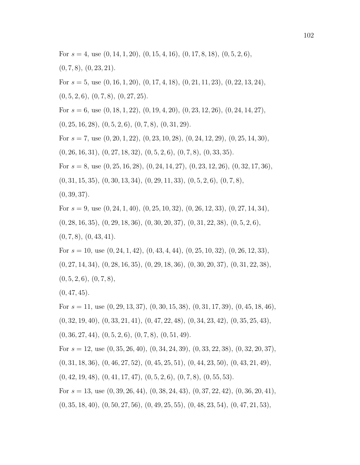For *s* = 4, use (0*,* 14*,* 1*,* 20), (0*,* 15*,* 4*,* 16), (0*,* 17*,* 8*,* 18), (0*,* 5*,* 2*,* 6),

(0*,* 7*,* 8), (0*,* 23*,* 21).

For *s* = 5, use (0*,* 16*,* 1*,* 20), (0*,* 17*,* 4*,* 18), (0*,* 21*,* 11*,* 23), (0*,* 22*,* 13*,* 24),

(0*,* 5*,* 2*,* 6), (0*,* 7*,* 8), (0*,* 27*,* 25).

For *s* = 6, use (0*,* 18*,* 1*,* 22), (0*,* 19*,* 4*,* 20), (0*,* 23*,* 12*,* 26), (0*,* 24*,* 14*,* 27),

(0*,* 25*,* 16*,* 28), (0*,* 5*,* 2*,* 6), (0*,* 7*,* 8), (0*,* 31*,* 29).

For *s* = 7, use (0*,* 20*,* 1*,* 22), (0*,* 23*,* 10*,* 28), (0*,* 24*,* 12*,* 29), (0*,* 25*,* 14*,* 30),

(0*,* 26*,* 16*,* 31), (0*,* 27*,* 18*,* 32), (0*,* 5*,* 2*,* 6), (0*,* 7*,* 8), (0*,* 33*,* 35).

For *s* = 8, use (0*,* 25*,* 16*,* 28), (0*,* 24*,* 14*,* 27), (0*,* 23*,* 12*,* 26), (0*,* 32*,* 17*,* 36),

(0*,* 31*,* 15*,* 35), (0*,* 30*,* 13*,* 34), (0*,* 29*,* 11*,* 33), (0*,* 5*,* 2*,* 6), (0*,* 7*,* 8),

(0*,* 39*,* 37).

For *s* = 9, use (0*,* 24*,* 1*,* 40), (0*,* 25*,* 10*,* 32), (0*,* 26*,* 12*,* 33), (0*,* 27*,* 14*,* 34),

(0*,* 28*,* 16*,* 35), (0*,* 29*,* 18*,* 36), (0*,* 30*,* 20*,* 37), (0*,* 31*,* 22*,* 38), (0*,* 5*,* 2*,* 6),

(0*,* 7*,* 8), (0*,* 43*,* 41).

For *s* = 10, use (0*,* 24*,* 1*,* 42), (0*,* 43*,* 4*,* 44), (0*,* 25*,* 10*,* 32), (0*,* 26*,* 12*,* 33), (0*,* 27*,* 14*,* 34), (0*,* 28*,* 16*,* 35), (0*,* 29*,* 18*,* 36), (0*,* 30*,* 20*,* 37), (0*,* 31*,* 22*,* 38), (0*,* 5*,* 2*,* 6), (0*,* 7*,* 8),

(0*,* 47*,* 45).

For *s* = 11, use (0*,* 29*,* 13*,* 37), (0*,* 30*,* 15*,* 38), (0*,* 31*,* 17*,* 39), (0*,* 45*,* 18*,* 46), (0*,* 32*,* 19*,* 40), (0*,* 33*,* 21*,* 41), (0*,* 47*,* 22*,* 48), (0*,* 34*,* 23*,* 42), (0*,* 35*,* 25*,* 43), (0*,* 36*,* 27*,* 44), (0*,* 5*,* 2*,* 6), (0*,* 7*,* 8), (0*,* 51*,* 49).

For *s* = 12, use (0*,* 35*,* 26*,* 40), (0*,* 34*,* 24*,* 39), (0*,* 33*,* 22*,* 38), (0*,* 32*,* 20*,* 37), (0*,* 31*,* 18*,* 36), (0*,* 46*,* 27*,* 52), (0*,* 45*,* 25*,* 51), (0*,* 44*,* 23*,* 50), (0*,* 43*,* 21*,* 49), (0*,* 42*,* 19*,* 48), (0*,* 41*,* 17*,* 47), (0*,* 5*,* 2*,* 6), (0*,* 7*,* 8), (0*,* 55*,* 53).

For *s* = 13, use (0*,* 39*,* 26*,* 44), (0*,* 38*,* 24*,* 43), (0*,* 37*,* 22*,* 42), (0*,* 36*,* 20*,* 41), (0*,* 35*,* 18*,* 40), (0*,* 50*,* 27*,* 56), (0*,* 49*,* 25*,* 55), (0*,* 48*,* 23*,* 54), (0*,* 47*,* 21*,* 53),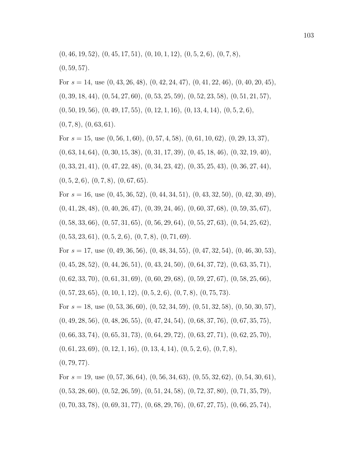(0*,* 46*,* 19*,* 52), (0*,* 45*,* 17*,* 51), (0*,* 10*,* 1*,* 12), (0*,* 5*,* 2*,* 6), (0*,* 7*,* 8),

 $(0, 59, 57)$ .

For *s* = 14, use (0*,* 43*,* 26*,* 48), (0*,* 42*,* 24*,* 47), (0*,* 41*,* 22*,* 46), (0*,* 40*,* 20*,* 45),

(0*,* 39*,* 18*,* 44), (0*,* 54*,* 27*,* 60), (0*,* 53*,* 25*,* 59), (0*,* 52*,* 23*,* 58), (0*,* 51*,* 21*,* 57),

(0*,* 50*,* 19*,* 56), (0*,* 49*,* 17*,* 55), (0*,* 12*,* 1*,* 16), (0*,* 13*,* 4*,* 14), (0*,* 5*,* 2*,* 6),

(0*,* 7*,* 8), (0*,* 63*,* 61).

For *s* = 15, use (0*,* 56*,* 1*,* 60), (0*,* 57*,* 4*,* 58), (0*,* 61*,* 10*,* 62), (0*,* 29*,* 13*,* 37), (0*,* 63*,* 14*,* 64), (0*,* 30*,* 15*,* 38), (0*,* 31*,* 17*,* 39), (0*,* 45*,* 18*,* 46), (0*,* 32*,* 19*,* 40), (0*,* 33*,* 21*,* 41), (0*,* 47*,* 22*,* 48), (0*,* 34*,* 23*,* 42), (0*,* 35*,* 25*,* 43), (0*,* 36*,* 27*,* 44), (0*,* 5*,* 2*,* 6), (0*,* 7*,* 8), (0*,* 67*,* 65).

For *s* = 16, use (0*,* 45*,* 36*,* 52), (0*,* 44*,* 34*,* 51), (0*,* 43*,* 32*,* 50), (0*,* 42*,* 30*,* 49), (0*,* 41*,* 28*,* 48), (0*,* 40*,* 26*,* 47), (0*,* 39*,* 24*,* 46), (0*,* 60*,* 37*,* 68), (0*,* 59*,* 35*,* 67), (0*,* 58*,* 33*,* 66), (0*,* 57*,* 31*,* 65), (0*,* 56*,* 29*,* 64), (0*,* 55*,* 27*,* 63), (0*,* 54*,* 25*,* 62), (0*,* 53*,* 23*,* 61), (0*,* 5*,* 2*,* 6), (0*,* 7*,* 8), (0*,* 71*,* 69).

For *s* = 17, use (0*,* 49*,* 36*,* 56), (0*,* 48*,* 34*,* 55), (0*,* 47*,* 32*,* 54), (0*,* 46*,* 30*,* 53), (0*,* 45*,* 28*,* 52), (0*,* 44*,* 26*,* 51), (0*,* 43*,* 24*,* 50), (0*,* 64*,* 37*,* 72), (0*,* 63*,* 35*,* 71), (0*,* 62*,* 33*,* 70), (0*,* 61*,* 31*,* 69), (0*,* 60*,* 29*,* 68), (0*,* 59*,* 27*,* 67), (0*,* 58*,* 25*,* 66),

(0*,* 57*,* 23*,* 65), (0*,* 10*,* 1*,* 12), (0*,* 5*,* 2*,* 6), (0*,* 7*,* 8), (0*,* 75*,* 73).

For *s* = 18, use (0*,* 53*,* 36*,* 60), (0*,* 52*,* 34*,* 59), (0*,* 51*,* 32*,* 58), (0*,* 50*,* 30*,* 57), (0*,* 49*,* 28*,* 56), (0*,* 48*,* 26*,* 55), (0*,* 47*,* 24*,* 54), (0*,* 68*,* 37*,* 76), (0*,* 67*,* 35*,* 75),

(0*,* 66*,* 33*,* 74), (0*,* 65*,* 31*,* 73), (0*,* 64*,* 29*,* 72), (0*,* 63*,* 27*,* 71), (0*,* 62*,* 25*,* 70),

(0*,* 61*,* 23*,* 69), (0*,* 12*,* 1*,* 16), (0*,* 13*,* 4*,* 14), (0*,* 5*,* 2*,* 6), (0*,* 7*,* 8),

(0*,* 79*,* 77).

For *s* = 19, use (0*,* 57*,* 36*,* 64), (0*,* 56*,* 34*,* 63), (0*,* 55*,* 32*,* 62), (0*,* 54*,* 30*,* 61), (0*,* 53*,* 28*,* 60), (0*,* 52*,* 26*,* 59), (0*,* 51*,* 24*,* 58), (0*,* 72*,* 37*,* 80), (0*,* 71*,* 35*,* 79), (0*,* 70*,* 33*,* 78), (0*,* 69*,* 31*,* 77), (0*,* 68*,* 29*,* 76), (0*,* 67*,* 27*,* 75), (0*,* 66*,* 25*,* 74),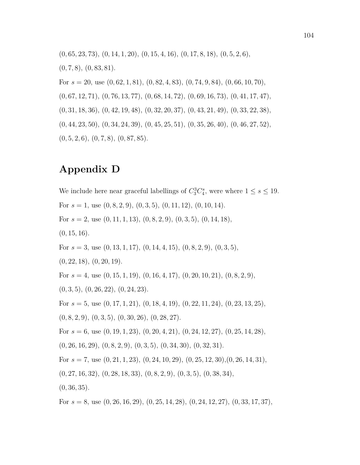(0*,* 65*,* 23*,* 73), (0*,* 14*,* 1*,* 20), (0*,* 15*,* 4*,* 16), (0*,* 17*,* 8*,* 18), (0*,* 5*,* 2*,* 6), (0*,* 7*,* 8), (0*,* 83*,* 81). For *s* = 20, use (0*,* 62*,* 1*,* 81), (0*,* 82*,* 4*,* 83), (0*,* 74*,* 9*,* 84), (0*,* 66*,* 10*,* 70), (0*,* 67*,* 12*,* 71), (0*,* 76*,* 13*,* 77), (0*,* 68*,* 14*,* 72), (0*,* 69*,* 16*,* 73), (0*,* 41*,* 17*,* 47), (0*,* 31*,* 18*,* 36), (0*,* 42*,* 19*,* 48), (0*,* 32*,* 20*,* 37), (0*,* 43*,* 21*,* 49), (0*,* 33*,* 22*,* 38), (0*,* 44*,* 23*,* 50), (0*,* 34*,* 24*,* 39), (0*,* 45*,* 25*,* 51), (0*,* 35*,* 26*,* 40), (0*,* 46*,* 27*,* 52), (0*,* 5*,* 2*,* 6), (0*,* 7*,* 8), (0*,* 87*,* 85).

#### **Appendix D**

We include here near graceful labellings of  $C_3^3 C_4^s$ , were where  $1 \leq s \leq 19$ . For *s* = 1, use (0*,* 8*,* 2*,* 9), (0*,* 3*,* 5), (0*,* 11*,* 12), (0*,* 10*,* 14). For *s* = 2, use (0*,* 11*,* 1*,* 13), (0*,* 8*,* 2*,* 9), (0*,* 3*,* 5), (0*,* 14*,* 18), (0*,* 15*,* 16). For *s* = 3, use (0*,* 13*,* 1*,* 17), (0*,* 14*,* 4*,* 15), (0*,* 8*,* 2*,* 9), (0*,* 3*,* 5), (0*,* 22*,* 18), (0*,* 20*,* 19). For *s* = 4, use (0*,* 15*,* 1*,* 19), (0*,* 16*,* 4*,* 17), (0*,* 20*,* 10*,* 21), (0*,* 8*,* 2*,* 9), (0*,* 3*,* 5), (0*,* 26*,* 22), (0*,* 24*,* 23). For *s* = 5, use (0*,* 17*,* 1*,* 21), (0*,* 18*,* 4*,* 19), (0*,* 22*,* 11*,* 24), (0*,* 23*,* 13*,* 25), (0*,* 8*,* 2*,* 9), (0*,* 3*,* 5), (0*,* 30*,* 26), (0*,* 28*,* 27). For *s* = 6, use (0*,* 19*,* 1*,* 23), (0*,* 20*,* 4*,* 21), (0*,* 24*,* 12*,* 27), (0*,* 25*,* 14*,* 28), (0*,* 26*,* 16*,* 29), (0*,* 8*,* 2*,* 9), (0*,* 3*,* 5), (0*,* 34*,* 30), (0*,* 32*,* 31). For *s* = 7, use (0*,* 21*,* 1*,* 23), (0*,* 24*,* 10*,* 29), (0*,* 25*,* 12*,* 30),(0*,* 26*,* 14*,* 31), (0*,* 27*,* 16*,* 32), (0*,* 28*,* 18*,* 33), (0*,* 8*,* 2*,* 9), (0*,* 3*,* 5), (0*,* 38*,* 34), (0*,* 36*,* 35). For *s* = 8, use (0*,* 26*,* 16*,* 29), (0*,* 25*,* 14*,* 28), (0*,* 24*,* 12*,* 27), (0*,* 33*,* 17*,* 37),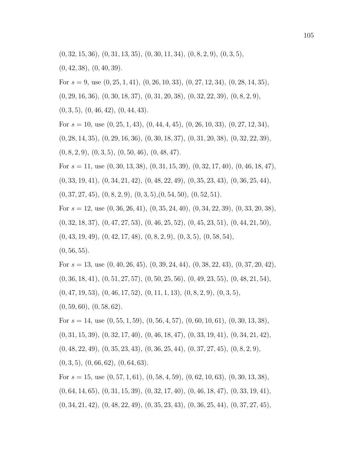(0*,* 42*,* 38), (0*,* 40*,* 39).

For *s* = 9, use (0*,* 25*,* 1*,* 41), (0*,* 26*,* 10*,* 33), (0*,* 27*,* 12*,* 34), (0*,* 28*,* 14*,* 35),

(0*,* 29*,* 16*,* 36), (0*,* 30*,* 18*,* 37), (0*,* 31*,* 20*,* 38), (0*,* 32*,* 22*,* 39), (0*,* 8*,* 2*,* 9),

(0*,* 3*,* 5), (0*,* 46*,* 42), (0*,* 44*,* 43).

For *s* = 10, use (0*,* 25*,* 1*,* 43), (0*,* 44*,* 4*,* 45), (0*,* 26*,* 10*,* 33), (0*,* 27*,* 12*,* 34),

(0*,* 28*,* 14*,* 35), (0*,* 29*,* 16*,* 36), (0*,* 30*,* 18*,* 37), (0*,* 31*,* 20*,* 38), (0*,* 32*,* 22*,* 39),

(0*,* 8*,* 2*,* 9), (0*,* 3*,* 5), (0*,* 50*,* 46), (0*,* 48*,* 47).

For *s* = 11, use (0*,* 30*,* 13*,* 38), (0*,* 31*,* 15*,* 39), (0*,* 32*,* 17*,* 40), (0*,* 46*,* 18*,* 47),

(0*,* 33*,* 19*,* 41), (0*,* 34*,* 21*,* 42), (0*,* 48*,* 22*,* 49), (0*,* 35*,* 23*,* 43), (0*,* 36*,* 25*,* 44),

(0*,* 37*,* 27*,* 45), (0*,* 8*,* 2*,* 9), (0*,* 3*,* 5),(0*,* 54*,* 50), (0*,* 52*,* 51).

For *s* = 12, use (0*,* 36*,* 26*,* 41), (0*,* 35*,* 24*,* 40), (0*,* 34*,* 22*,* 39), (0*,* 33*,* 20*,* 38),

(0*,* 32*,* 18*,* 37), (0*,* 47*,* 27*,* 53), (0*,* 46*,* 25*,* 52), (0*,* 45*,* 23*,* 51), (0*,* 44*,* 21*,* 50),

(0*,* 43*,* 19*,* 49), (0*,* 42*,* 17*,* 48), (0*,* 8*,* 2*,* 9), (0*,* 3*,* 5), (0*,* 58*,* 54),

 $(0, 56, 55)$ .

For *s* = 13, use (0*,* 40*,* 26*,* 45), (0*,* 39*,* 24*,* 44), (0*,* 38*,* 22*,* 43), (0*,* 37*,* 20*,* 42), (0*,* 36*,* 18*,* 41), (0*,* 51*,* 27*,* 57), (0*,* 50*,* 25*,* 56), (0*,* 49*,* 23*,* 55), (0*,* 48*,* 21*,* 54), (0*,* 47*,* 19*,* 53), (0*,* 46*,* 17*,* 52), (0*,* 11*,* 1*,* 13), (0*,* 8*,* 2*,* 9), (0*,* 3*,* 5), (0*,* 59*,* 60), (0*,* 58*,* 62).

For *s* = 14, use (0*,* 55*,* 1*,* 59), (0*,* 56*,* 4*,* 57), (0*,* 60*,* 10*,* 61), (0*,* 30*,* 13*,* 38), (0*,* 31*,* 15*,* 39), (0*,* 32*,* 17*,* 40), (0*,* 46*,* 18*,* 47), (0*,* 33*,* 19*,* 41), (0*,* 34*,* 21*,* 42), (0*,* 48*,* 22*,* 49), (0*,* 35*,* 23*,* 43), (0*,* 36*,* 25*,* 44), (0*,* 37*,* 27*,* 45), (0*,* 8*,* 2*,* 9), (0*,* 3*,* 5), (0*,* 66*,* 62), (0*,* 64*,* 63).

For *s* = 15, use (0*,* 57*,* 1*,* 61), (0*,* 58*,* 4*,* 59), (0*,* 62*,* 10*,* 63), (0*,* 30*,* 13*,* 38), (0*,* 64*,* 14*,* 65), (0*,* 31*,* 15*,* 39), (0*,* 32*,* 17*,* 40), (0*,* 46*,* 18*,* 47), (0*,* 33*,* 19*,* 41), (0*,* 34*,* 21*,* 42), (0*,* 48*,* 22*,* 49), (0*,* 35*,* 23*,* 43), (0*,* 36*,* 25*,* 44), (0*,* 37*,* 27*,* 45),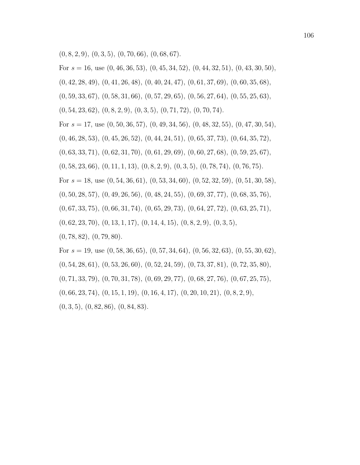(0*,* 8*,* 2*,* 9), (0*,* 3*,* 5), (0*,* 70*,* 66), (0*,* 68*,* 67).

- For *s* = 16, use (0*,* 46*,* 36*,* 53), (0*,* 45*,* 34*,* 52), (0*,* 44*,* 32*,* 51), (0*,* 43*,* 30*,* 50),
- (0*,* 42*,* 28*,* 49), (0*,* 41*,* 26*,* 48), (0*,* 40*,* 24*,* 47), (0*,* 61*,* 37*,* 69), (0*,* 60*,* 35*,* 68),
- (0*,* 59*,* 33*,* 67), (0*,* 58*,* 31*,* 66), (0*,* 57*,* 29*,* 65), (0*,* 56*,* 27*,* 64), (0*,* 55*,* 25*,* 63),
- (0*,* 54*,* 23*,* 62), (0*,* 8*,* 2*,* 9), (0*,* 3*,* 5), (0*,* 71*,* 72), (0*,* 70*,* 74).
- For *s* = 17, use (0*,* 50*,* 36*,* 57), (0*,* 49*,* 34*,* 56), (0*,* 48*,* 32*,* 55), (0*,* 47*,* 30*,* 54),
- (0*,* 46*,* 28*,* 53), (0*,* 45*,* 26*,* 52), (0*,* 44*,* 24*,* 51), (0*,* 65*,* 37*,* 73), (0*,* 64*,* 35*,* 72),
- (0*,* 63*,* 33*,* 71), (0*,* 62*,* 31*,* 70), (0*,* 61*,* 29*,* 69), (0*,* 60*,* 27*,* 68), (0*,* 59*,* 25*,* 67),
- (0*,* 58*,* 23*,* 66), (0*,* 11*,* 1*,* 13), (0*,* 8*,* 2*,* 9), (0*,* 3*,* 5), (0*,* 78*,* 74), (0*,* 76*,* 75).
- For *s* = 18, use (0*,* 54*,* 36*,* 61), (0*,* 53*,* 34*,* 60), (0*,* 52*,* 32*,* 59), (0*,* 51*,* 30*,* 58),
- (0*,* 50*,* 28*,* 57), (0*,* 49*,* 26*,* 56), (0*,* 48*,* 24*,* 55), (0*,* 69*,* 37*,* 77), (0*,* 68*,* 35*,* 76),
- (0*,* 67*,* 33*,* 75), (0*,* 66*,* 31*,* 74), (0*,* 65*,* 29*,* 73), (0*,* 64*,* 27*,* 72), (0*,* 63*,* 25*,* 71),
- (0*,* 62*,* 23*,* 70), (0*,* 13*,* 1*,* 17), (0*,* 14*,* 4*,* 15), (0*,* 8*,* 2*,* 9), (0*,* 3*,* 5),
- (0*,* 78*,* 82), (0*,* 79*,* 80).
- For *s* = 19, use (0*,* 58*,* 36*,* 65), (0*,* 57*,* 34*,* 64), (0*,* 56*,* 32*,* 63), (0*,* 55*,* 30*,* 62), (0*,* 54*,* 28*,* 61), (0*,* 53*,* 26*,* 60), (0*,* 52*,* 24*,* 59), (0*,* 73*,* 37*,* 81), (0*,* 72*,* 35*,* 80), (0*,* 71*,* 33*,* 79), (0*,* 70*,* 31*,* 78), (0*,* 69*,* 29*,* 77), (0*,* 68*,* 27*,* 76), (0*,* 67*,* 25*,* 75), (0*,* 66*,* 23*,* 74), (0*,* 15*,* 1*,* 19), (0*,* 16*,* 4*,* 17), (0*,* 20*,* 10*,* 21), (0*,* 8*,* 2*,* 9), (0*,* 3*,* 5), (0*,* 82*,* 86), (0*,* 84*,* 83).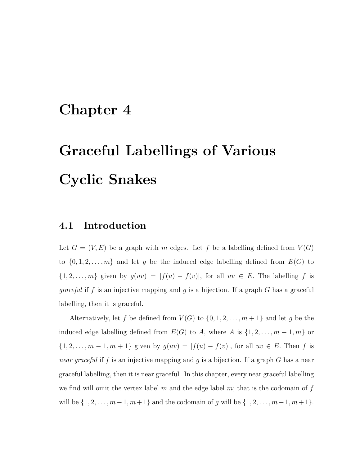# **Chapter 4**

# **Graceful Labellings of Various Cyclic Snakes**

#### **4.1 Introduction**

Let  $G = (V, E)$  be a graph with *m* edges. Let f be a labelling defined from  $V(G)$ to  $\{0, 1, 2, \ldots, m\}$  and let *g* be the induced edge labelling defined from  $E(G)$  to  $\{1, 2, \ldots, m\}$  given by  $g(uv) = |f(u) - f(v)|$ , for all  $uv \in E$ . The labelling *f* is *graceful* if *f* is an injective mapping and *g* is a bijection. If a graph *G* has a graceful labelling, then it is graceful.

Alternatively, let *f* be defined from  $V(G)$  to  $\{0, 1, 2, \ldots, m + 1\}$  and let *g* be the induced edge labelling defined from  $E(G)$  to *A*, where *A* is  $\{1, 2, \ldots, m - 1, m\}$  or  $\{1, 2, ..., m-1, m+1\}$  given by  $g(uv) = |f(u) - f(v)|$ , for all  $uv \in E$ . Then f is *near graceful* if *f* is an injective mapping and *g* is a bijection. If a graph *G* has a near graceful labelling, then it is near graceful. In this chapter, every near graceful labelling we find will omit the vertex label *m* and the edge label *m*; that is the codomain of *f* will be  $\{1, 2, \ldots, m-1, m+1\}$  and the codomain of *g* will be  $\{1, 2, \ldots, m-1, m+1\}$ .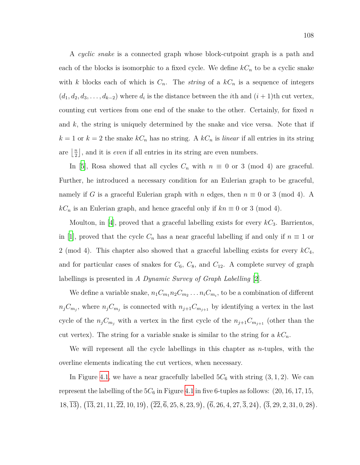A *cyclic snake* is a connected graph whose block-cutpoint graph is a path and each of the blocks is isomorphic to a fixed cycle. We define  $k_n$  to be a cyclic snake with *k* blocks each of which is  $C_n$ . The *string* of a  $kC_n$  is a sequence of integers  $(d_1, d_2, d_3, \ldots, d_{k-2})$  where  $d_i$  is the distance between the *i*<sup>th</sup> and  $(i + 1)$ <sup>th</sup> cut vertex, counting cut vertices from one end of the snake to the other. Certainly, for fixed *n* and *k*, the string is uniquely determined by the snake and vice versa. Note that if  $k = 1$  or  $k = 2$  the snake  $kC_n$  has no string. A  $kC_n$  is *linear* if all entries in its string are  $\frac{n}{2}$  $\frac{n}{2}$ , and it is *even* if all entries in its string are even numbers.

In [[5\]](#page-141-0), Rosa showed that all cycles  $C_n$  with  $n \equiv 0$  or 3 (mod 4) are graceful. Further, he introduced a necessary condition for an Eulerian graph to be graceful, namely if *G* is a graceful Eulerian graph with *n* edges, then  $n \equiv 0$  or 3 (mod 4). A  $kC_n$  is an Eulerian graph, and hence graceful only if  $kn \equiv 0$  or 3 (mod 4).

Moulton, in[[4\]](#page-141-1), proved that a graceful labelling exists for every *kC*3. Barrientos, in [[1\]](#page-141-2), proved that the cycle  $C_n$  has a near graceful labelling if and only if  $n \equiv 1$  or 2 (mod 4). This chapter also showed that a graceful labelling exists for every  $kC_4$ , and for particular cases of snakes for  $C_6$ ,  $C_8$ , and  $C_{12}$ . A complete survey of graph labellings is presented in *A Dynamic Survey of Graph Labelling* [\[2\]](#page-141-3).

We define a variable snake,  $n_1 C_{m_1} n_2 C_{m_2} \ldots n_i C_{m_i}$ , to be a combination of different  $n_j C_{m_j}$ , where  $n_j C_{m_j}$  is connected with  $n_{j+1} C_{m_{j+1}}$  by identifying a vertex in the last cycle of the  $n_j C_{m_j}$  with a vertex in the first cycle of the  $n_{j+1} C_{m_{j+1}}$  (other than the cut vertex). The string for a variable snake is similar to the string for a  $kC_n$ .

We will represent all the cycle labellings in this chapter as *n*-tuples, with the overline elements indicating the cut vertices, when necessary.

In Figure [4.1,](#page-121-0) we have a near gracefully labelled  $5C_6$  with string  $(3, 1, 2)$ . We can represent the labelling of the  $5C_6$  in Figure [4.1](#page-121-0) in five 6-tuples as follows:  $(20, 16, 17, 15,$  $(18,\overline{13}), (\overline{13}, 21, 11, \overline{22}, 10, 19), (\overline{22}, \overline{6}, 25, 8, 23, 9), (\overline{6}, 26, 4, 27, \overline{3}, 24), (\overline{3}, 29, 2, 31, 0, 28).$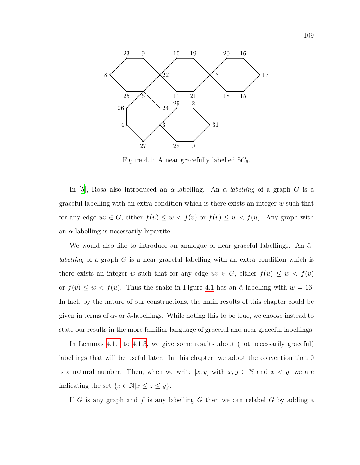<span id="page-121-0"></span>

Figure 4.1: A near gracefully labelled  $5C_6$ .

In [[5\]](#page-141-0), Rosa also introduced an  $\alpha$ -labelling. An  $\alpha$ -labelling of a graph *G* is a graceful labelling with an extra condition which is there exists an integer *w* such that for any edge  $uv \in G$ , either  $f(u) \leq w < f(v)$  or  $f(v) \leq w < f(u)$ . Any graph with an  $\alpha$ -labelling is necessarily bipartite.

We would also like to introduce an analogue of near graceful labellings. An *α*ˆ*labelling* of a graph *G* is a near graceful labelling with an extra condition which is there exists an integer *w* such that for any edge  $uv \in G$ , either  $f(u) \leq w < f(v)$ or  $f(v) \leq w < f(u)$ . Thus the snake in Figure [4.1](#page-121-0) has an  $\hat{\alpha}$ -labelling with  $w = 16$ . In fact, by the nature of our constructions, the main results of this chapter could be given in terms of  $\alpha$ - or  $\hat{\alpha}$ -labellings. While noting this to be true, we choose instead to state our results in the more familiar language of graceful and near graceful labellings.

In Lemmas [4.1.1](#page-122-0) to [4.1.3](#page-122-1), we give some results about (not necessarily graceful) labellings that will be useful later. In this chapter, we adopt the convention that 0 is a natural number. Then, when we write  $[x, y]$  with  $x, y \in \mathbb{N}$  and  $x < y$ , we are indicating the set  $\{z \in \mathbb{N} | x \leq z \leq y\}.$ 

If *G* is any graph and *f* is any labelling *G* then we can relabel *G* by adding a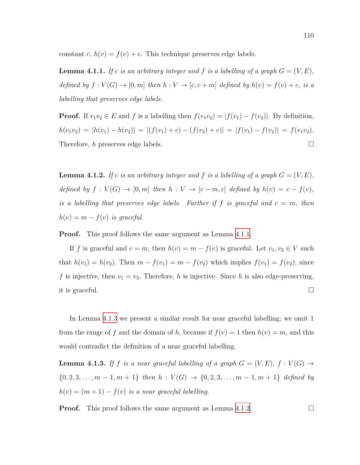constant *c*,  $h(v) = f(v) + c$ . This technique preserves edge labels.

<span id="page-122-0"></span>**Lemma 4.1.1.** If *c* is an arbitrary integer and f is a labelling of a graph  $G = (V, E)$ , *defined by*  $f: V(G) \to [0, m]$  *then*  $h: V \to [c, c+m]$  *defined by*  $h(v) = f(v) + c$ *, is a labelling that preserves edge labels.*

**Proof.** If  $v_1v_2 \in E$  and  $f$  is a labelling then  $f(v_1v_2) = |f(v_1) - f(v_2)|$ . By definition,  $h(v_1v_2) = |h(v_1) - h(v_2)| = |(f(v_1) + c) - (f(v_2) + c)| = |f(v_1) - f(v_2)| = f(v_1v_2).$ Therefore, *h* preserves edge labels. □

<span id="page-122-2"></span>**Lemma 4.1.2.** If c is an arbitrary integer and f is a labelling of a graph  $G = (V, E)$ , defined by  $f: V(G) \to [0, m]$  then  $h: V \to [c-m, c]$  defined by  $h(v) = c - f(v)$ , *is a labelling that preserves edge labels. Further if*  $f$  *is graceful and*  $c = m$ *, then*  $h(v) = m - f(v)$  *is graceful.* 

**Proof.** This proof follows the same argument as Lemma [4.1.1.](#page-122-0)

If *f* is graceful and  $c = m$ , then  $h(v) = m - f(v)$  is graceful. Let  $v_1, v_2 \in V$  such that  $h(v_1) = h(v_2)$ . Then  $m - f(v_1) = m - f(v_2)$  which implies  $f(v_1) = f(v_2)$ ; since *f* is injective, then  $v_1 = v_2$ . Therefore, *h* is injective. Since *h* is also edge-preserving, it is graceful.

In Lemma [4.1.3](#page-122-1) we present a similar result for near graceful labelling; we omit 1 from the range of f and the domain of h, because if  $f(v) = 1$  then  $h(v) = m$ , and this would contradict the definition of a near graceful labelling.

<span id="page-122-1"></span>**Lemma 4.1.3.** *If f is a near graceful labelling of a graph*  $G = (V, E), f : V(G) \rightarrow$ *{*0*,* 2*,* 3*, . . . , m −* 1*, m* + 1*} then h* : *V* (*G*) *→ {*0*,* 2*,* 3*, . . . , m −* 1*, m* + 1*} defined by*  $h(v) = (m + 1) - f(v)$  *is a near graceful labelling.* 

**Proof.** This proof follows the same argument as Lemma [4.1.2.](#page-122-2)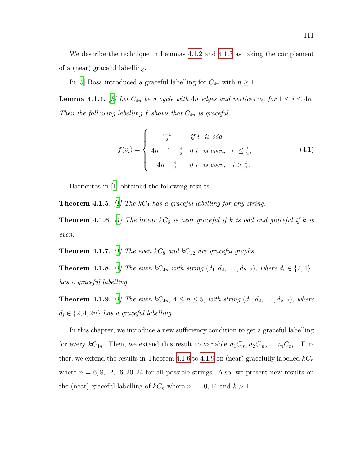We describe the technique in Lemmas [4.1.2](#page-122-2) and [4.1.3](#page-122-1) as taking the complement of a (near) graceful labelling.

In [\[5](#page-141-0)] Rosa introduced a graceful labelling for  $C_{4n}$  with  $n \geq 1$ .

<span id="page-123-2"></span>**Lemma 4.1.4.** [\[5](#page-141-0)] Let  $C_{4n}$  be a cycle with 4*n* edges and vertices  $v_i$ , for  $1 \leq i \leq 4n$ . *Then the following labelling*  $f$  *shows that*  $C_{4n}$  *is graceful:* 

<span id="page-123-3"></span>
$$
f(v_i) = \begin{cases} \frac{i-1}{2} & if \ i \ is \ odd, \\ 4n+1-\frac{i}{2} & if \ i \ is \ even, \ i \le \frac{t}{2}, \\ 4n-\frac{i}{2} & if \ i \ is \ even, \ i > \frac{t}{2}. \end{cases}
$$
(4.1)

Barrientos in[[1\]](#page-141-2) obtained the following results.

<span id="page-123-4"></span><span id="page-123-0"></span>**Theorem 4.1.5.** *[\[1](#page-141-2)] The kC*<sup>4</sup> *has a graceful labelling for any string.*

**Theorem 4.1.6.** [\[1](#page-141-2)] The linear  $kC_6$  is near graceful if k is odd and graceful if k is *even.*

**Theorem 4.1.7.** [\[1](#page-141-2)] The even  $kC_8$  and  $kC_{12}$  are graceful graphs.

**Theorem 4.1.8.** [\[1](#page-141-2)] The even  $kC_{4n}$  with string  $(d_1, d_2, ..., d_{k-2})$ , where  $d_i \in \{2, 4\}$ , *has a graceful labelling.*

<span id="page-123-1"></span>**Theorem 4.[1](#page-141-2).9.** [1] The even  $kC_{4n}$ ,  $4 ≤ n ≤ 5$ *, with string*  $(d_1, d_2, \ldots, d_{k-2})$ *, where*  $d_i \in \{2, 4, 2n\}$  *has a graceful labelling.* 

In this chapter, we introduce a new sufficiency condition to get a graceful labelling for every  $kC_{4n}$ . Then, we extend this result to variable  $n_1C_{m_1}n_2C_{m_2}\ldots n_iC_{m_i}$ . Fur-ther, we extend the results in Theorem [4.1.6](#page-123-0) to [4.1.9](#page-123-1) on (near) gracefully labelled  $kC_n$ where  $n = 6, 8, 12, 16, 20, 24$  for all possible strings. Also, we present new results on the (near) graceful labelling of  $kC_n$  where  $n = 10, 14$  and  $k > 1$ .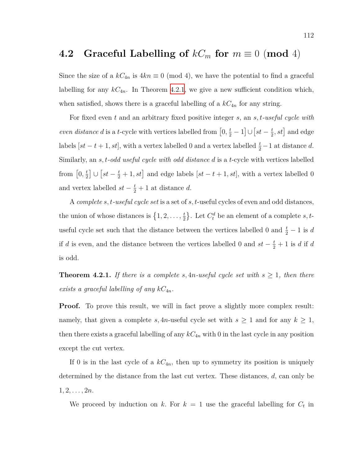#### <span id="page-124-1"></span>**4.2** Graceful Labelling of  $kC_m$  for  $m \equiv 0 \pmod{4}$

Since the size of a  $kC_{4n}$  is  $4kn \equiv 0 \pmod{4}$ , we have the potential to find a graceful labelling for any  $kC_{4n}$ . In Theorem [4.2.1,](#page-124-0) we give a new sufficient condition which, when satisfied, shows there is a graceful labelling of a  $kC_{4n}$  for any string.

For fixed even *t* and an arbitrary fixed positive integer *s*, an *s, t-useful cycle with even distance d* is a *t*-cycle with vertices labelled from  $[0, \frac{t}{2} - 1] \cup [st - \frac{t}{2}]$  $(\frac{t}{2}, st]$  and edge labels  $[st - t + 1, st]$ , with a vertex labelled 0 and a vertex labelled  $\frac{t}{2} - 1$  at distance *d*. Similarly, an *s, t-odd useful cycle with odd distance d* is a *t*-cycle with vertices labelled from  $\left[0, \frac{t}{2}\right]$  $\frac{t}{2}$   $\cup$   $\left[ st - \frac{t}{2} + 1, st \right]$  and edge labels  $[st - t + 1, st]$ , with a vertex labelled 0 and vertex labelled  $st - \frac{t}{2} + 1$  at distance *d*.

A *complete s, t-useful cycle set* is a set of *s, t*-useful cycles of even and odd distances, the union of whose distances is  $\{1, 2, \ldots, \frac{t}{2}\}$  $\left\{ \frac{t}{2} \right\}$ . Let  $C_t^d$  be an element of a complete *s*, *t*useful cycle set such that the distance between the vertices labelled 0 and  $\frac{t}{2} - 1$  is *d* if *d* is even, and the distance between the vertices labelled 0 and  $st - \frac{t}{2} + 1$  is *d* if *d* is odd.

<span id="page-124-0"></span>**Theorem 4.2.1.** *If there is a complete s, 4n-useful cycle set with*  $s \geq 1$ *, then there exists a graceful labelling of any*  $kC_{4n}$ *.* 

**Proof.** To prove this result, we will in fact prove a slightly more complex result: namely, that given a complete *s*, 4*n*-useful cycle set with  $s \ge 1$  and for any  $k \ge 1$ , then there exists a graceful labelling of any  $kC_{4n}$  with 0 in the last cycle in any position except the cut vertex.

If 0 is in the last cycle of a  $kC_{4n}$ , then up to symmetry its position is uniquely determined by the distance from the last cut vertex. These distances, *d*, can only be  $1, 2, \ldots, 2n$ .

We proceed by induction on *k*. For  $k = 1$  use the graceful labelling for  $C_t$  in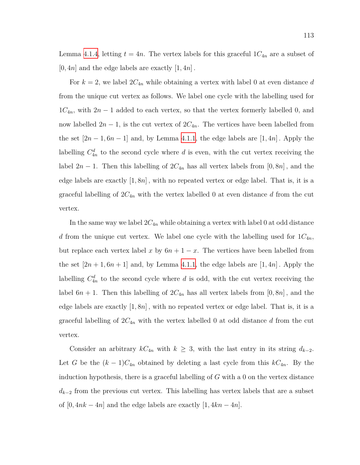For  $k = 2$ , we label  $2C_{4n}$  while obtaining a vertex with label 0 at even distance d from the unique cut vertex as follows. We label one cycle with the labelling used for  $1C_{4n}$ , with  $2n-1$  added to each vertex, so that the vertex formerly labelled 0, and now labelled  $2n - 1$ , is the cut vertex of  $2C_{4n}$ . The vertices have been labelled from the set  $[2n-1, 6n-1]$  and, by Lemma [4.1.1,](#page-122-0) the edge labels are  $[1, 4n]$ . Apply the labelling  $C_{4n}^d$  to the second cycle where *d* is even, with the cut vertex receiving the label  $2n - 1$ . Then this labelling of  $2C_{4n}$  has all vertex labels from [0*,* 8*n*], and the edge labels are exactly [1*,* 8*n*] *,* with no repeated vertex or edge label. That is, it is a graceful labelling of  $2C_{4n}$  with the vertex labelled 0 at even distance d from the cut vertex.

In the same way we label  $2C_{4n}$  while obtaining a vertex with label 0 at odd distance *d* from the unique cut vertex. We label one cycle with the labelling used for 1*C*4*n*, but replace each vertex label x by  $6n + 1 - x$ . The vertices have been labelled from the set  $[2n+1, 6n+1]$  and, by Lemma [4.1.1](#page-122-0), the edge labels are  $[1, 4n]$ . Apply the labelling  $C_{4n}^d$  to the second cycle where *d* is odd, with the cut vertex receiving the label  $6n + 1$ . Then this labelling of  $2C_{4n}$  has all vertex labels from  $[0, 8n]$ , and the edge labels are exactly  $[1, 8n]$ , with no repeated vertex or edge label. That is, it is a graceful labelling of 2*C*4*<sup>n</sup>* with the vertex labelled 0 at odd distance *d* from the cut vertex.

Consider an arbitrary  $kC_{4n}$  with  $k \geq 3$ , with the last entry in its string  $d_{k-2}$ . Let *G* be the  $(k-1)C_{4n}$  obtained by deleting a last cycle from this  $kC_{4n}$ . By the induction hypothesis, there is a graceful labelling of *G* with a 0 on the vertex distance  $d_{k-2}$  from the previous cut vertex. This labelling has vertex labels that are a subset of  $[0, 4nk - 4n]$  and the edge labels are exactly  $[1, 4kn - 4n]$ .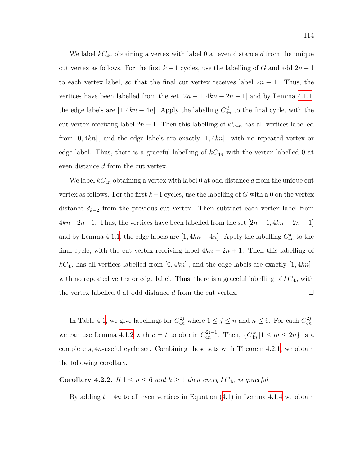We label  $kC_{4n}$  obtaining a vertex with label 0 at even distance  $d$  from the unique cut vertex as follows. For the first  $k-1$  cycles, use the labelling of *G* and add  $2n-1$ to each vertex label, so that the final cut vertex receives label  $2n - 1$ . Thus, the vertices have been labelled from the set  $[2n - 1, 4kn - 2n - 1]$  and by Lemma [4.1.1,](#page-122-0) the edge labels are  $[1, 4kn - 4n]$ . Apply the labelling  $C_{4n}^d$  to the final cycle, with the cut vertex receiving label  $2n - 1$ . Then this labelling of  $kC_{4n}$  has all vertices labelled from [0*,* 4*kn*] *,* and the edge labels are exactly [1*,* 4*kn*] *,* with no repeated vertex or edge label. Thus, there is a graceful labelling of  $kC_{4n}$  with the vertex labelled 0 at even distance *d* from the cut vertex.

We label *kC*4*<sup>n</sup>* obtaining a vertex with label 0 at odd distance *d* from the unique cut vertex as follows. For the first *k−*1 cycles, use the labelling of *G* with a 0 on the vertex distance *d<sup>k</sup>−*<sup>2</sup> from the previous cut vertex. Then subtract each vertex label from  $4kn-2n+1$ . Thus, the vertices have been labelled from the set  $[2n+1, 4kn-2n+1]$ and by Lemma [4.1.1,](#page-122-0) the edge labels are  $[1, 4kn - 4n]$ . Apply the labelling  $C_{4n}^d$  to the final cycle, with the cut vertex receiving label  $4kn - 2n + 1$ . Then this labelling of  $kC_{4n}$  has all vertices labelled from  $[0, 4kn]$ , and the edge labels are exactly  $[1, 4kn]$ , with no repeated vertex or edge label. Thus, there is a graceful labelling of  $kC_{4n}$  with the vertex labelled 0 at odd distance *d* from the cut vertex.

In Table [4.1,](#page-127-0) we give labellings for  $C_{4n}^{2j}$  where  $1 \leq j \leq n$  and  $n \leq 6$ . For each  $C_{4n}^{2j}$ 4*n* , we can use Lemma [4.1.2](#page-122-2) with  $c = t$  to obtain  $C_{4n}^{2j-1}$ . Then,  $\{C_{4n}^{m} | 1 \leq m \leq 2n\}$  is a complete *s,* 4*n*-useful cycle set. Combining these sets with Theorem [4.2.1,](#page-124-0) we obtain the following corollary.

**Corollary 4.2.2.** *If*  $1 \le n \le 6$  *and*  $k \ge 1$  *then every*  $kC_{4n}$  *is graceful.* 

By adding  $t - 4n$  to all even vertices in Equation ([4.1\)](#page-123-3) in Lemma [4.1.4](#page-123-2) we obtain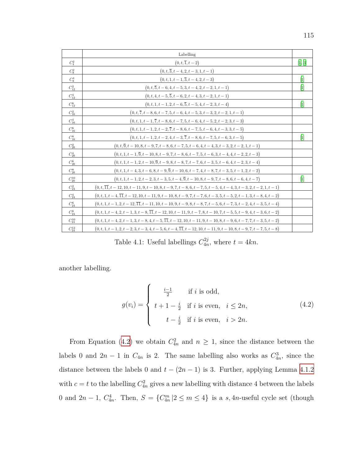<span id="page-127-0"></span>

|                         | Labelling                                                                                                        |        |
|-------------------------|------------------------------------------------------------------------------------------------------------------|--------|
| $C_4^2$                 | $(0,t,\overline{1},t-2)$                                                                                         | [1, 3] |
| $\mathbb{C}^2_8$        | $(0, t, \overline{3}, t - 4, 2, t - 3, 1, t - 1)$                                                                |        |
| $C_8^4$                 | $(0, t, 1, t-1, \overline{3}, t-4, 2, t-3)$                                                                      | $[1]$  |
| $\mathbb{C}^2_{12}$     | $(0, t, \overline{5}, t - 6, 4, t - 5, 3, t - 4, 2, t - 2, 1, t - 1)$                                            | $[1]$  |
| ${\cal C}_{12}^4$       | $(0, t, 4, t-5, \overline{5}, t-6, 2, t-4, 3, t-2, 1, t-1)$                                                      |        |
| $C_{12}^6$              | $(0, t, 1, t-1, 2, t-6, \overline{5}, t-5, 4, t-2, 3, t-4)$                                                      | $[1]$  |
| $\mathcal{C}_{16}^2$    | $(0, t, \overline{7}, t - 8, 6, t - 7, 5, t - 6, 4, t - 5, 3, t - 3, 2, t - 2, 1, t - 1)$                        |        |
| ${\cal C}_{16}^4$       | $(0, t, 1, t-1, \overline{7}, t-8, 6, t-7, 5, t-6, 4, t-5, 2, t-2, 3, t-3)$                                      |        |
| $C_{16}^6\,$            | $(0, t, 1, t-1, 2, t-2, \overline{7}, t-8, 6, t-7, 5, t-6, 4, t-3, 3, t-5)$                                      |        |
| $C_{\rm 16}^{\rm 8}$    | $(0, t, 1, t-1, 2, t-2, 4, t-3, \overline{7}, t-8, 6, t-7, 5, t-6, 3, t-5)$                                      | $[1]$  |
| $\mathbb{C}^2_{20}$     | $(0, t, \overline{9}, t - 10, 8, t - 9, 7, t - 8, 6, t - 7, 5, t - 6, 4, t - 4, 3, t - 3, 2, t - 2, 1, t - 1)$   |        |
| ${\cal C}_{20}^4$       | $(0, t, 1, t-1, \overline{9}, t-10, 8, t-9, 7, t-8, 6, t-7, 5, t-6, 3, t-4, 4, t-2, 2, t-3)$                     |        |
| $C_{20}^6\,$            | $(0, t, 1, t-1, 2, t-10, \overline{9}, t-9, 8, t-8, 7, t-7, 6, t-3, 5, t-6, 4, t-2, 3, t-4)$                     |        |
| $\mathbb{C}_{20}^8$     | $(0, t, 1, t-4, 3, t-6, 8, t-9, \overline{9}, t-10, 6, t-7, 4, t-8, 7, t-3, 5, t-1, 2, t-2)$                     |        |
| $C_{\rm 20}^{\rm 10}$   | $(0, t, 1, t-1, 2, t-2, 3, t-3, 5, t-4, \overline{9}, t-10, 8, t-9, 7, t-8, 6, t-6, 4, t-7)$                     | 11     |
| $\mathbb{C}^2_{24}$     | $(0, t, \overline{11}, t-12, 10, t-11, 9, t-10, 8, t-9, 7, t-8, 6, t-7, 5, t-5, 4, t-4, 3, t-3, 2, t-2, 1, t-1)$ |        |
| $\mathcal{C}_{24}^4$    | $(0, t, 1, t-4, \overline{11}, t-12, 10, t-11, 9, t-10, 8, t-9, 7, t-7, 6, t-3, 5, t-5, 2, t-1, 3, t-8, 4, t-2)$ |        |
| $C_{24}^6\,$            | $(0, t, 1, t-1, 2, t-12, \overline{11}, t-11, 10, t-10, 9, t-9, 8, t-8, 7, t-5, 6, t-7, 3, t-2, 4, t-3, 5, t-4)$ |        |
| $C_{24}^8\,$            | $(0, t, 1, t-4, 2, t-1, 3, t-8, \overline{11}, t-12, 10, t-11, 9, t-7, 8, t-10, 7, t-5, 5, t-9, 4, t-3, 6, t-2)$ |        |
| ${\cal C}^{10}_{24}$    | $(0, t, 1, t-4, 2, t-1, 3, t-8, 4, t-5, \overline{11}, t-12, 10, t-11, 9, t-10, 8, t-9, 6, t-7, 7, t-3, 5, t-2)$ |        |
| $\mathcal{C}^{12}_{24}$ | $(0, t, 1, t-1, 2, t-2, 3, t-3, 4, t-5, 6, t-4, \overline{11}, t-12, 10, t-11, 9, t-10, 8, t-9, 7, t-7, 5, t-8)$ |        |

<span id="page-127-1"></span>Table 4.1: Useful labellings  $C_{4n}^{2j}$  $u_{4n}^{2j}$ , where  $t = 4kn$ .

another labelling.

$$
g(v_i) = \begin{cases} \frac{i-1}{2} & \text{if } i \text{ is odd,} \\ t+1-\frac{i}{2} & \text{if } i \text{ is even,} \quad i \le 2n, \\ t-\frac{i}{2} & \text{if } i \text{ is even,} \quad i > 2n. \end{cases} \tag{4.2}
$$

From Equation [\(4.2](#page-127-1)) we obtain  $C_{4n}^2$  and  $n \geq 1$ , since the distance between the labels 0 and  $2n - 1$  in  $C_{4n}$  is 2. The same labelling also works as  $C_{4n}^3$ , since the distance between the labels 0 and  $t - (2n - 1)$  is 3. Further, applying Lemma [4.1.2](#page-122-2) with  $c = t$  to the labelling  $C_{4n}^2$  gives a new labelling with distance 4 between the labels 0 and  $2n - 1$ ,  $C_{4n}^4$ . Then,  $S = \{C_{4n}^m | 2 \le m \le 4\}$  is a  $s, 4n$ -useful cycle set (though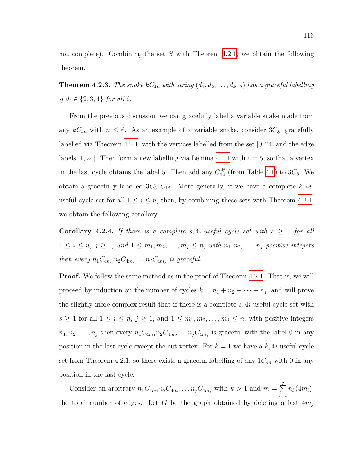not complete). Combining the set *S* with Theorem [4.2.1](#page-124-0), we obtain the following theorem.

**Theorem 4.2.3.** *The snake*  $kC_{4n}$  *with string*  $(d_1, d_2, \ldots, d_{k-2})$  *has a graceful labelling if*  $d_i \in \{2, 3, 4\}$  *for all i.* 

From the previous discussion we can gracefully label a variable snake made from any  $kC_{4n}$  with  $n \leq 6$ . As an example of a variable snake, consider 3 $C_8$ , gracefully labelled via Theorem [4.2.1,](#page-124-0) with the vertices labelled from the set [0*,* 24] and the edge labels  $[1, 24]$ . Then form a new labelling via Lemma [4.1.1](#page-122-0) with  $c = 5$ , so that a vertex in the last cycle obtains the label 5. Then add any  $C_{12}^{2j}$  (from Table [4.1](#page-127-0)) to  $3C_8$ . We obtain a gracefully labelled  $3C_81C_{12}$ . More generally, if we have a complete  $k, 4i$ useful cycle set for all  $1 \leq i \leq n$ , then, by combining these sets with Theorem [4.2.1,](#page-124-0) we obtain the following corollary.

**Corollary 4.2.4.** *If there is a complete*  $s$ ,  $4i$ *-useful cycle set with*  $s \geq 1$  *for all*  $1 \leq i \leq n, j \geq 1, and 1 \leq m_1, m_2, \ldots, m_j \leq n, with n_1, n_2, \ldots, n_j$  positive integers *then every*  $n_1C_{4m_1}n_2C_{4m_2} \ldots n_jC_{4m_j}$  *is graceful.* 

**Proof.** We follow the same method as in the proof of Theorem [4.2.1.](#page-124-0) That is, we will proceed by induction on the number of cycles  $k = n_1 + n_2 + \cdots + n_j$ , and will prove the slightly more complex result that if there is a complete *s,* 4*i*-useful cycle set with *s* ≥ 1 for all  $1 \leq i \leq n, j \geq 1$ , and  $1 \leq m_1, m_2, \ldots, m_j \leq n$ , with positive integers  $n_1, n_2, \ldots, n_j$  then every  $n_1 C_{4m_1} n_2 C_{4m_2} \ldots n_j C_{4m_j}$  is graceful with the label 0 in any position in the last cycle except the cut vertex. For  $k = 1$  we have a  $k$ , 4*i*-useful cycle set from Theorem [4.2.1](#page-124-0), so there exists a graceful labelling of any  $1C_{4n}$  with 0 in any position in the last cycle.

Consider an arbitrary  $n_1 C_{4m_1} n_2 C_{4m_2} \ldots n_j C_{4m_j}$  with  $k > 1$  and  $m = \sum_{i=1}^{j}$ *l*=1 *n<sup>l</sup>* (4*ml*), the total number of edges. Let *G* be the graph obtained by deleting a last  $4m_j$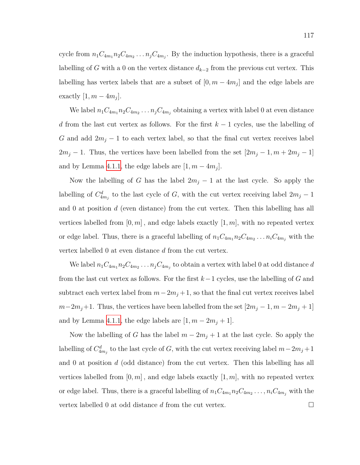cycle from  $n_1 C_{4m_1} n_2 C_{4m_2} \ldots n_j C_{4m_j}$ . By the induction hypothesis, there is a graceful labelling of *G* with a 0 on the vertex distance *d<sup>k</sup>−*<sup>2</sup> from the previous cut vertex. This labelling has vertex labels that are a subset of  $[0, m - 4m_j]$  and the edge labels are exactly  $[1, m - 4m_j]$ .

We label  $n_1 C_{4m_1} n_2 C_{4m_2} \ldots n_j C_{4m_j}$  obtaining a vertex with label 0 at even distance *d* from the last cut vertex as follows. For the first *k −* 1 cycles, use the labelling of *G* and add  $2m_j - 1$  to each vertex label, so that the final cut vertex receives label  $2m_j - 1$ . Thus, the vertices have been labelled from the set  $[2m_j - 1, m + 2m_j - 1]$ and by Lemma [4.1.1](#page-122-0), the edge labels are  $[1, m - 4m_j]$ .

Now the labelling of *G* has the label  $2m_j - 1$  at the last cycle. So apply the labelling of  $C_{4m_j}^d$  to the last cycle of *G*, with the cut vertex receiving label  $2m_j - 1$ and 0 at position *d* (even distance) from the cut vertex. Then this labelling has all vertices labelled from  $[0, m]$ , and edge labels exactly  $[1, m]$ , with no repeated vertex or edge label. Thus, there is a graceful labelling of  $n_1 C_{4m_1} n_2 C_{4m_2} \ldots n_i C_{4m_j}$  with the vertex labelled 0 at even distance *d* from the cut vertex.

We label  $n_1 C_{4m_1} n_2 C_{4m_2} \ldots n_j C_{4m_j}$  to obtain a vertex with label 0 at odd distance *d* from the last cut vertex as follows. For the first *k−*1 cycles, use the labelling of *G* and subtract each vertex label from  $m-2m_j+1$ , so that the final cut vertex receives label *m*−2*m*<sup>*j*</sup>+1. Thus, the vertices have been labelled from the set  $[2m_j - 1, m - 2m_j + 1]$ and by Lemma [4.1.1](#page-122-0), the edge labels are  $[1, m - 2m_j + 1]$ .

Now the labelling of *G* has the label  $m - 2m_j + 1$  at the last cycle. So apply the labelling of  $C_{4m_j}^d$  to the last cycle of *G*, with the cut vertex receiving label  $m-2m_j+1$ and 0 at position *d* (odd distance) from the cut vertex. Then this labelling has all vertices labelled from  $[0, m]$ , and edge labels exactly  $[1, m]$ , with no repeated vertex or edge label. Thus, there is a graceful labelling of  $n_1 C_{4m_1} n_2 C_{4m_2} \ldots, n_i C_{4m_j}$  with the vertex labelled 0 at odd distance *d* from the cut vertex.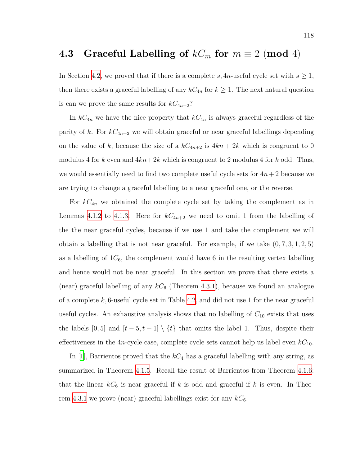#### <span id="page-130-0"></span>**4.3** Graceful Labelling of  $kC_m$  for  $m \equiv 2 \pmod{4}$

In Section [4.2,](#page-124-1) we proved that if there is a complete  $s$ ,  $4n$ -useful cycle set with  $s \geq 1$ , then there exists a graceful labelling of any  $kC_{4n}$  for  $k \geq 1$ . The next natural question is can we prove the same results for  $kC_{4n+2}$ ?

In  $k_{4n}$  we have the nice property that  $k_{4n}$  is always graceful regardless of the parity of *k*. For  $kC_{4n+2}$  we will obtain graceful or near graceful labellings depending on the value of *k*, because the size of a  $kC_{4n+2}$  is  $4kn + 2k$  which is congruent to 0 modulus 4 for *k* even and  $4kn+2k$  which is congruent to 2 modulus 4 for *k* odd. Thus, we would essentially need to find two complete useful cycle sets for  $4n + 2$  because we are trying to change a graceful labelling to a near graceful one, or the reverse.

For  $k_{4n}$  we obtained the complete cycle set by taking the complement as in Lemmas [4.1.2](#page-122-2) to [4.1.3.](#page-122-1) Here for  $kC_{4n+2}$  we need to omit 1 from the labelling of the the near graceful cycles, because if we use 1 and take the complement we will obtain a labelling that is not near graceful. For example, if we take (0*,* 7*,* 3*,* 1*,* 2*,* 5) as a labelling of  $1C_6$ , the complement would have 6 in the resulting vertex labelling and hence would not be near graceful. In this section we prove that there exists a (near) graceful labelling of any *kC*<sup>6</sup> (Theorem [4.3.1\)](#page-131-0), because we found an analogue of a complete *k,* 6-useful cycle set in Table [4.2,](#page-131-1) and did not use 1 for the near graceful useful cycles. An exhaustive analysis shows that no labelling of  $C_{10}$  exists that uses the labels  $[0, 5]$  and  $[t - 5, t + 1] \setminus \{t\}$  that omits the label 1. Thus, despite their effectiveness in the  $4n$ -cycle case, complete cycle sets cannot help us label even  $kC_{10}$ .

In [\[1](#page-141-2)], Barrientos proved that the *kC*<sup>4</sup> has a graceful labelling with any string, as summarized in Theorem [4.1.5](#page-123-4). Recall the result of Barrientos from Theorem [4.1.6:](#page-123-0) that the linear  $k_6$  is near graceful if *k* is odd and graceful if *k* is even. In Theo-rem [4.3.1](#page-131-0) we prove (near) graceful labellings exist for any  $kC_6$ .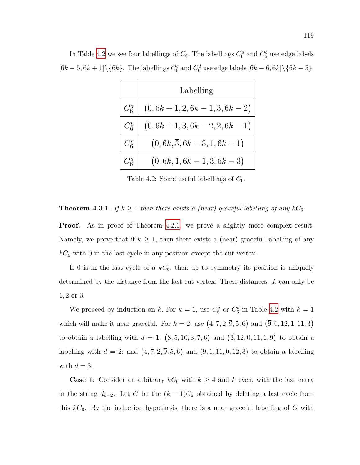<span id="page-131-1"></span>In Table [4.2](#page-131-1) we see four labellings of  $C_6$ . The labellings  $C_6^a$  and  $C_6^b$  use edge labels  $[6k-5, 6k+1] \setminus \{6k\}$ . The labellings  $C_6^c$  and  $C_6^d$  use edge labels  $[6k-6, 6k] \setminus \{6k-5\}$ .

|              | Labelling                                |
|--------------|------------------------------------------|
| $C_6^a$      | $(0, 6k+1, 2, 6k-1, \overline{3}, 6k-2)$ |
| $C_6^b$      | $(0, 6k+1, \overline{3}, 6k-2, 2, 6k-1)$ |
| $C_6^c$      | $(0, 6k, \overline{3}, 6k-3, 1, 6k-1)$   |
| $C^d_\kappa$ | $(0, 6k, 1, 6k-1, \overline{3}, 6k-3)$   |

Table 4.2: Some useful labellings of  $C_6$ .

<span id="page-131-0"></span>**Theorem 4.3.1.** *If*  $k \geq 1$  *then there exists a (near) graceful labelling of any*  $kC_6$ *.* 

**Proof.** As in proof of Theorem [4.2.1](#page-124-0), we prove a slightly more complex result. Namely, we prove that if  $k \geq 1$ , then there exists a (near) graceful labelling of any  $k_6$  with 0 in the last cycle in any position except the cut vertex.

If 0 is in the last cycle of a  $kC_6$ , then up to symmetry its position is uniquely determined by the distance from the last cut vertex. These distances, *d*, can only be 1*,* 2 or 3*.*

We proceed by induction on *k*. For  $k = 1$ , use  $C_6^a$  or  $C_6^b$  in Table [4.2](#page-131-1) with  $k = 1$ which will make it near graceful. For  $k = 2$ , use  $(4, 7, 2, \overline{9}, 5, 6)$  and  $(\overline{9}, 0, 12, 1, 11, 3)$ to obtain a labelling with  $d = 1$ ;  $(8, 5, 10, \overline{3}, 7, 6)$  and  $(\overline{3}, 12, 0, 11, 1, 9)$  to obtain a labelling with  $d = 2$ ; and  $(4, 7, 2, 9, 5, 6)$  and  $(9, 1, 11, 0, 12, 3)$  to obtain a labelling with  $d = 3$ .

**Case 1**: Consider an arbitrary  $kC_6$  with  $k \geq 4$  and  $k$  even, with the last entry in the string  $d_{k-2}$ . Let *G* be the  $(k-1)C_6$  obtained by deleting a last cycle from this  $k\mathbb{C}_6$ . By the induction hypothesis, there is a near graceful labelling of *G* with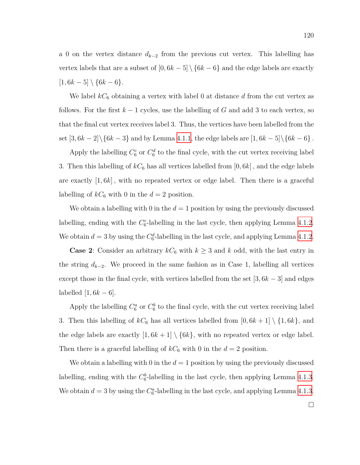a 0 on the vertex distance *d<sup>k</sup>−*<sup>2</sup> from the previous cut vertex. This labelling has vertex labels that are a subset of  $[0, 6k - 5] \setminus \{6k - 6\}$  and the edge labels are exactly [1*,* 6*k −* 5] *\ {*6*k −* 6*}*.

We label  $k_6$  obtaining a vertex with label 0 at distance  $d$  from the cut vertex as follows. For the first  $k-1$  cycles, use the labelling of  $G$  and add 3 to each vertex, so that the final cut vertex receives label 3. Thus, the vertices have been labelled from the set  $[3, 6k - 2] \setminus \{6k - 3\}$  and by Lemma [4.1.1,](#page-122-0) the edge labels are  $[1, 6k - 5] \setminus \{6k - 6\}$ .

Apply the labelling  $C_6^c$  or  $C_6^d$  to the final cycle, with the cut vertex receiving label 3. Then this labelling of  $kC_6$  has all vertices labelled from  $[0, 6k]$ , and the edge labels are exactly [1*,* 6*k*] *,* with no repeated vertex or edge label. Then there is a graceful labelling of  $kC_6$  with 0 in the  $d = 2$  position.

We obtain a labelling with 0 in the  $d = 1$  position by using the previously discussed labelling, ending with the  $C_6^c$ -labelling in the last cycle, then applying Lemma [4.1.2.](#page-122-2) We obtain  $d = 3$  by using the  $C_6^d$ -labelling in the last cycle, and applying Lemma [4.1.2.](#page-122-2)

**Case 2**: Consider an arbitrary  $kC_6$  with  $k \geq 3$  and  $k$  odd, with the last entry in the string  $d_{k-2}$ . We proceed in the same fashion as in Case 1, labelling all vertices except those in the final cycle, with vertices labelled from the set [3*,* 6*k −* 3] and edges labelled  $[1, 6k - 6]$ .

Apply the labelling  $C_6^a$  or  $C_6^b$  to the final cycle, with the cut vertex receiving label 3. Then this labelling of  $kC_6$  has all vertices labelled from  $[0, 6k + 1] \setminus \{1, 6k\}$ , and the edge labels are exactly  $[1, 6k + 1] \setminus \{6k\}$ , with no repeated vertex or edge label. Then there is a graceful labelling of  $kC_6$  with 0 in the  $d = 2$  position.

We obtain a labelling with 0 in the  $d = 1$  position by using the previously discussed labelling, ending with the  $C_6^b$ -labelling in the last cycle, then applying Lemma [4.1.3.](#page-122-1) We obtain  $d = 3$  by using the  $C_6^a$ -labelling in the last cycle, and applying Lemma [4.1.3.](#page-122-1)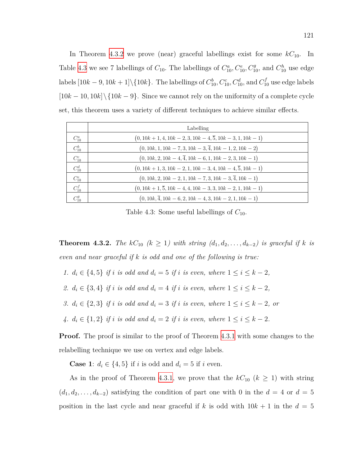In Theorem [4.3.2](#page-133-0) we prove (near) graceful labellings exist for some  $k_0$ . In Table [4.3](#page-133-1) we see 7 labellings of  $C_{10}$ . The labellings of  $C_{10}^a$ ,  $C_{10}^e$ ,  $C_{10}^g$ , and  $C_{10}^h$  use edge  $\text{labels [10}k − 9, 10k + 1]\setminus\{10k\}.$  The labellings of  $C_{10}^b, C_{10}^c, C_{10}^d,$  and  $C_{10}^f$  use edge labels [10*k −* 10*,* 10*k*]*\{*10*k −* 9*}*. Since we cannot rely on the uniformity of a complete cycle set, this theorem uses a variety of different techniques to achieve similar effects.

<span id="page-133-1"></span>

|            | Labelling                                                                 |
|------------|---------------------------------------------------------------------------|
| $C_{10}^a$ | $(0, 10k + 1, 4, 10k - 2, 3, 10k - 4, 5, 10k - 3, 1, 10k - 1)$            |
| $C_{10}^b$ | $(0, 10k, 1, 10k - 7, 3, 10k - 3, \overline{4}, 10k - 1, 2, 10k - 2)$     |
| $C_{10}^c$ | $(0, 10k, 2, 10k - 4, \overline{4}, 10k - 6, 1, 10k - 2, 3, 10k - 1)$     |
| $C_{10}^d$ | $(0, 10k + 1, 3, 10k - 2, 1, 10k - 3, 4, 10k - 4, 5, 10k - 1)$            |
| $C_{10}^e$ | $(0, 10k, 2, 10k - 2, 1, 10k - 7, 3, 10k - 3, 4, 10k - 1)$                |
| $C_{10}^f$ | $(0, 10k + 1, \overline{5}, 10k - 4, 4, 10k - 3, 3, 10k - 2, 1, 10k - 1)$ |
| $C_{10}^g$ | $(0, 10k, \overline{4}, 10k - 6, 2, 10k - 4, 3, 10k - 2, 1, 10k - 1)$     |

Table 4.3: Some useful labellings of  $C_{10}$ .

<span id="page-133-0"></span>**Theorem 4.3.2.** *The*  $kC_{10}$  ( $k \geq 1$ ) with string  $(d_1, d_2, \ldots, d_{k-2})$  is graceful if  $k$  is *even and near graceful if k is odd and one of the following is true:*

- *1.*  $d_i \in \{4, 5\}$  *if i is odd and*  $d_i = 5$  *if i is even, where*  $1 \le i \le k 2$ *,*
- *2.*  $d_i \in \{3, 4\}$  *if i is odd and*  $d_i = 4$  *if i is even, where*  $1 \leq i \leq k 2$ *,*
- *3.*  $d_i \in \{2, 3\}$  *if i i s odd and*  $d_i = 3$  *if i i s even, where*  $1 \le i \le k 2$ *, or*
- *4.*  $d_i \in \{1, 2\}$  *if i is odd and*  $d_i = 2$  *if i is even, where*  $1 \le i \le k 2$ *.*

**Proof.** The proof is similar to the proof of Theorem [4.3.1](#page-131-0) with some changes to the relabelling technique we use on vertex and edge labels.

**Case 1**:  $d_i \in \{4, 5\}$  if *i* is odd and  $d_i = 5$  if *i* even.

As in the proof of Theorem [4.3.1,](#page-131-0) we prove that the  $kC_{10}$   $(k \geq 1)$  with string  $(d_1, d_2, \ldots, d_{k-2})$  satisfying the condition of part one with 0 in the  $d = 4$  or  $d = 5$ position in the last cycle and near graceful if *k* is odd with  $10k + 1$  in the  $d = 5$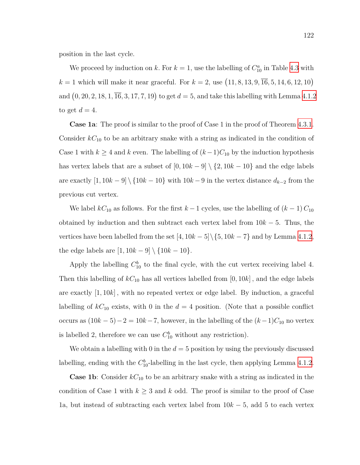position in the last cycle.

We proceed by induction on *k*. For  $k = 1$ , use the labelling of  $C_{10}^a$  in Table [4.3](#page-133-1) with  $k = 1$  which will make it near graceful. For  $k = 2$ , use  $(11, 8, 13, 9, \overline{16}, 5, 14, 6, 12, 10)$ and  $(0, 20, 2, 18, 1, \overline{16}, 3, 17, 7, 19)$  to get  $d = 5$ , and take this labelling with Lemma [4.1.2](#page-122-2) to get  $d = 4$ .

**Case 1a**: The proof is similar to the proof of Case 1 in the proof of Theorem [4.3.1.](#page-131-0) Consider  $kC_{10}$  to be an arbitrary snake with a string as indicated in the condition of Case 1 with  $k \geq 4$  and  $k$  even. The labelling of  $(k-1)C_{10}$  by the induction hypothesis has vertex labels that are a subset of  $[0, 10k - 9] \setminus \{2, 10k - 10\}$  and the edge labels are exactly  $[1, 10k − 9] \ \{10k − 10\}$  with  $10k − 9$  in the vertex distance  $d_{k-2}$  from the previous cut vertex.

We label  $kC_{10}$  as follows. For the first  $k-1$  cycles, use the labelling of  $(k-1)C_{10}$ obtained by induction and then subtract each vertex label from 10*k −* 5. Thus, the vertices have been labelled from the set  $[4, 10k - 5] \setminus \{5, 10k - 7\}$  and by Lemma [4.1.2,](#page-122-2) the edge labels are  $[1, 10k - 9] \setminus \{10k - 10\}.$ 

Apply the labelling  $C_{10}^b$  to the final cycle, with the cut vertex receiving label 4. Then this labelling of *kC*<sup>10</sup> has all vertices labelled from [0*,* 10*k*] *,* and the edge labels are exactly [1*,* 10*k*] *,* with no repeated vertex or edge label. By induction, a graceful labelling of  $k_0$  exists, with 0 in the  $d = 4$  position. (Note that a possible conflict occurs as  $(10k − 5) − 2 = 10k − 7$ , however, in the labelling of the  $(k − 1)C_{10}$  no vertex is labelled 2, therefore we can use  $C_{10}^b$  without any restriction).

We obtain a labelling with 0 in the  $d = 5$  position by using the previously discussed labelling, ending with the  $C_{10}^b$ -labelling in the last cycle, then applying Lemma [4.1.2.](#page-122-2)

**Case 1b:** Consider  $k_0$  to be an arbitrary snake with a string as indicated in the condition of Case 1 with  $k \geq 3$  and  $k$  odd. The proof is similar to the proof of Case 1a, but instead of subtracting each vertex label from 10*k −* 5, add 5 to each vertex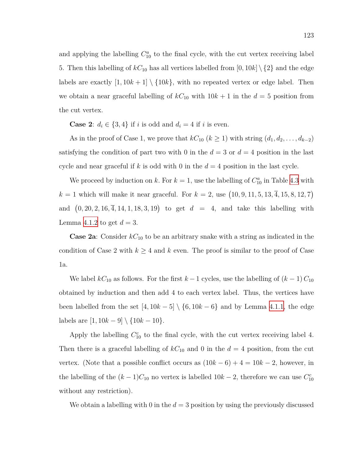and applying the labelling  $C_{10}^a$  to the final cycle, with the cut vertex receiving label 5. Then this labelling of  $kC_{10}$  has all vertices labelled from  $[0, 10k] \setminus \{2\}$  and the edge labels are exactly  $[1, 10k + 1] \setminus \{10k\}$ , with no repeated vertex or edge label. Then we obtain a near graceful labelling of  $kC_{10}$  with  $10k + 1$  in the  $d = 5$  position from the cut vertex.

**Case 2**:  $d_i \in \{3, 4\}$  if *i* is odd and  $d_i = 4$  if *i* is even.

As in the proof of Case 1, we prove that  $kC_{10}$  ( $k \ge 1$ ) with string  $(d_1, d_2, \ldots, d_{k-2})$ satisfying the condition of part two with 0 in the  $d = 3$  or  $d = 4$  position in the last cycle and near graceful if k is odd with 0 in the  $d = 4$  position in the last cycle.

We proceed by induction on *k*. For  $k = 1$ , use the labelling of  $C_{10}^a$  in Table [4.3](#page-133-1) with  $k = 1$  which will make it near graceful. For  $k = 2$ , use  $(10, 9, 11, 5, 13, \overline{4}, 15, 8, 12, 7)$ and  $(0, 20, 2, 16, \overline{4}, 14, 1, 18, 3, 19)$  to get  $d = 4$ , and take this labelling with Lemma [4.1.2](#page-122-2) to get  $d = 3$ .

**Case 2a**: Consider  $k_{10}$  to be an arbitrary snake with a string as indicated in the condition of Case 2 with  $k \geq 4$  and  $k$  even. The proof is similar to the proof of Case 1a.

We label  $kC_{10}$  as follows. For the first  $k-1$  cycles, use the labelling of  $(k-1)C_{10}$ obtained by induction and then add 4 to each vertex label. Thus, the vertices have been labelled from the set  $[4, 10k - 5] \setminus \{6, 10k - 6\}$  and by Lemma [4.1.1](#page-122-0), the edge labels are [1*,* 10*k −* 9] *\ {*10*k −* 10*}*.

Apply the labelling  $C_{10}^c$  to the final cycle, with the cut vertex receiving label 4. Then there is a graceful labelling of  $kC_{10}$  and 0 in the  $d = 4$  position, from the cut vertex. (Note that a possible conflict occurs as  $(10k - 6) + 4 = 10k - 2$ , however, in the labelling of the  $(k-1)C_{10}$  no vertex is labelled  $10k-2$ , therefore we can use  $C_{10}^c$ without any restriction).

We obtain a labelling with 0 in the  $d = 3$  position by using the previously discussed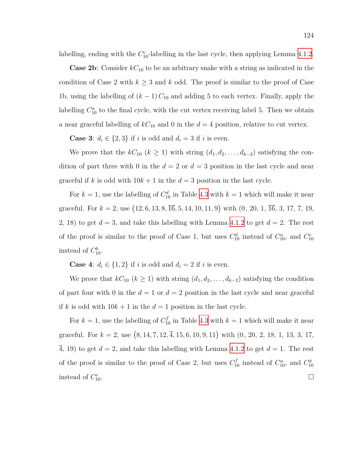labelling, ending with the  $C_{10}^c$ -labelling in the last cycle, then applying Lemma [4.1.2.](#page-122-2)

**Case 2b**: Consider *kC*<sup>10</sup> to be an arbitrary snake with a string as indicated in the condition of Case 2 with  $k \geq 3$  and  $k$  odd. The proof is similar to the proof of Case 1b, using the labelling of  $(k-1)C_{10}$  and adding 5 to each vertex. Finally, apply the labelling  $C_{10}^a$  to the final cycle, with the cut vertex receiving label 5. Then we obtain a near graceful labelling of  $kC_{10}$  and 0 in the  $d = 4$  position, relative to cut vertex.

**Case 3**:  $d_i \in \{2, 3\}$  if *i* is odd and  $d_i = 3$  if *i* is even.

We prove that the  $kC_{10}$  ( $k \ge 1$ ) with string ( $d_1, d_2, \ldots, d_{k-2}$ ) satisfying the condition of part three with 0 in the  $d = 2$  or  $d = 3$  position in the last cycle and near graceful if *k* is odd with  $10k + 1$  in the  $d = 3$  position in the last cycle.

For  $k = 1$ , use the labelling of  $C_{10}^d$  in Table [4.3](#page-133-1) with  $k = 1$  which will make it near graceful. For  $k = 2$ , use  $(12, 6, 13, 8, \overline{16}, 5, 14, 10, 11, 9)$  with  $(0, 20, 1, \overline{16}, 3, 17, 7, 19,$ 2, 18) to get  $d = 3$ , and take this labelling with Lemma [4.1.2](#page-122-2) to get  $d = 2$ . The rest of the proof is similar to the proof of Case 1, but uses  $C_{10}^d$  instead of  $C_{10}^a$ , and  $C_{10}^e$ instead of  $C_{10}^b$ .

**Case 4**:  $d_i \in \{1, 2\}$  if *i* is odd and  $d_i = 2$  if *i* is even.

We prove that  $kC_{10}$  ( $k \ge 1$ ) with string ( $d_1, d_2, \ldots, d_{k-2}$ ) satisfying the condition of part four with 0 in the  $d = 1$  or  $d = 2$  position in the last cycle and near graceful if *k* is odd with  $10k + 1$  in the  $d = 1$  position in the last cycle.

For  $k = 1$ , use the labelling of  $C_{10}^f$  in Table [4.3](#page-133-1) with  $k = 1$  which will make it near graceful. For  $k = 2$ , use  $(8, 14, 7, 12, \overline{4}, 15, 6, 10, 9, 11)$  with  $(0, 20, 2, 18, 1, 13, 3, 17,$  $\overline{4}$ , 19) to get  $d = 2$ , and take this labelling with Lemma [4.1.2](#page-122-2) to get  $d = 1$ . The rest of the proof is similar to the proof of Case 2, but uses  $C_{10}^f$  instead of  $C_{10}^a$ , and  $C_{10}^g$ 10 instead of *C c*  $\Box$ 10.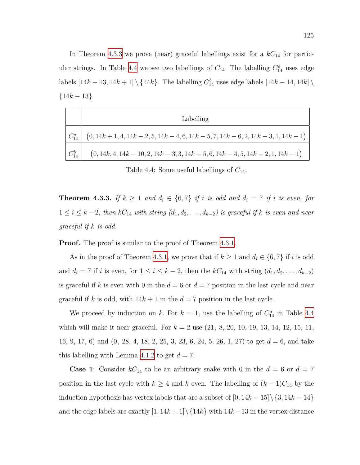In Theorem [4.3.3](#page-137-0) we prove (near) graceful labellings exist for a  $kC_{14}$  for partic-ular strings. In Table [4.4](#page-137-1) we see two labellings of  $C_{14}$ . The labelling  $C_{14}^a$  uses edge labels  $[14k - 13, 14k + 1] \setminus \{14k\}$ . The labelling  $C_{14}^b$  uses edge labels  $[14k - 14, 14k] \setminus$ *{*14*k −* 13*}*.

<span id="page-137-1"></span>

|            | Labelling                                                                           |
|------------|-------------------------------------------------------------------------------------|
|            |                                                                                     |
| $C_{14}^b$ | $(0, 14k, 4, 14k - 10, 2, 14k - 3, 3, 14k - 5, 6, 14k - 4, 5, 14k - 2, 1, 14k - 1)$ |

Table 4.4: Some useful labellings of *C*14.

<span id="page-137-0"></span>**Theorem 4.3.3.** If  $k \geq 1$  and  $d_i \in \{6, 7\}$  if *i* is odd and  $d_i = 7$  if *i* is even, for  $1 ≤ i ≤ k − 2$ *, then*  $kC_{14}$  *with string*  $(d_1, d_2, \ldots, d_{k-2})$  *is graceful if*  $k$  *is even and near graceful if k is odd.*

**Proof.** The proof is similar to the proof of Theorem [4.3.1.](#page-131-0)

As in the proof of Theorem [4.3.1,](#page-131-0) we prove that if  $k \geq 1$  and  $d_i \in \{6, 7\}$  if *i* is odd and  $d_i = 7$  if *i* is even, for  $1 \leq i \leq k-2$ , then the  $kC_{14}$  with string  $(d_1, d_2, \ldots, d_{k-2})$ is graceful if k is even with 0 in the  $d = 6$  or  $d = 7$  position in the last cycle and near graceful if *k* is odd, with  $14k + 1$  in the  $d = 7$  position in the last cycle.

We proceed by induction on *k*. For  $k = 1$ , use the labelling of  $C_{14}^a$  in Table [4.4](#page-137-1) which will make it near graceful. For *k* = 2 use (21, 8, 20, 10, 19, 13, 14, 12, 15, 11, 16, 9, 17, 6) and (0, 28, 4, 18, 2, 25, 3, 23, 6, 24, 5, 26, 1, 27) to get *d* = 6, and take this labelling with Lemma [4.1.2](#page-122-2) to get  $d = 7$ .

**Case 1**: Consider  $kC_{14}$  to be an arbitrary snake with 0 in the  $d = 6$  or  $d = 7$ position in the last cycle with  $k \geq 4$  and  $k$  even. The labelling of  $(k-1)C_{14}$  by the induction hypothesis has vertex labels that are a subset of  $[0, 14k - 15] \setminus \{3, 14k - 14\}$ and the edge labels are exactly  $[1, 14k + 1] \setminus \{14k\}$  with  $14k - 13$  in the vertex distance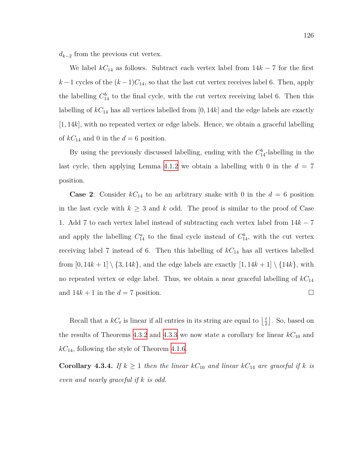*d*<sup>*k*−2</sup> from the previous cut vertex.

We label  $kC_{14}$  as follows. Subtract each vertex label from  $14k - 7$  for the first  $k-1$  cycles of the  $(k-1)C_{14}$ , so that the last cut vertex receives label 6. Then, apply the labelling  $C_{14}^b$  to the final cycle, with the cut vertex receiving label 6. Then this labelling of *kC*<sup>14</sup> has all vertices labelled from [0*,* 14*k*] and the edge labels are exactly [1*,* 14*k*], with no repeated vertex or edge labels. Hence, we obtain a graceful labelling of  $kC_{14}$  and 0 in the  $d = 6$  position.

By using the previously discussed labelling, ending with the  $C_{14}^b$ -labelling in the last cycle, then applying Lemma [4.1.2](#page-122-2) we obtain a labelling with 0 in the  $d = 7$ position.

**Case 2**: Consider  $kC_{14}$  to be an arbitrary snake with 0 in the  $d = 6$  position in the last cycle with  $k \geq 3$  and  $k$  odd. The proof is similar to the proof of Case 1. Add 7 to each vertex label instead of subtracting each vertex label from 14*k −* 7 and apply the labelling  $C_{14}^a$  to the final cycle instead of  $C_{14}^b$ , with the cut vertex receiving label 7 instead of 6. Then this labelling of *kC*<sup>14</sup> has all vertices labelled from  $[0, 14k + 1] \setminus \{3, 14k\}$ , and the edge labels are exactly  $[1, 14k + 1] \setminus \{14k\}$ , with no repeated vertex or edge label. Thus, we obtain a near graceful labelling of *kC*<sup>14</sup> and  $14k + 1$  in the  $d = 7$  position.

Recall that a  $kC_t$  is linear if all entries in its string are equal to  $\frac{t}{2}$  $\frac{t}{2}$ . So, based on the results of Theorems [4.3.2](#page-133-0) and [4.3.3](#page-137-0) we now state a corollary for linear  $k_{10}$  and *kC*14, following the style of Theorem [4.1.6](#page-123-0).

**Corollary 4.3.4.** *If*  $k \geq 1$  *then the linear*  $kC_{10}$  *and linear*  $kC_{14}$  *are graceful if*  $k$  *is even and nearly graceful if k is odd.*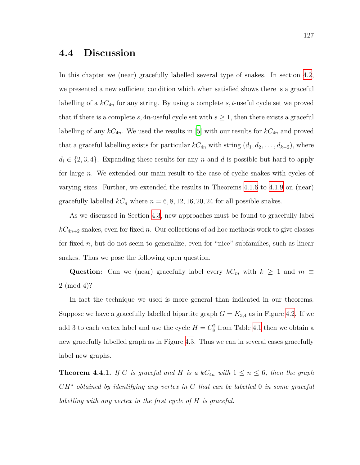#### **4.4 Discussion**

In this chapter we (near) gracefully labelled several type of snakes. In section [4.2,](#page-124-1) we presented a new sufficient condition which when satisfied shows there is a graceful labelling of a *kC*4*<sup>n</sup>* for any string. By using a complete *s, t*-useful cycle set we proved that if there is a complete *s*,  $4n$ -useful cycle set with  $s \geq 1$ , then there exists a graceful labelling of any  $kC_{4n}$ . We used the results in [[5\]](#page-141-0) with our results for  $kC_{4n}$  and proved that a graceful labelling exists for particular  $kC_{4n}$  with string  $(d_1, d_2, \ldots, d_{k-2})$ , where  $d_i \in \{2, 3, 4\}$ . Expanding these results for any *n* and *d* is possible but hard to apply for large *n*. We extended our main result to the case of cyclic snakes with cycles of varying sizes. Further, we extended the results in Theorems [4.1.6](#page-123-0) to [4.1.9](#page-123-1) on (near) gracefully labelled  $kC_n$  where  $n = 6, 8, 12, 16, 20, 24$  for all possible snakes.

As we discussed in Section [4.3](#page-130-0), new approaches must be found to gracefully label  $kC_{4n+2}$  snakes, even for fixed *n*. Our collections of ad hoc methods work to give classes for fixed *n*, but do not seem to generalize, even for "nice" subfamilies, such as linear snakes. Thus we pose the following open question.

Question: Can we (near) gracefully label every  $kC_m$  with  $k \geq 1$  and  $m \equiv$ 2 (mod 4)?

In fact the technique we used is more general than indicated in our theorems. Suppose we have a gracefully labelled bipartite graph  $G = K_{3,4}$  as in Figure [4.2](#page-140-0). If we add 3 to each vertex label and use the cycle  $H = C_8^2$  from Table [4.1](#page-127-0) then we obtain a new gracefully labelled graph as in Figure [4.3](#page-140-0). Thus we can in several cases gracefully label new graphs.

**Theorem 4.4.1.** If *G* is graceful and *H* is a  $kC_{4n}$  with  $1 \leq n \leq 6$ , then the graph *GH<sup>∗</sup> obtained by identifying any vertex in G that can be labelled* 0 *in some graceful labelling with any vertex in the first cycle of H is graceful.*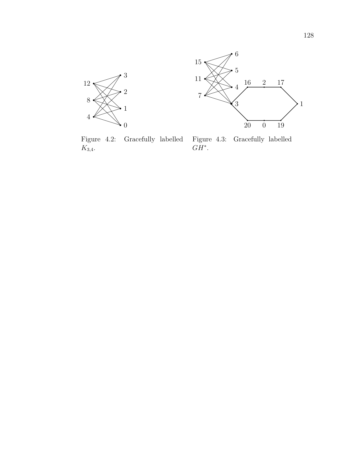<span id="page-140-0"></span>

Figure 4.2: Gracefully labelled *K*3*,*4.



0 19

2 17

 $\geq 1$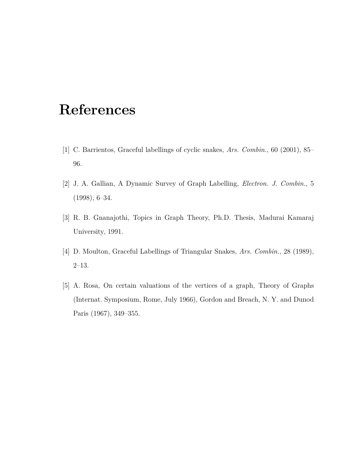# **References**

- <span id="page-141-2"></span>[1] C. Barrientos, Graceful labellings of cyclic snakes, *Ars. Combin.*, 60 (2001), 85– 96.
- <span id="page-141-3"></span>[2] J. A. Gallian, A Dynamic Survey of Graph Labelling, *Electron. J. Combin.*, 5 (1998), 6–34.
- <span id="page-141-4"></span>[3] R. B. Gnanajothi, Topics in Graph Theory, Ph.D. Thesis, Madurai Kamaraj University, 1991.
- <span id="page-141-1"></span>[4] D. Moulton, Graceful Labellings of Triangular Snakes, *Ars. Combin.*, 28 (1989), 2–13.
- <span id="page-141-0"></span>[5] A. Rosa, On certain valuations of the vertices of a graph, Theory of Graphs (Internat. Symposium, Rome, July 1966), Gordon and Breach, N. Y. and Dunod Paris (1967), 349–355.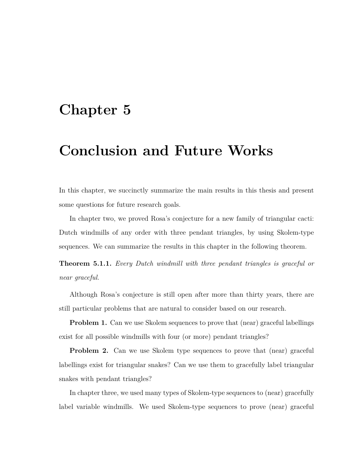## **Chapter 5**

## **Conclusion and Future Works**

In this chapter, we succinctly summarize the main results in this thesis and present some questions for future research goals.

In chapter two, we proved Rosa's conjecture for a new family of triangular cacti: Dutch windmills of any order with three pendant triangles, by using Skolem-type sequences. We can summarize the results in this chapter in the following theorem.

**Theorem 5.1.1.** *Every Dutch windmill with three pendant triangles is graceful or near graceful.*

Although Rosa's conjecture is still open after more than thirty years, there are still particular problems that are natural to consider based on our research.

**Problem 1.** Can we use Skolem sequences to prove that (near) graceful labellings exist for all possible windmills with four (or more) pendant triangles?

**Problem 2.** Can we use Skolem type sequences to prove that (near) graceful labellings exist for triangular snakes? Can we use them to gracefully label triangular snakes with pendant triangles?

In chapter three, we used many types of Skolem-type sequences to (near) gracefully label variable windmills. We used Skolem-type sequences to prove (near) graceful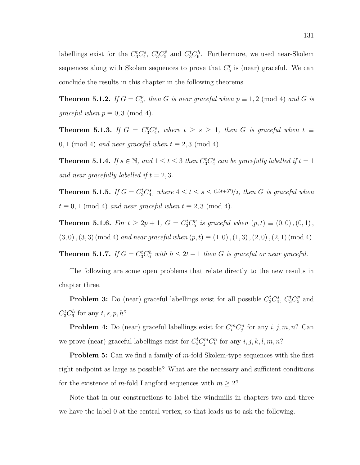labellings exist for the  $C_3^t C_4^s$ ,  $C_3^t C_5^p$  $L_5^p$  and  $C_3^t C_6^h$ . Furthermore, we used near-Skolem sequences along with Skolem sequences to prove that  $C_5^t$  is (near) graceful. We can conclude the results in this chapter in the following theorems.

**Theorem 5.1.2.** *If*  $G = C_5^p$  $j_p^p$ , then *G* is near graceful when  $p \equiv 1, 2 \pmod{4}$  and *G* is *graceful when*  $p \equiv 0, 3 \pmod{4}$ .

**Theorem 5.1.3.** If  $G = C_3^t C_4^s$ , where  $t \geq s \geq 1$ , then G is graceful when  $t \equiv$ 0, 1 (mod 4) *and near graceful when*  $t \equiv 2, 3 \pmod{4}$ .

**Theorem 5.1.4.** *If*  $s \in \mathbb{N}$ , and  $1 \le t \le 3$  *then*  $C_3^t C_4^s$  *can be gracefully labelled if*  $t = 1$ *and near gracefully labelled if*  $t = 2, 3$ *.* 

**Theorem 5.1.5.** *If*  $G = C_3^t C_4^s$ *, where*  $4 \le t \le s \le \frac{(13t+37)}{2}$ *, then G is graceful when*  $t \equiv 0, 1 \pmod{4}$  *and near graceful when*  $t \equiv 2, 3 \pmod{4}$ *.* 

**Theorem 5.1.6.** *For*  $t \geq 2p + 1$ ,  $G = C_3^t C_5^p$  $j_5^p$  is graceful when  $(p, t) \equiv (0, 0), (0, 1)$ ,  $(3,0)$ ,  $(3,3)$  (mod 4) *and near graceful when*  $(p,t) \equiv (1,0)$ ,  $(1,3)$ ,  $(2,0)$ ,  $(2,1)$  (mod 4).

**Theorem 5.1.7.** *If*  $G = C_3^t C_6^h$  *with*  $h \leq 2t + 1$  *then G is graceful or near graceful.* 

The following are some open problems that relate directly to the new results in chapter three.

**Problem 3:** Do (near) graceful labellings exist for all possible  $C_3^t C_4^s$ ,  $C_3^t C_5^p$  $_5^p$  and  $C_3^t C_6^h$  for any  $t, s, p, h$ ?

**Problem 4:** Do (near) graceful labellings exist for  $C_i^m C_j^n$  for any  $i, j, m, n$ ? Can we prove (near) graceful labellings exist for  $C_i^l C_j^m C_k^n$  for any  $i, j, k, l, m, n$ ?

**Problem 5:** Can we find a family of *m*-fold Skolem-type sequences with the first right endpoint as large as possible? What are the necessary and sufficient conditions for the existence of *m*-fold Langford sequences with  $m \geq 2$ ?

Note that in our constructions to label the windmills in chapters two and three we have the label 0 at the central vertex, so that leads us to ask the following.